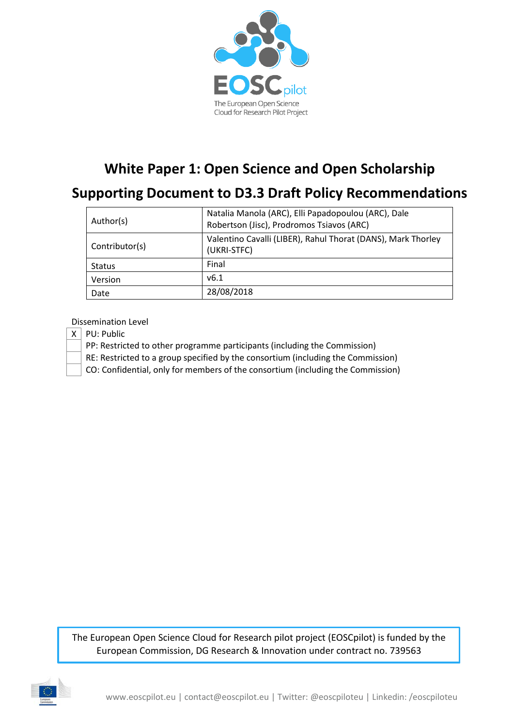

# **White Paper 1: Open Science and Open Scholarship**

# **Supporting Document to D3.3 Draft Policy Recommendations**

| Author(s)      | Natalia Manola (ARC), Elli Papadopoulou (ARC), Dale<br>Robertson (Jisc), Prodromos Tsiavos (ARC) |
|----------------|--------------------------------------------------------------------------------------------------|
| Contributor(s) | Valentino Cavalli (LIBER), Rahul Thorat (DANS), Mark Thorley<br>(UKRI-STFC)                      |
| <b>Status</b>  | Final                                                                                            |
| Version        | v6.1                                                                                             |
| Date           | 28/08/2018                                                                                       |

Dissemination Level

- $X \mid PU$ : Public
	- PP: Restricted to other programme participants (including the Commission)
	- RE: Restricted to a group specified by the consortium (including the Commission)

CO: Confidential, only for members of the consortium (including the Commission)

The European Open Science Cloud for Research pilot project (EOSCpilot) is funded by the European Commission, DG Research & Innovation under contract no. 739563

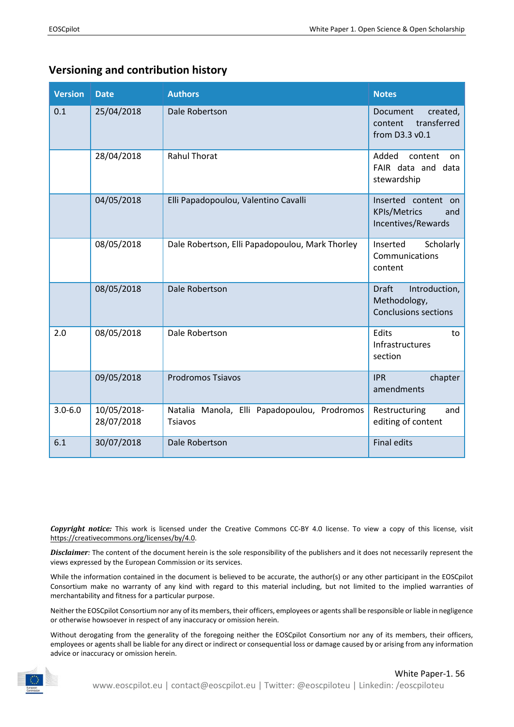## **Versioning and contribution history**

| <b>Version</b> | <b>Date</b>               | <b>Authors</b>                                          | <b>Notes</b>                                                                 |
|----------------|---------------------------|---------------------------------------------------------|------------------------------------------------------------------------------|
| 0.1            | 25/04/2018                | Dale Robertson                                          | Document<br>created,<br>transferred<br>content<br>from D3.3 v0.1             |
|                | 28/04/2018                | <b>Rahul Thorat</b>                                     | Added<br>content<br>on.<br>FAIR data and data<br>stewardship                 |
|                | 04/05/2018                | Elli Papadopoulou, Valentino Cavalli                    | Inserted content<br>on<br><b>KPIs/Metrics</b><br>and<br>Incentives/Rewards   |
|                | 08/05/2018                | Dale Robertson, Elli Papadopoulou, Mark Thorley         | Scholarly<br>Inserted<br>Communications<br>content                           |
|                | 08/05/2018                | Dale Robertson                                          | <b>Draft</b><br>Introduction,<br>Methodology,<br><b>Conclusions sections</b> |
| 2.0            | 08/05/2018                | Dale Robertson                                          | Edits<br>to<br>Infrastructures<br>section                                    |
|                | 09/05/2018                | <b>Prodromos Tsiavos</b>                                | chapter<br><b>IPR</b><br>amendments                                          |
| $3.0 - 6.0$    | 10/05/2018-<br>28/07/2018 | Natalia Manola, Elli Papadopoulou, Prodromos<br>Tsiavos | Restructuring<br>and<br>editing of content                                   |
| 6.1            | 30/07/2018                | Dale Robertson                                          | <b>Final edits</b>                                                           |

*Copyright notice:* This work is licensed under the Creative Commons CC-BY 4.0 license. To view a copy of this license, visit [https://creativecommons.org/licenses/by/4.0.](https://creativecommons.org/licenses/by/4.0)

*Disclaimer:* The content of the document herein is the sole responsibility of the publishers and it does not necessarily represent the views expressed by the European Commission or its services.

While the information contained in the document is believed to be accurate, the author(s) or any other participant in the EOSCpilot Consortium make no warranty of any kind with regard to this material including, but not limited to the implied warranties of merchantability and fitness for a particular purpose.

Neither the EOSCpilot Consortium nor any of its members, their officers, employees or agents shall be responsible or liable in negligence or otherwise howsoever in respect of any inaccuracy or omission herein.

Without derogating from the generality of the foregoing neither the EOSCpilot Consortium nor any of its members, their officers, employees or agents shall be liable for any direct or indirect or consequential loss or damage caused by or arising from any information advice or inaccuracy or omission herein.

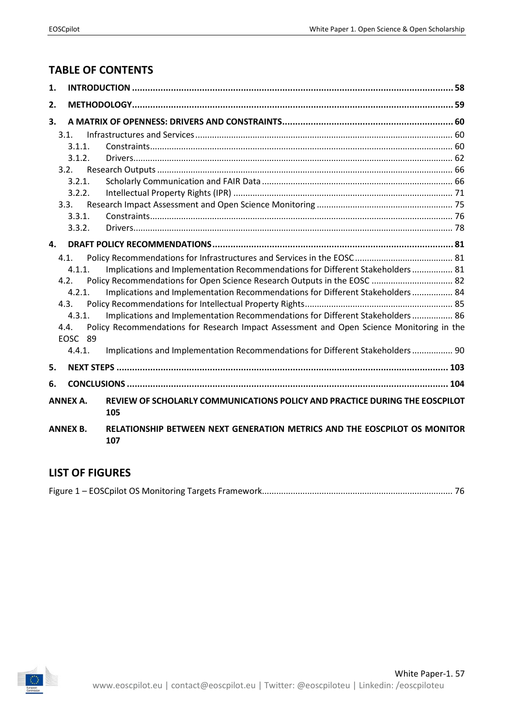## **TABLE OF CONTENTS**

| 1. |                 |                                                                                          |  |
|----|-----------------|------------------------------------------------------------------------------------------|--|
| 2. |                 |                                                                                          |  |
| 3. |                 |                                                                                          |  |
|    | 3.1.            |                                                                                          |  |
|    | 3.1.1.          |                                                                                          |  |
|    | 3.1.2.          |                                                                                          |  |
|    | 3.2.            |                                                                                          |  |
|    | 3.2.1.          |                                                                                          |  |
|    | 3.2.2.          |                                                                                          |  |
|    | 3.3.            |                                                                                          |  |
|    | 3.3.1.          |                                                                                          |  |
|    | 3.3.2.          |                                                                                          |  |
| 4. |                 |                                                                                          |  |
|    | 4.1.            |                                                                                          |  |
|    | 4.1.1.          | Implications and Implementation Recommendations for Different Stakeholders 81            |  |
|    | 4.2.            | Policy Recommendations for Open Science Research Outputs in the EOSC  82                 |  |
|    | 4.2.1.          | Implications and Implementation Recommendations for Different Stakeholders  84           |  |
|    | 4.3.            |                                                                                          |  |
|    | 4.3.1.          | Implications and Implementation Recommendations for Different Stakeholders  86           |  |
|    | 4.4.            | Policy Recommendations for Research Impact Assessment and Open Science Monitoring in the |  |
|    | EOSC 89         |                                                                                          |  |
|    | 4.4.1.          | Implications and Implementation Recommendations for Different Stakeholders  90           |  |
| 5. |                 |                                                                                          |  |
| 6. |                 |                                                                                          |  |
|    | <b>ANNEX A.</b> | REVIEW OF SCHOLARLY COMMUNICATIONS POLICY AND PRACTICE DURING THE EOSCPILOT<br>105       |  |
|    | <b>ANNEX B.</b> | RELATIONSHIP BETWEEN NEXT GENERATION METRICS AND THE EOSCPILOT OS MONITOR<br>107         |  |

## **LIST OF FIGURES**

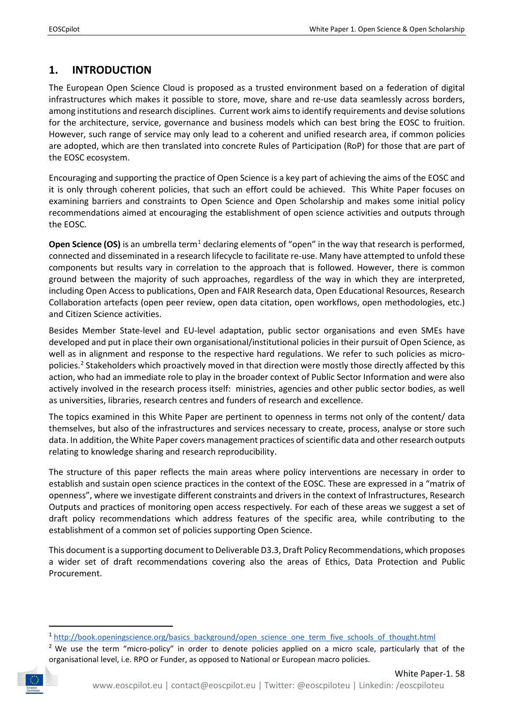## <span id="page-3-0"></span>**1. INTRODUCTION**

The European Open Science Cloud is proposed as a trusted environment based on a federation of digital infrastructures which makes it possible to store, move, share and re-use data seamlessly across borders, among institutions and research disciplines. Current work aims to identify requirements and devise solutions for the architecture, service, governance and business models which can best bring the EOSC to fruition. However, such range of service may only lead to a coherent and unified research area, if common policies are adopted, which are then translated into concrete Rules of Participation (RoP) for those that are part of the EOSC ecosystem.

Encouraging and supporting the practice of Open Science is a key part of achieving the aims of the EOSC and it is only through coherent policies, that such an effort could be achieved. This White Paper focuses on examining barriers and constraints to Open Science and Open Scholarship and makes some initial policy recommendations aimed at encouraging the establishment of open science activities and outputs through the EOSC.

**Open Science (OS)** is an umbrella term<sup>[1](#page-3-1)</sup> declaring elements of "open" in the way that research is performed, connected and disseminated in a research lifecycle to facilitate re-use. Many have attempted to unfold these components but results vary in correlation to the approach that is followed. However, there is common ground between the majority of such approaches, regardless of the way in which they are interpreted, including Open Access to publications, Open and FAIR Research data, Open Educational Resources, Research Collaboration artefacts (open peer review, open data citation, open workflows, open methodologies, etc.) and Citizen Science activities.

Besides Member State-level and EU-level adaptation, public sector organisations and even SMEs have developed and put in place their own organisational/institutional policies in their pursuit of Open Science, as well as in alignment and response to the respective hard regulations. We refer to such policies as micropolicies[.2](#page-3-2) Stakeholders which proactively moved in that direction were mostly those directly affected by this action, who had an immediate role to play in the broader context of Public Sector Information and were also actively involved in the research process itself: ministries, agencies and other public sector bodies, as well as universities, libraries, research centres and funders of research and excellence.

The topics examined in this White Paper are pertinent to openness in terms not only of the content/ data themselves, but also of the infrastructures and services necessary to create, process, analyse or store such data. In addition, the White Paper covers management practices of scientific data and other research outputs relating to knowledge sharing and research reproducibility.

The structure of this paper reflects the main areas where policy interventions are necessary in order to establish and sustain open science practices in the context of the EOSC. These are expressed in a "matrix of openness", where we investigate different constraints and drivers in the context of Infrastructures, Research Outputs and practices of monitoring open access respectively. For each of these areas we suggest a set of draft policy recommendations which address features of the specific area, while contributing to the establishment of a common set of policies supporting Open Science.

This document is a supporting document to Deliverable D3.3, Draft Policy Recommendations, which proposes a wider set of draft recommendations covering also the areas of Ethics, Data Protection and Public Procurement.

 $2$  We use the term "micro-policy" in order to denote policies applied on a micro scale, particularly that of the organisational level, i.e. RPO or Funder, as opposed to National or European macro policies.

<span id="page-3-2"></span><span id="page-3-1"></span>

<sup>&</sup>lt;sup>1</sup> [http://book.openingscience.org/basics\\_background/open\\_science\\_one\\_term\\_five\\_schools\\_of\\_thought.html](http://book.openingscience.org/basics_background/open_science_one_term_five_schools_of_thought.html)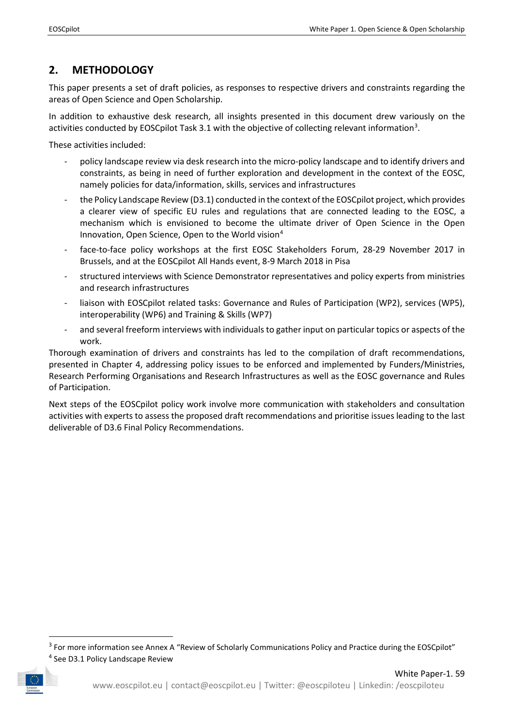## <span id="page-4-0"></span>**2. METHODOLOGY**

This paper presents a set of draft policies, as responses to respective drivers and constraints regarding the areas of Open Science and Open Scholarship.

In addition to exhaustive desk research, all insights presented in this document drew variously on the activities conducted by EOSCpilot Task [3](#page-4-1).1 with the objective of collecting relevant information<sup>3</sup>.

These activities included:

- policy landscape review via desk research into the micro-policy landscape and to identify drivers and constraints, as being in need of further exploration and development in the context of the EOSC, namely policies for data/information, skills, services and infrastructures
- the Policy Landscape Review (D3.1) conducted in the context of the EOSCpilot project, which provides a clearer view of specific EU rules and regulations that are connected leading to the EOSC, a mechanism which is envisioned to become the ultimate driver of Open Science in the Open Innovation, Open Science, Open to the World vision<sup>4</sup>
- face-to-face policy workshops at the first EOSC Stakeholders Forum, 28-29 November 2017 in Brussels, and at the EOSCpilot All Hands event, 8-9 March 2018 in Pisa
- structured interviews with Science Demonstrator representatives and policy experts from ministries and research infrastructures
- liaison with EOSCpilot related tasks: Governance and Rules of Participation (WP2), services (WP5), interoperability (WP6) and Training & Skills (WP7)
- and several freeform interviews with individuals to gather input on particular topics or aspects of the work.

Thorough examination of drivers and constraints has led to the compilation of draft recommendations, presented in Chapter 4, addressing policy issues to be enforced and implemented by Funders/Ministries, Research Performing Organisations and Research Infrastructures as well as the EOSC governance and Rules of Participation.

Next steps of the EOSCpilot policy work involve more communication with stakeholders and consultation activities with experts to assess the proposed draft recommendations and prioritise issues leading to the last deliverable of D3.6 Final Policy Recommendations.

<span id="page-4-1"></span><sup>&</sup>lt;sup>3</sup> For more information see Annex A "Review of Scholarly Communications Policy and Practice during the EOSCpilot"

<span id="page-4-2"></span><sup>4</sup> See D3.1 Policy Landscape Review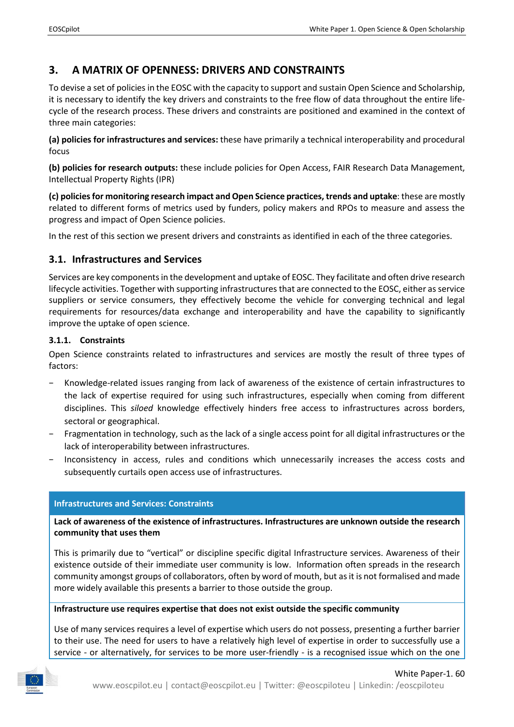## <span id="page-5-0"></span>**3. A MATRIX OF OPENNESS: DRIVERS AND CONSTRAINTS**

To devise a set of policies in the EOSC with the capacity to support and sustain Open Science and Scholarship, it is necessary to identify the key drivers and constraints to the free flow of data throughout the entire lifecycle of the research process. These drivers and constraints are positioned and examined in the context of three main categories:

**(a) policies for infrastructures and services:** these have primarily a technical interoperability and procedural focus

**(b) policies for research outputs:** these include policies for Open Access, FAIR Research Data Management, Intellectual Property Rights (IPR)

**(c) policies for monitoring research impact and Open Science practices, trends and uptake**: these are mostly related to different forms of metrics used by funders, policy makers and RPOs to measure and assess the progress and impact of Open Science policies.

In the rest of this section we present drivers and constraints as identified in each of the three categories.

## <span id="page-5-1"></span>**3.1. Infrastructures and Services**

Services are key components in the development and uptake of EOSC. They facilitate and often drive research lifecycle activities. Together with supporting infrastructures that are connected to the EOSC, either as service suppliers or service consumers, they effectively become the vehicle for converging technical and legal requirements for resources/data exchange and interoperability and have the capability to significantly improve the uptake of open science.

## <span id="page-5-2"></span>**3.1.1. Constraints**

Open Science constraints related to infrastructures and services are mostly the result of three types of factors:

- Knowledge-related issues ranging from lack of awareness of the existence of certain infrastructures to the lack of expertise required for using such infrastructures, especially when coming from different disciplines. This *siloed* knowledge effectively hinders free access to infrastructures across borders, sectoral or geographical.
- − Fragmentation in technology, such as the lack of a single access point for all digital infrastructures or the lack of interoperability between infrastructures.
- − Inconsistency in access, rules and conditions which unnecessarily increases the access costs and subsequently curtails open access use of infrastructures.

## **Infrastructures and Services: Constraints**

**Lack of awareness of the existence of infrastructures. Infrastructures are unknown outside the research community that uses them**

This is primarily due to "vertical" or discipline specific digital Infrastructure services. Awareness of their existence outside of their immediate user community is low. Information often spreads in the research community amongst groups of collaborators, often by word of mouth, but as it is not formalised and made more widely available this presents a barrier to those outside the group.

## **Infrastructure use requires expertise that does not exist outside the specific community**

Use of many services requires a level of expertise which users do not possess, presenting a further barrier to their use. The need for users to have a relatively high level of expertise in order to successfully use a service - or alternatively, for services to be more user-friendly - is a recognised issue which on the one

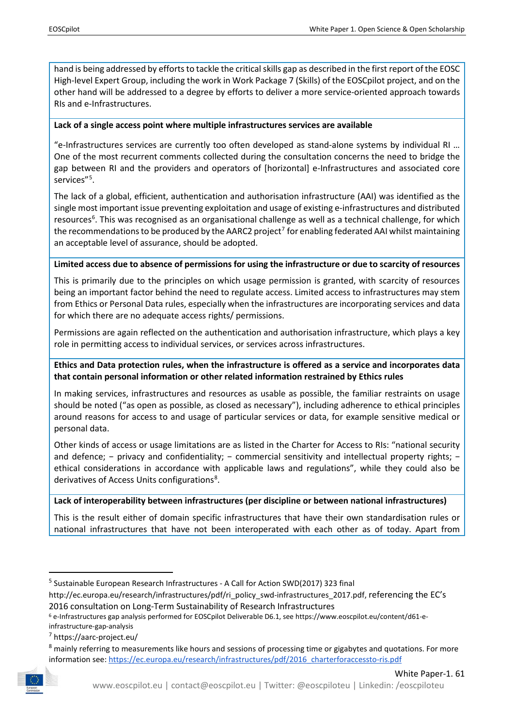hand is being addressed by efforts to tackle the critical skills gap as described in the first report of the EOSC High-level Expert Group, including the work in Work Package 7 (Skills) of the EOSCpilot project, and on the other hand will be addressed to a degree by efforts to deliver a more service-oriented approach towards RIs and e-Infrastructures.

## **Lack of a single access point where multiple infrastructures services are available**

"e-Infrastructures services are currently too often developed as stand-alone systems by individual RI … One of the most recurrent comments collected during the consultation concerns the need to bridge the gap between RI and the providers and operators of [horizontal] e-Infrastructures and associated core services"<sup>[5](#page-6-0)</sup>.

The lack of a global, efficient, authentication and authorisation infrastructure (AAI) was identified as the single most important issue preventing exploitation and usage of existing e-infrastructures and distributed resources<sup>[6](#page-6-1)</sup>. This was recognised as an organisational challenge as well as a technical challenge, for which the recommendations to be produced by the AARC2 project<sup>[7](#page-6-2)</sup> for enabling federated AAI whilst maintaining an acceptable level of assurance, should be adopted.

## **Limited access due to absence of permissions for using the infrastructure or due to scarcity of resources**

This is primarily due to the principles on which usage permission is granted, with scarcity of resources being an important factor behind the need to regulate access. Limited access to infrastructures may stem from Ethics or Personal Data rules, especially when the infrastructures are incorporating services and data for which there are no adequate access rights/ permissions.

Permissions are again reflected on the authentication and authorisation infrastructure, which plays a key role in permitting access to individual services, or services across infrastructures.

## **Ethics and Data protection rules, when the infrastructure is offered as a service and incorporates data that contain personal information or other related information restrained by Ethics rules**

In making services, infrastructures and resources as usable as possible, the familiar restraints on usage should be noted ("as open as possible, as closed as necessary"), including adherence to ethical principles around reasons for access to and usage of particular services or data, for example sensitive medical or personal data.

Other kinds of access or usage limitations are as listed in the Charter for Access to RIs: "national security and defence; − privacy and confidentiality; − commercial sensitivity and intellectual property rights; − ethical considerations in accordance with applicable laws and regulations", while they could also be derivatives of Access Units configurations<sup>8</sup>.

## **Lack of interoperability between infrastructures (per discipline or between national infrastructures)**

This is the result either of domain specific infrastructures that have their own standardisation rules or national infrastructures that have not been interoperated with each other as of today. Apart from

<span id="page-6-3"></span><span id="page-6-2"></span><span id="page-6-1"></span><sup>&</sup>lt;sup>8</sup> mainly referring to measurements like hours and sessions of processing time or gigabytes and quotations. For more information see: [https://ec.europa.eu/research/infrastructures/pdf/2016\\_charterforaccessto-ris.pdf](https://ec.europa.eu/research/infrastructures/pdf/2016_charterforaccessto-ris.pdf)



<span id="page-6-0"></span> <sup>5</sup> Sustainable European Research Infrastructures - A Call for Action SWD(2017) 323 final

[http://ec.europa.eu/research/infrastructures/pdf/ri\\_policy\\_swd-infrastructures\\_2017.pdf,](http://ec.europa.eu/research/infrastructures/pdf/ri_policy_swd-infrastructures_2017.pdf) referencing the EC's 2016 consultation on Long-Term Sustainability of Research Infrastructures

<sup>6</sup> e-Infrastructures gap analysis performed for EOSCpilot Deliverable D6.1, see https://www.eoscpilot.eu/content/d61-einfrastructure-gap-analysis

<sup>7</sup> <https://aarc-project.eu/>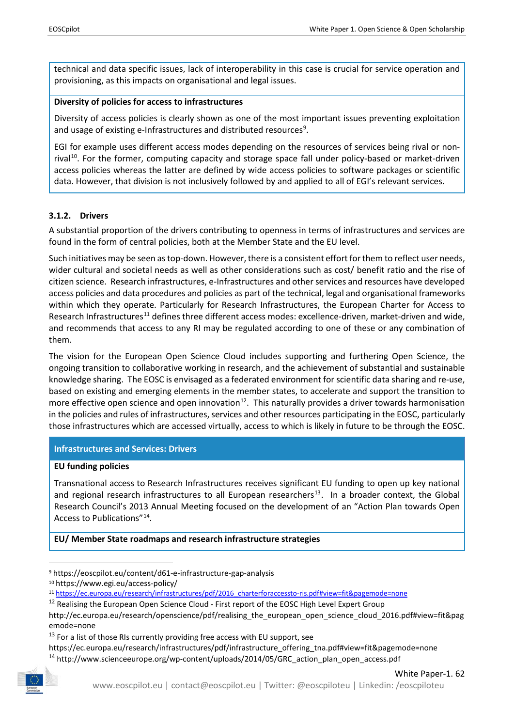technical and data specific issues, lack of interoperability in this case is crucial for service operation and provisioning, as this impacts on organisational and legal issues.

#### **Diversity of policies for access to infrastructures**

Diversity of access policies is clearly shown as one of the most important issues preventing exploitation and usage of existing e-Infrastructures and distributed resources<sup>[9](#page-7-1)</sup>.

EGI for example uses different access modes depending on the resources of services being rival or non-rival<sup>[10](#page-7-2)</sup>. For the former, computing capacity and storage space fall under policy-based or market-driven access policies whereas the latter are defined by wide access policies to software packages or scientific data. However, that division is not inclusively followed by and applied to all of EGI's relevant services.

#### <span id="page-7-0"></span>**3.1.2. Drivers**

A substantial proportion of the drivers contributing to openness in terms of infrastructures and services are found in the form of central policies, both at the Member State and the EU level.

Such initiatives may be seen as top-down. However, there is a consistent effort for them to reflect user needs, wider cultural and societal needs as well as other considerations such as cost/ benefit ratio and the rise of citizen science. Research infrastructures, e-Infrastructures and other services and resources have developed access policies and data procedures and policies as part of the technical, legal and organisational frameworks within which they operate. Particularly for Research Infrastructures, the European Charter for Access to Research Infrastructures<sup>[11](#page-7-3)</sup> defines three different access modes: excellence-driven, market-driven and wide, and recommends that access to any RI may be regulated according to one of these or any combination of them.

The vision for the European Open Science Cloud includes supporting and furthering Open Science, the ongoing transition to collaborative working in research, and the achievement of substantial and sustainable knowledge sharing. The EOSC is envisaged as a federated environment for scientific data sharing and re-use, based on existing and emerging elements in the member states, to accelerate and support the transition to more effective open science and open innovation<sup>12</sup>. This naturally provides a driver towards harmonisation in the policies and rules of infrastructures, services and other resources participating in the EOSC, particularly those infrastructures which are accessed virtually, access to which is likely in future to be through the EOSC.

## **Infrastructures and Services: Drivers**

#### **EU funding policies**

Transnational access to Research Infrastructures receives significant EU funding to open up key national and regional research infrastructures to all European researchers<sup>[13](#page-7-5)</sup>. In a broader context, the Global Research Council's 2013 Annual Meeting focused on the development of an "Action Plan towards Open Access to Publications"[14](#page-7-6).

**EU/ Member State roadmaps and research infrastructure strategies**

<span id="page-7-6"></span><span id="page-7-5"></span><sup>&</sup>lt;sup>14</sup> http://www.scienceeurope.org/wp-content/uploads/2014/05/GRC action plan\_open\_access.pdf



<span id="page-7-1"></span> <sup>9</sup> <https://eoscpilot.eu/content/d61-e-infrastructure-gap-analysis>

<span id="page-7-2"></span><sup>10</sup> <https://www.egi.eu/access-policy/>

<span id="page-7-3"></span><sup>11</sup> [https://ec.europa.eu/research/infrastructures/pdf/2016\\_charterforaccessto-ris.pdf#view=fit&pagemode=none](https://ec.europa.eu/research/infrastructures/pdf/2016_charterforaccessto-ris.pdf#view=fit&pagemode=none)

<span id="page-7-4"></span> $12$  Realising the European Open Science Cloud - First report of the EOSC High Level Expert Group

[http://ec.europa.eu/research/openscience/pdf/realising\\_the\\_european\\_open\\_science\\_cloud\\_2016.pdf#view=fit&pag](http://ec.europa.eu/research/openscience/pdf/realising_the_european_open_science_cloud_2016.pdf#view=fit&pagemode=none) [emode=none](http://ec.europa.eu/research/openscience/pdf/realising_the_european_open_science_cloud_2016.pdf#view=fit&pagemode=none)

 $13$  For a list of those RIs currently providing free access with EU support, see

[https://ec.europa.eu/research/infrastructures/pdf/infrastructure\\_offering\\_tna.pdf#view=fit&pagemode=none](https://ec.europa.eu/research/infrastructures/pdf/infrastructure_offering_tna.pdf#view=fit&pagemode=none)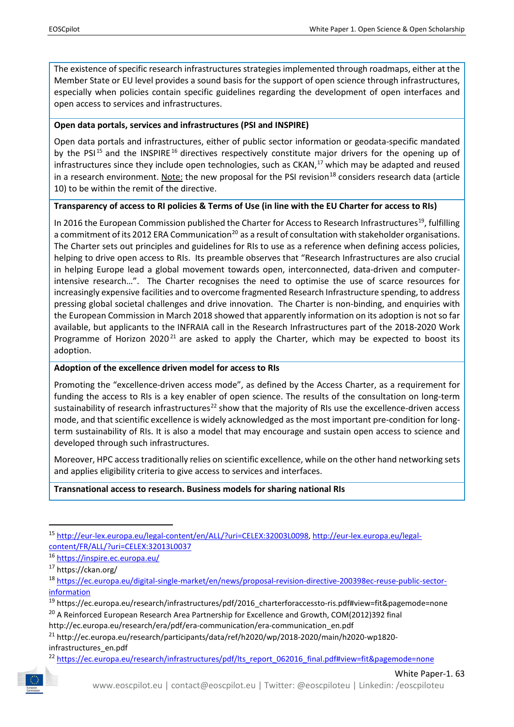The existence of specific research infrastructures strategies implemented through roadmaps, either at the Member State or EU level provides a sound basis for the support of open science through infrastructures, especially when policies contain specific guidelines regarding the development of open interfaces and open access to services and infrastructures.

## **Open data portals, services and infrastructures (PSI and INSPIRE)**

Open data portals and infrastructures, either of public sector information or geodata-specific mandated by the PSI<sup>[15](#page-8-0)</sup> and the INSPIRE<sup>[16](#page-8-1)</sup> directives respectively constitute major drivers for the opening up of infrastructures since they include open technologies, such as  $CKAN<sub>1</sub><sup>17</sup>$  $CKAN<sub>1</sub><sup>17</sup>$  $CKAN<sub>1</sub><sup>17</sup>$  which may be adapted and reused in a research environment. Note: the new proposal for the PSI revision<sup>[18](#page-8-3)</sup> considers research data (article 10) to be within the remit of the directive.

## **Transparency of access to RI policies & Terms of Use (in line with the EU Charter for access to RIs)**

In 2016 the European Commission published the Charter for Access to Research Infrastructures<sup>19</sup>, fulfilling a commitment of its [20](#page-8-5)12 ERA Communication<sup>20</sup> as a result of consultation with stakeholder organisations. The Charter sets out principles and guidelines for RIs to use as a reference when defining access policies, helping to drive open access to RIs. Its preamble observes that "Research Infrastructures are also crucial in helping Europe lead a global movement towards open, interconnected, data-driven and computerintensive research…". The Charter recognises the need to optimise the use of scarce resources for increasingly expensive facilities and to overcome fragmented Research Infrastructure spending, to address pressing global societal challenges and drive innovation. The Charter is non-binding, and enquiries with the European Commission in March 2018 showed that apparently information on its adoption is not so far available, but applicants to the INFRAIA call in the Research Infrastructures part of the 2018-2020 Work Programme of Horizon 2020<sup>[21](#page-8-6)</sup> are asked to apply the Charter, which may be expected to boost its adoption.

## **Adoption of the excellence driven model for access to RIs**

Promoting the "excellence-driven access mode", as defined by the Access Charter, as a requirement for funding the access to RIs is a key enabler of open science. The results of the consultation on long-term sustainability of research infrastructures<sup>[22](#page-8-7)</sup> show that the majority of RIs use the excellence-driven access mode, and that scientific excellence is widely acknowledged as the most important pre-condition for longterm sustainability of RIs. It is also a model that may encourage and sustain open access to science and developed through such infrastructures.

Moreover, HPC access traditionally relies on scientific excellence, while on the other hand networking sets and applies eligibility criteria to give access to services and interfaces.

## **Transnational access to research. Business models for sharing national RIs**

<span id="page-8-7"></span><span id="page-8-6"></span><span id="page-8-5"></span><sup>&</sup>lt;sup>22</sup> [https://ec.europa.eu/research/infrastructures/pdf/lts\\_report\\_062016\\_final.pdf#view=fit&pagemode=none](https://ec.europa.eu/research/infrastructures/pdf/lts_report_062016_final.pdf#view=fit&pagemode=none)



<span id="page-8-0"></span> <sup>15</sup> [http://eur-lex.europa.eu/legal-content/en/ALL/?uri=CELEX:32003L0098,](http://eur-lex.europa.eu/legal-content/en/ALL/?uri=CELEX:32003L0098) [http://eur-lex.europa.eu/legal](http://eur-lex.europa.eu/legal-content/FR/ALL/?uri=CELEX:32013L0037)[content/FR/ALL/?uri=CELEX:32013L0037](http://eur-lex.europa.eu/legal-content/FR/ALL/?uri=CELEX:32013L0037)

<span id="page-8-1"></span><sup>16</sup> <https://inspire.ec.europa.eu/>

<span id="page-8-2"></span><sup>17</sup> <https://ckan.org/>

<span id="page-8-3"></span><sup>18</sup> [https://ec.europa.eu/digital-single-market/en/news/proposal-revision-directive-200398ec-reuse-public-sector](https://ec.europa.eu/digital-single-market/en/news/proposal-revision-directive-200398ec-reuse-public-sector-information)[information](https://ec.europa.eu/digital-single-market/en/news/proposal-revision-directive-200398ec-reuse-public-sector-information)

<span id="page-8-4"></span><sup>19</sup> [https://ec.europa.eu/research/infrastructures/pdf/2016\\_charterforaccessto-ris.pdf#view=fit&pagemode=none](https://ec.europa.eu/research/infrastructures/pdf/2016_charterforaccessto-ris.pdf#view=fit&pagemode=none) <sup>20</sup> A Reinforced European Research Area Partnership for Excellence and Growth, COM(2012)392 final

[http://ec.europa.eu/research/era/pdf/era-communication/era-communication\\_en.pdf](http://ec.europa.eu/research/era/pdf/era-communication/era-communication_en.pdf)

<sup>21</sup> [http://ec.europa.eu/research/participants/data/ref/h2020/wp/2018-2020/main/h2020-wp1820](http://ec.europa.eu/research/participants/data/ref/h2020/wp/2018-2020/main/h2020-wp1820-infrastructures_en.pdf) [infrastructures\\_en.pdf](http://ec.europa.eu/research/participants/data/ref/h2020/wp/2018-2020/main/h2020-wp1820-infrastructures_en.pdf)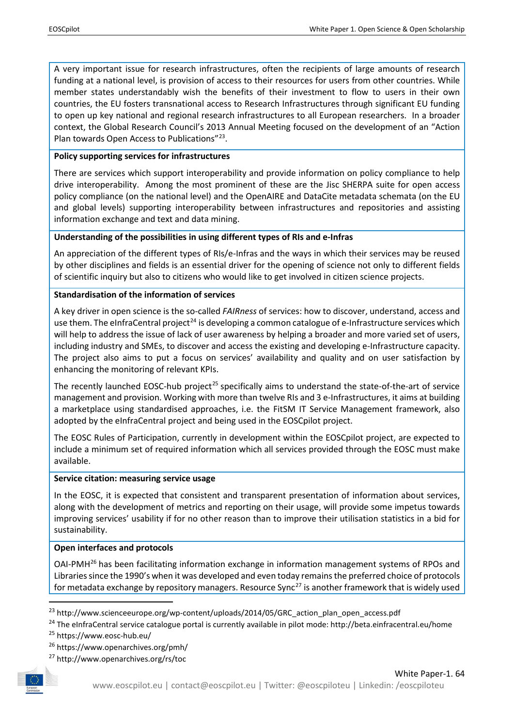A very important issue for research infrastructures, often the recipients of large amounts of research funding at a national level, is provision of access to their resources for users from other countries. While member states understandably wish the benefits of their investment to flow to users in their own countries, the EU fosters transnational access to Research Infrastructures through significant EU funding to open up key national and regional research infrastructures to all European researchers. In a broader context, the Global Research Council's 2013 Annual Meeting focused on the development of an "Action Plan towards Open Access to Publications"[23.](#page-9-0)

## **Policy supporting services for infrastructures**

There are services which support interoperability and provide information on policy compliance to help drive interoperability. Among the most prominent of these are the Jisc SHERPA suite for open access policy compliance (on the national level) and the OpenAIRE and DataCite metadata schemata (on the EU and global levels) supporting interoperability between infrastructures and repositories and assisting information exchange and text and data mining.

## **Understanding of the possibilities in using different types of RIs and e-Infras**

An appreciation of the different types of RIs/e-Infras and the ways in which their services may be reused by other disciplines and fields is an essential driver for the opening of science not only to different fields of scientific inquiry but also to citizens who would like to get involved in citizen science projects.

## **Standardisation of the information of services**

A key driver in open science is the so-called *FAIRness* of services: how to discover, understand, access and use them. The eInfraCentral project<sup>[24](#page-9-1)</sup> is developing a common catalogue of e-Infrastructure services which will help to address the issue of lack of user awareness by helping a broader and more varied set of users, including industry and SMEs, to discover and access the existing and developing e-Infrastructure capacity. The project also aims to put a focus on services' availability and quality and on user satisfaction by enhancing the monitoring of relevant KPIs.

The recently launched EOSC-hub project<sup>[25](#page-9-2)</sup> specifically aims to understand the state-of-the-art of service management and provision. Working with more than twelve RIs and 3 e-Infrastructures, it aims at building a marketplace using standardised approaches, i.e. the FitSM IT Service Management framework, also adopted by the eInfraCentral project and being used in the EOSCpilot project.

The EOSC Rules of Participation, currently in development within the EOSCpilot project, are expected to include a minimum set of required information which all services provided through the EOSC must make available.

## **Service citation: measuring service usage**

In the EOSC, it is expected that consistent and transparent presentation of information about services, along with the development of metrics and reporting on their usage, will provide some impetus towards improving services' usability if for no other reason than to improve their utilisation statistics in a bid for sustainability.

## **Open interfaces and protocols**

OAI-PMH[26](#page-9-3) has been facilitating information exchange in information management systems of RPOs and Libraries since the 1990's when it was developed and even today remains the preferred choice of protocols for metadata exchange by repository managers. Resource Sync $^{27}$  $^{27}$  $^{27}$  is another framework that is widely used

<span id="page-9-0"></span>23 [http://www.scienceeurope.org/wp-content/uploads/2014/05/GRC\\_action\\_plan\\_open\\_access.pdf](http://www.scienceeurope.org/wp-content/uploads/2014/05/GRC_action_plan_open_access.pdf)

<span id="page-9-1"></span><sup>24</sup> The eInfraCentral service catalogue portal is currently available in pilot mode: http://beta.einfracentral.eu/home

<span id="page-9-2"></span><sup>25</sup> https://www.eosc-hub.eu/

<span id="page-9-3"></span><sup>26</sup> <https://www.openarchives.org/pmh/>

<span id="page-9-4"></span><sup>27</sup> <http://www.openarchives.org/rs/toc>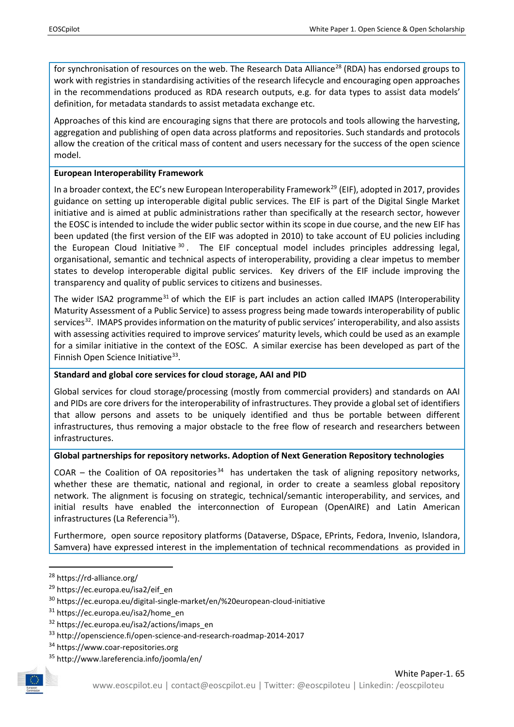for synchronisation of resources on the web. The Research Data Alliance<sup>[28](#page-10-0)</sup> (RDA) has endorsed groups to work with registries in standardising activities of the research lifecycle and encouraging open approaches in the recommendations produced as RDA research outputs, e.g. for data types to assist data models' definition, for metadata standards to assist metadata exchange etc.

Approaches of this kind are encouraging signs that there are protocols and tools allowing the harvesting, aggregation and publishing of open data across platforms and repositories. Such standards and protocols allow the creation of the critical mass of content and users necessary for the success of the open science model.

## **European Interoperability Framework**

In a broader context, the EC's new European Interoperability Framework<sup>[29](#page-10-1)</sup> (EIF), adopted in 2017, provides guidance on setting up interoperable digital public services. The EIF is part of the Digital Single Market initiative and is aimed at public administrations rather than specifically at the research sector, however the EOSC is intended to include the wider public sector within its scope in due course, and the new EIF has been updated (the first version of the EIF was adopted in 2010) to take account of EU policies including the European Cloud Initiative  $30$ . The EIF conceptual model includes principles addressing legal, organisational, semantic and technical aspects of interoperability, providing a clear impetus to member states to develop interoperable digital public services. Key drivers of the EIF include improving the transparency and quality of public services to citizens and businesses.

The wider ISA2 programme<sup>[31](#page-10-3)</sup> of which the EIF is part includes an action called IMAPS (Interoperability Maturity Assessment of a Public Service) to assess progress being made towards interoperability of public services<sup>32</sup>. IMAPS provides information on the maturity of public services' interoperability, and also assists with assessing activities required to improve services' maturity levels, which could be used as an example for a similar initiative in the context of the EOSC. A similar exercise has been developed as part of the Finnish Open Science Initiative<sup>33</sup>.

## **Standard and global core services for cloud storage, AAI and PID**

Global services for cloud storage/processing (mostly from commercial providers) and standards on AAI and PIDs are core drivers for the interoperability of infrastructures. They provide a global set of identifiers that allow persons and assets to be uniquely identified and thus be portable between different infrastructures, thus removing a major obstacle to the free flow of research and researchers between infrastructures.

## **Global partnerships for repository networks. Adoption of Next Generation Repository technologies**

COAR – the Coalition of OA repositories<sup>[34](#page-10-6)</sup> has undertaken the task of aligning repository networks, whether these are thematic, national and regional, in order to create a seamless global repository network. The alignment is focusing on strategic, technical/semantic interoperability, and services, and initial results have enabled the interconnection of European (OpenAIRE) and Latin American infrastructures (La Referencia<sup>[35](#page-10-7)</sup>).

Furthermore, open source repository platforms (Dataverse, DSpace, EPrints, Fedora, Invenio, Islandora, Samvera) have expressed interest in the implementation of technical recommendations as provided in

<span id="page-10-0"></span> <sup>28</sup> <https://rd-alliance.org/>

<span id="page-10-1"></span><sup>&</sup>lt;sup>29</sup> [https://ec.europa.eu/isa2/eif\\_en](https://ec.europa.eu/isa2/eif_en)

<span id="page-10-2"></span><sup>30</sup> https://ec.europa.eu/digital-single-market/en/%20european-cloud-initiative

<span id="page-10-3"></span><sup>31</sup> [https://ec.europa.eu/isa2/home\\_en](https://ec.europa.eu/isa2/home_en)

<span id="page-10-4"></span><sup>32</sup> [https://ec.europa.eu/isa2/actions/imaps\\_en](https://ec.europa.eu/isa2/actions/imaps_en)

<span id="page-10-5"></span><sup>33</sup> <http://openscience.fi/open-science-and-research-roadmap-2014-2017>

<span id="page-10-6"></span><sup>34</sup> https://www.coar-repositories.org

<span id="page-10-7"></span><sup>35</sup> http://www.lareferencia.info/joomla/en/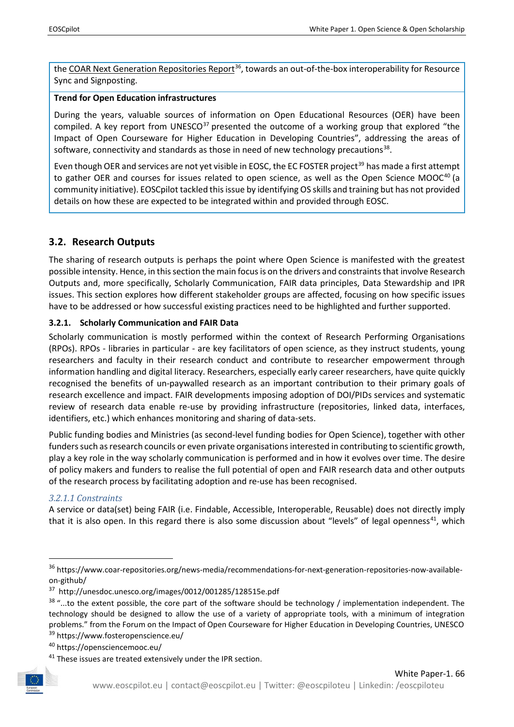the [COAR Next Generation Repositories Report](https://www.coar-repositories.org/news-media/recommendations-for-next-generation-repositories-now-available-on-github/)<sup>[36](#page-11-2)</sup>, towards an out-of-the-box interoperability for Resource Sync and Signposting.

## **Trend for Open Education infrastructures**

During the years, valuable sources of information on Open Educational Resources (OER) have been compiled. A key report from UNESCO $37$  presented the outcome of a working group that explored "the Impact of Open Courseware for Higher Education in Developing Countries", addressing the areas of software, connectivity and standards as those in need of new technology precautions $38$ .

Even though OER and services are not yet visible in EOSC, the EC FOSTER project<sup>[39](#page-11-5)</sup> has made a first attempt to gather OER and courses for issues related to open science, as well as the Open Science MOOC<sup>[40](#page-11-6)</sup> (a community initiative). EOSCpilot tackled this issue by identifying OS skills and training but has not provided details on how these are expected to be integrated within and provided through EOSC.

## <span id="page-11-0"></span>**3.2. Research Outputs**

The sharing of research outputs is perhaps the point where Open Science is manifested with the greatest possible intensity. Hence, in this section the main focusis on the drivers and constraints that involve Research Outputs and, more specifically, Scholarly Communication, FAIR data principles, Data Stewardship and IPR issues. This section explores how different stakeholder groups are affected, focusing on how specific issues have to be addressed or how successful existing practices need to be highlighted and further supported.

## <span id="page-11-1"></span>**3.2.1. Scholarly Communication and FAIR Data**

Scholarly communication is mostly performed within the context of Research Performing Organisations (RPOs). RPOs - libraries in particular - are key facilitators of open science, as they instruct students, young researchers and faculty in their research conduct and contribute to researcher empowerment through information handling and digital literacy. Researchers, especially early career researchers, have quite quickly recognised the benefits of un-paywalled research as an important contribution to their primary goals of research excellence and impact. FAIR developments imposing adoption of DOI/PIDs services and systematic review of research data enable re-use by providing infrastructure (repositories, linked data, interfaces, identifiers, etc.) which enhances monitoring and sharing of data-sets.

Public funding bodies and Ministries (as second-level funding bodies for Open Science), together with other funders such as research councils or even private organisations interested in contributing to scientific growth, play a key role in the way scholarly communication is performed and in how it evolves over time. The desire of policy makers and funders to realise the full potential of open and FAIR research data and other outputs of the research process by facilitating adoption and re-use has been recognised.

## *3.2.1.1 Constraints*

A service or data(set) being FAIR (i.e. Findable, Accessible, Interoperable, Reusable) does not directly imply that it is also open. In this regard there is also some discussion about "levels" of legal openness<sup>41</sup>, which

<span id="page-11-7"></span><span id="page-11-6"></span><span id="page-11-5"></span> $41$  These issues are treated extensively under the IPR section.



<span id="page-11-2"></span><sup>&</sup>lt;sup>36</sup> https://www.coar-repositories.org/news-media/recommendations-for-next-generation-repositories-now-availableon-github/

<span id="page-11-3"></span><sup>37</sup> <http://unesdoc.unesco.org/images/0012/001285/128515e.pdf>

<span id="page-11-4"></span> $38$  "...to the extent possible, the core part of the software should be technology / implementation independent. The technology should be designed to allow the use of a variety of appropriate tools, with a minimum of integration problems." from the Forum on the Impact of Open Courseware for Higher Education in Developing Countries, UNESCO

<sup>39</sup> https://www.fosteropenscience.eu/

<sup>40</sup> https://opensciencemooc.eu/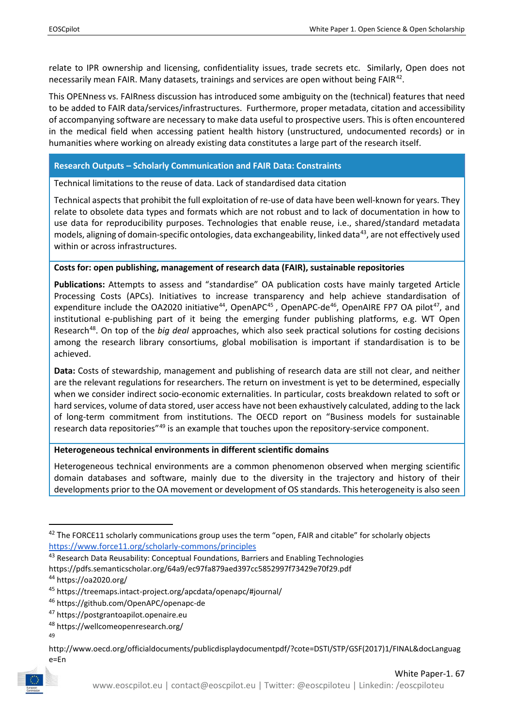relate to IPR ownership and licensing, confidentiality issues, trade secrets etc. Similarly, Open does not necessarily mean FAIR. Many datasets, trainings and services are open without being FAIR<sup>42</sup>.

This OPENness vs. FAIRness discussion has introduced some ambiguity on the (technical) features that need to be added to FAIR data/services/infrastructures. Furthermore, proper metadata, citation and accessibility of accompanying software are necessary to make data useful to prospective users. This is often encountered in the medical field when accessing patient health history (unstructured, undocumented records) or in humanities where working on already existing data constitutes a large part of the research itself.

#### **Research Outputs – Scholarly Communication and FAIR Data: Constraints**

Technical limitations to the reuse of data. Lack of standardised data citation

Technical aspects that prohibit the full exploitation of re-use of data have been well-known for years. They relate to obsolete data types and formats which are not robust and to lack of documentation in how to use data for reproducibility purposes. Technologies that enable reuse, i.e., shared/standard metadata models, aligning of domain-specific ontologies, data exchangeability, linked data<sup>43</sup>, are not effectively used within or across infrastructures.

#### **Costs for: open publishing, management of research data (FAIR), sustainable repositories**

**Publications:** Attempts to assess and "standardise" OA publication costs have mainly targeted Article Processing Costs (APCs). Initiatives to increase transparency and help achieve standardisation of expenditure include the OA2020 initiative<sup>44</sup>, OpenAPC<sup>[45](#page-12-3)</sup>, OpenAPC-de<sup>46</sup>, OpenAIRE FP7 OA pilot<sup>[47](#page-12-5)</sup>, and institutional e-publishing part of it being the emerging funder publishing platforms, e.g. WT Open Research[48.](#page-12-6) On top of the *big deal* approaches, which also seek practical solutions for costing decisions among the research library consortiums, global mobilisation is important if standardisation is to be achieved.

**Data:** Costs of stewardship, management and publishing of research data are still not clear, and neither are the relevant regulations for researchers. The return on investment is yet to be determined, especially when we consider indirect socio-economic externalities. In particular, costs breakdown related to soft or hard services, volume of data stored, user access have not been exhaustively calculated, adding to the lack of long-term commitment from institutions. The OECD report on "Business models for sustainable research data repositories<sup>"[49](#page-12-7)</sup> is an example that touches upon the repository-service component.

#### **Heterogeneous technical environments in different scientific domains**

Heterogeneous technical environments are a common phenomenon observed when merging scientific domain databases and software, mainly due to the diversity in the trajectory and history of their developments prior to the OA movement or development of OS standards. This heterogeneity is also seen

<https://pdfs.semanticscholar.org/64a9/ec97fa879aed397cc5852997f73429e70f29.pdf>

<span id="page-12-7"></span><span id="page-12-6"></span><span id="page-12-5"></span>http://www.oecd.org/officialdocuments/publicdisplaydocumentpdf/?cote=DSTI/STP/GSF(2017)1/FINAL&docLanguag e=En



<span id="page-12-0"></span><sup>&</sup>lt;sup>42</sup> The FORCE11 scholarly communications group uses the term "open, FAIR and citable" for scholarly objects <https://www.force11.org/scholarly-commons/principles>

<span id="page-12-1"></span><sup>&</sup>lt;sup>43</sup> Research Data Reusability: Conceptual Foundations, Barriers and Enabling Technologies

<span id="page-12-2"></span><sup>44</sup> https://oa2020.org/

<span id="page-12-3"></span><sup>45</sup> <https://treemaps.intact-project.org/apcdata/openapc/#journal/>

<span id="page-12-4"></span><sup>46</sup> <https://github.com/OpenAPC/openapc-de>

<sup>47</sup> https://postgrantoapilot.openaire.eu

<sup>48</sup> https://wellcomeopenresearch.org/

<sup>49</sup>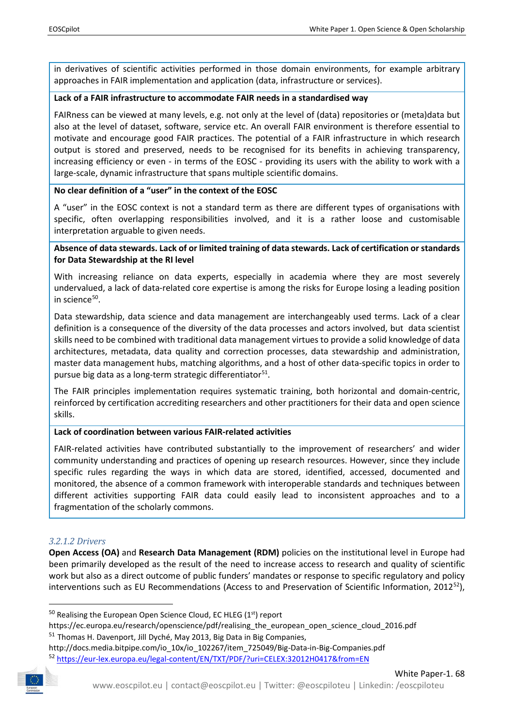in derivatives of scientific activities performed in those domain environments, for example arbitrary approaches in FAIR implementation and application (data, infrastructure or services).

## **Lack of a FAIR infrastructure to accommodate FAIR needs in a standardised way**

FAIRness can be viewed at many levels, e.g. not only at the level of (data) repositories or (meta)data but also at the level of dataset, software, service etc. An overall FAIR environment is therefore essential to motivate and encourage good FAIR practices. The potential of a FAIR infrastructure in which research output is stored and preserved, needs to be recognised for its benefits in achieving transparency, increasing efficiency or even - in terms of the EOSC - providing its users with the ability to work with a large-scale, dynamic infrastructure that spans multiple scientific domains.

## **No clear definition of a "user" in the context of the EOSC**

A "user" in the EOSC context is not a standard term as there are different types of organisations with specific, often overlapping responsibilities involved, and it is a rather loose and customisable interpretation arguable to given needs.

## **Absence of data stewards. Lack of or limited training of data stewards. Lack of certification or standards for Data Stewardship at the RI level**

With increasing reliance on data experts, especially in academia where they are most severely undervalued, a lack of data-related core expertise is among the risks for Europe losing a leading position in science $50$ .

Data stewardship, data science and data management are interchangeably used terms. Lack of a clear definition is a consequence of the diversity of the data processes and actors involved, but data scientist skills need to be combined with traditional data management virtues to provide a solid knowledge of data architectures, metadata, data quality and correction processes, data stewardship and administration, master data management hubs, matching algorithms, and a host of other data-specific topics in order to pursue big data as a long-term strategic differentiator<sup>[51](#page-13-1)</sup>.

The FAIR principles implementation requires systematic training, both horizontal and domain-centric, reinforced by certification accrediting researchers and other practitioners for their data and open science skills.

## **Lack of coordination between various FAIR-related activities**

FAIR-related activities have contributed substantially to the improvement of researchers' and wider community understanding and practices of opening up research resources. However, since they include specific rules regarding the ways in which data are stored, identified, accessed, documented and monitored, the absence of a common framework with interoperable standards and techniques between different activities supporting FAIR data could easily lead to inconsistent approaches and to a fragmentation of the scholarly commons.

## *3.2.1.2 Drivers*

**Open Access (OA)** and **Research Data Management (RDM)** policies on the institutional level in Europe had been primarily developed as the result of the need to increase access to research and quality of scientific work but also as a direct outcome of public funders' mandates or response to specific regulatory and policy interventions such as EU Recommendations (Access to and Preservation of Scientific Information,  $2012^{52}$ ),

<span id="page-13-2"></span><span id="page-13-1"></span><span id="page-13-0"></span>http://docs.media.bitpipe.com/io\_10x/io\_102267/item\_725049/Big-Data-in-Big-Companies.pdf <sup>52</sup> <https://eur-lex.europa.eu/legal-content/EN/TXT/PDF/?uri=CELEX:32012H0417&from=EN>



 $50$  Realising the European Open Science Cloud, EC HLEG ( $1<sup>st</sup>$ ) report

https://ec.europa.eu/research/openscience/pdf/realising\_the\_european\_open\_science\_cloud\_2016.pdf <sup>51</sup> Thomas H. Davenport, Jill Dyché, May 2013, Big Data in Big Companies,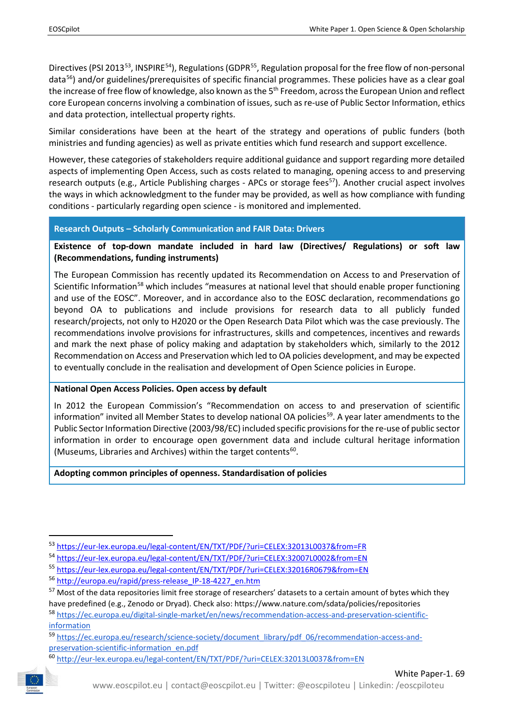Directives (PSI 2013<sup>53</sup>, INSPIRE<sup>54</sup>), Regulations (GDPR<sup>[55](#page-14-2)</sup>, Regulation proposal for the free flow of non-personal data<sup>[56](#page-14-3)</sup>) and/or guidelines/prerequisites of specific financial programmes. These policies have as a clear goal the increase of free flow of knowledge, also known as the 5<sup>th</sup> Freedom, across the European Union and reflect core European concerns involving a combination of issues, such as re-use of Public Sector Information, ethics and data protection, intellectual property rights.

Similar considerations have been at the heart of the strategy and operations of public funders (both ministries and funding agencies) as well as private entities which fund research and support excellence.

However, these categories of stakeholders require additional guidance and support regarding more detailed aspects of implementing Open Access, such as costs related to managing, opening access to and preserving research outputs (e.g., Article Publishing charges - APCs or storage fees<sup>[57](#page-14-4)</sup>). Another crucial aspect involves the ways in which acknowledgment to the funder may be provided, as well as how compliance with funding conditions - particularly regarding open science - is monitored and implemented.

#### **Research Outputs – Scholarly Communication and FAIR Data: Drivers**

**Existence of top-down mandate included in hard law (Directives/ Regulations) or soft law (Recommendations, funding instruments)**

The European Commission has recently updated its Recommendation on Access to and Preservation of Scientific Information<sup>58</sup> which includes "measures at national level that should enable proper functioning and use of the EOSC". Moreover, and in accordance also to the EOSC declaration, recommendations go beyond OA to publications and include provisions for research data to all publicly funded research/projects, not only to H2020 or the Open Research Data Pilot which was the case previously. The recommendations involve provisions for infrastructures, skills and competences, incentives and rewards and mark the next phase of policy making and adaptation by stakeholders which, similarly to the 2012 Recommendation on Access and Preservation which led to OA policies development, and may be expected to eventually conclude in the realisation and development of Open Science policies in Europe.

#### **National Open Access Policies. Open access by default**

In 2012 the European Commission's "Recommendation on access to and preservation of scientific information" invited all Member States to develop national OA policies<sup>59</sup>. A year later amendments to the Public Sector Information Directive (2003/98/EC) included specific provisions for the re-use of public sector information in order to encourage open government data and include cultural heritage information (Museums, Libraries and Archives) within the target contents<sup>60</sup>.

**Adopting common principles of openness. Standardisation of policies**

<span id="page-14-7"></span><span id="page-14-6"></span>

<span id="page-14-0"></span> <sup>53</sup> <https://eur-lex.europa.eu/legal-content/EN/TXT/PDF/?uri=CELEX:32013L0037&from=FR>

<span id="page-14-1"></span><sup>54</sup> <https://eur-lex.europa.eu/legal-content/EN/TXT/PDF/?uri=CELEX:32007L0002&from=EN>

<span id="page-14-2"></span><sup>55</sup> <https://eur-lex.europa.eu/legal-content/EN/TXT/PDF/?uri=CELEX:32016R0679&from=EN>

<span id="page-14-3"></span><sup>56</sup> [http://europa.eu/rapid/press-release\\_IP-18-4227\\_en.htm](http://europa.eu/rapid/press-release_IP-18-4227_en.htm)

<span id="page-14-4"></span><sup>&</sup>lt;sup>57</sup> Most of the data repositories limit free storage of researchers' datasets to a certain amount of bytes which they have predefined (e.g., [Zenodo](http://about.zenodo.org/policies/) or [Dryad\)](https://datadryad.org/pages/payment). Check also:<https://www.nature.com/sdata/policies/repositories>

<span id="page-14-5"></span><sup>58</sup> [https://ec.europa.eu/digital-single-market/en/news/recommendation-access-and-preservation-scientific](https://ec.europa.eu/digital-single-market/en/news/recommendation-access-and-preservation-scientific-information)[information](https://ec.europa.eu/digital-single-market/en/news/recommendation-access-and-preservation-scientific-information)

<sup>59</sup> [https://ec.europa.eu/research/science-society/document\\_library/pdf\\_06/recommendation-access-and](https://ec.europa.eu/research/science-society/document_library/pdf_06/recommendation-access-and-preservation-scientific-information_en.pdf)[preservation-scientific-information\\_en.pdf](https://ec.europa.eu/research/science-society/document_library/pdf_06/recommendation-access-and-preservation-scientific-information_en.pdf)

<sup>60</sup> <http://eur-lex.europa.eu/legal-content/EN/TXT/PDF/?uri=CELEX:32013L0037&from=EN>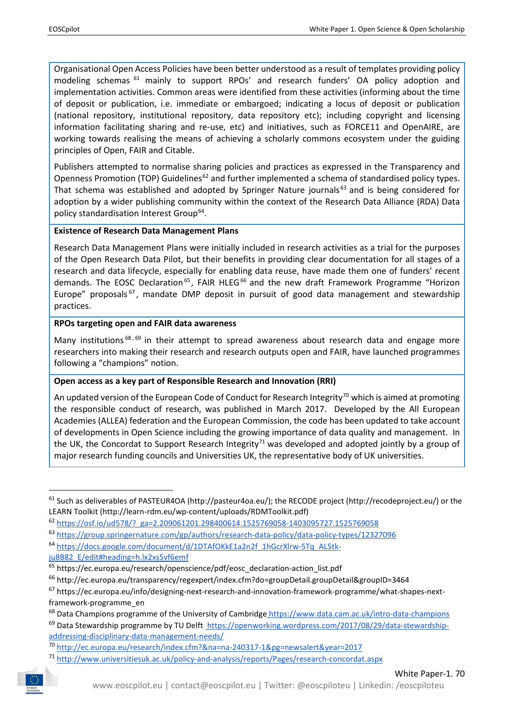Organisational Open Access Policies have been better understood as a result of templates providing policy modeling schemas [61](#page-15-0) mainly to support RPOs' and research funders' OA policy adoption and implementation activities. Common areas were identified from these activities (informing about the time of deposit or publication, i.e. immediate or embargoed; indicating a locus of deposit or publication (national repository, institutional repository, data repository etc); including copyright and licensing information facilitating sharing and re-use, etc) and initiatives, such as FORCE11 and OpenAIRE, are working towards realising the means of achieving a scholarly commons ecosystem under the guiding principles of Open, FAIR and Citable.

Publishers attempted to normalise sharing policies and practices as expressed in the Transparency and Openness Promotion (TOP) Guidelines<sup>[62](#page-15-1)</sup> and further implemented a schema of standardised policy types. That schema was established and adopted by Springer Nature journals<sup>[63](#page-15-2)</sup> and is being considered for adoption by a wider publishing community within the context of the Research Data Alliance (RDA) Data policy standardisation Interest Group<sup>64</sup>.

## **Existence of Research Data Management Plans**

Research Data Management Plans were initially included in research activities as a trial for the purposes of the Open Research Data Pilot, but their benefits in providing clear documentation for all stages of a research and data lifecycle, especially for enabling data reuse, have made them one of funders' recent demands. The EOSC Declaration<sup>[65](#page-15-4)</sup>, FAIR HLEG<sup>[66](#page-15-5)</sup> and the new draft Framework Programme "Horizon Europe" proposals  $67$ , mandate DMP deposit in pursuit of good data management and stewardship practices.

## **RPOs targeting open and FAIR data awareness**

Many institutions<sup>[68](#page-15-7),[69](#page-15-8)</sup> in their attempt to spread awareness about research data and engage more researchers into making their research and research outputs open and FAIR, have launched programmes following a "champions" notion.

## **Open access as a key part of Responsible Research and Innovation (RRI)**

An updated version of the European Code of Conduct for Research Integrity<sup>[70](#page-15-9)</sup> which is aimed at promoting the responsible conduct of research, was published in March 2017. Developed by the All European Academies (ALLEA) federation and the European Commission, the code has been updated to take account of developments in Open Science including the growing importance of data quality and management. In the UK, the Concordat to Support Research Integrity<sup>[71](#page-15-10)</sup> was developed and adopted jointly by a group of major research funding councils and Universities UK, the representative body of UK universities.

<span id="page-15-10"></span><span id="page-15-9"></span><span id="page-15-8"></span>

<span id="page-15-0"></span><sup>&</sup>lt;sup>61</sup> Such as deliverables of PASTEUR4OA (http://pasteur4oa.eu/); the RECODE project (http://recodeproject.eu/) or the LEARN Toolkit (http://learn-rdm.eu/wp-content/uploads/RDMToolkit.pdf)

<span id="page-15-1"></span><sup>62</sup> [https://osf.io/ud578/?\\_ga=2.209061201.298400614.1525769058-1403095727.1525769058](https://osf.io/ud578/?_ga=2.209061201.298400614.1525769058-1403095727.1525769058)

<span id="page-15-2"></span><sup>63</sup> <https://group.springernature.com/gp/authors/research-data-policy/data-policy-types/12327096>

<span id="page-15-3"></span><sup>64</sup> [https://docs.google.com/document/d/1DTAfOKkE1a2n2f\\_1hGcrXlrw-5Tq\\_AL5tk-](https://docs.google.com/document/d/1DTAfOKkE1a2n2f_1hGcrXlrw-5Tq_AL5tk-ju8B82_E/edit#heading=h.lx2xs5vf6emf)

[ju8B82\\_E/edit#heading=h.lx2xs5vf6emf](https://docs.google.com/document/d/1DTAfOKkE1a2n2f_1hGcrXlrw-5Tq_AL5tk-ju8B82_E/edit#heading=h.lx2xs5vf6emf)

<span id="page-15-4"></span><sup>&</sup>lt;sup>65</sup> [https://ec.europa.eu/research/openscience/pdf/eosc\\_declaration-action\\_list.pdf](https://ec.europa.eu/research/openscience/pdf/eosc_declaration-action_list.pdf)

<span id="page-15-5"></span><sup>66</sup> <http://ec.europa.eu/transparency/regexpert/index.cfm?do=groupDetail.groupDetail&groupID=3464>

<span id="page-15-6"></span><sup>67</sup> [https://ec.europa.eu/info/designing-next-research-and-innovation-framework-programme/what-shapes-next](https://ec.europa.eu/info/designing-next-research-and-innovation-framework-programme/what-shapes-next-framework-programme_en)[framework-programme\\_en](https://ec.europa.eu/info/designing-next-research-and-innovation-framework-programme/what-shapes-next-framework-programme_en)

<span id="page-15-7"></span><sup>68</sup> Data Champions programme of the University of Cambridge <https://www.data.cam.ac.uk/intro-data-champions>

 $^{69}$  Data Stewardship programme by TU Delft [https://openworking.wordpress.com/2017/08/29/data-stewardship](https://openworking.wordpress.com/2017/08/29/data-stewardship-addressing-disciplinary-data-management-needs/)[addressing-disciplinary-data-management-needs/](https://openworking.wordpress.com/2017/08/29/data-stewardship-addressing-disciplinary-data-management-needs/)

<sup>70</sup> <http://ec.europa.eu/research/index.cfm?&na=na-240317-1&pg=newsalert&year=2017>

<sup>71</sup> <http://www.universitiesuk.ac.uk/policy-and-analysis/reports/Pages/research-concordat.aspx>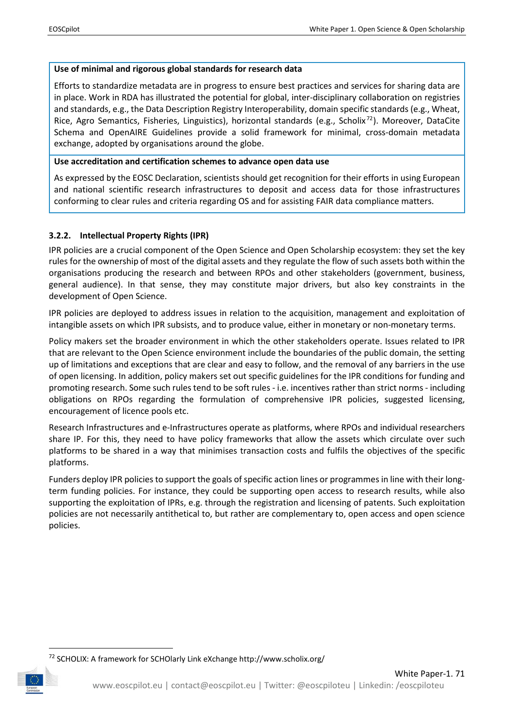## **Use of minimal and rigorous global standards for research data**

Efforts to standardize metadata are in progress to ensure best practices and services for sharing data are in place. Work in RDA has illustrated the potential for global, inter-disciplinary collaboration on registries and standards, e.g., the Data Description Registry Interoperability, domain specific standards (e.g., Wheat, Rice, Agro Semantics, Fisheries, Linguistics), horizontal standards (e.g., Scholix<sup>[72](#page-16-1)</sup>). Moreover, DataCite Schema and OpenAIRE Guidelines provide a solid framework for minimal, cross-domain metadata exchange, adopted by organisations around the globe.

### **Use accreditation and certification schemes to advance open data use**

As expressed by the EOSC Declaration, scientists should get recognition for their efforts in using European and national scientific research infrastructures to deposit and access data for those infrastructures conforming to clear rules and criteria regarding OS and for assisting FAIR data compliance matters.

## <span id="page-16-0"></span>**3.2.2. Intellectual Property Rights (IPR)**

IPR policies are a crucial component of the Open Science and Open Scholarship ecosystem: they set the key rules for the ownership of most of the digital assets and they regulate the flow of such assets both within the organisations producing the research and between RPOs and other stakeholders (government, business, general audience). In that sense, they may constitute major drivers, but also key constraints in the development of Open Science.

IPR policies are deployed to address issues in relation to the acquisition, management and exploitation of intangible assets on which IPR subsists, and to produce value, either in monetary or non-monetary terms.

Policy makers set the broader environment in which the other stakeholders operate. Issues related to IPR that are relevant to the Open Science environment include the boundaries of the public domain, the setting up of limitations and exceptions that are clear and easy to follow, and the removal of any barriers in the use of open licensing. In addition, policy makers set out specific guidelines for the IPR conditions for funding and promoting research. Some such rules tend to be soft rules - i.e. incentives rather than strict norms - including obligations on RPOs regarding the formulation of comprehensive IPR policies, suggested licensing, encouragement of licence pools etc.

Research Infrastructures and e-Infrastructures operate as platforms, where RPOs and individual researchers share IP. For this, they need to have policy frameworks that allow the assets which circulate over such platforms to be shared in a way that minimises transaction costs and fulfils the objectives of the specific platforms.

Funders deploy IPR policies to support the goals of specific action lines or programmes in line with their longterm funding policies. For instance, they could be supporting open access to research results, while also supporting the exploitation of IPRs, e.g. through the registration and licensing of patents. Such exploitation policies are not necessarily antithetical to, but rather are complementary to, open access and open science policies.

<span id="page-16-1"></span> <sup>72</sup> SCHOLIX: A framework for SCHOlarly Link eXchange http://www.scholix.org/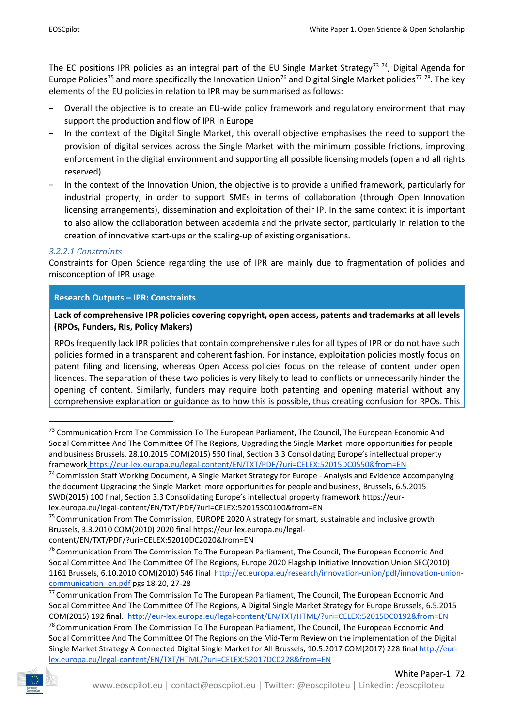The EC positions IPR policies as an integral part of the EU Single Market Strategy<sup>[73](#page-17-0) [74](#page-17-1)</sup>, Digital Agenda for Europe Policies<sup>[75](#page-17-2)</sup> and more specifically the Innovation Union<sup>[76](#page-17-3)</sup> and Digital Single Market policies<sup>[77](#page-17-4)</sup> <sup>78</sup>. The key elements of the EU policies in relation to IPR may be summarised as follows:

- Overall the objective is to create an EU-wide policy framework and regulatory environment that may support the production and flow of IPR in Europe
- In the context of the Digital Single Market, this overall objective emphasises the need to support the provision of digital services across the Single Market with the minimum possible frictions, improving enforcement in the digital environment and supporting all possible licensing models (open and all rights reserved)
- − In the context of the Innovation Union, the objective is to provide a unified framework, particularly for industrial property, in order to support SMEs in terms of collaboration (through Open Innovation licensing arrangements), dissemination and exploitation of their IP. In the same context it is important to also allow the collaboration between academia and the private sector, particularly in relation to the creation of innovative start-ups or the scaling-up of existing organisations.

## *3.2.2.1 Constraints*

Constraints for Open Science regarding the use of IPR are mainly due to fragmentation of policies and misconception of IPR usage.

## **Research Outputs – IPR: Constraints**

**Lack of comprehensive IPR policies covering copyright, open access, patents and trademarks at all levels (RPOs, Funders, RIs, Policy Makers)**

RPOs frequently lack IPR policies that contain comprehensive rules for all types of IPR or do not have such policies formed in a transparent and coherent fashion. For instance, exploitation policies mostly focus on patent filing and licensing, whereas Open Access policies focus on the release of content under open licences. The separation of these two policies is very likely to lead to conflicts or unnecessarily hinder the opening of content. Similarly, funders may require both patenting and opening material without any comprehensive explanation or guidance as to how this is possible, thus creating confusion for RPOs. This

<span id="page-17-5"></span><span id="page-17-4"></span><sup>&</sup>lt;sup>78</sup> Communication From The Commission To The European Parliament, The Council, The European Economic And Social Committee And The Committee Of The Regions on the Mid-Term Review on the implementation of the Digital Single Market Strategy A Connected Digital Single Market for All Brussels, 10.5.2017 COM(2017) 228 final [http://eur](http://eur-lex.europa.eu/legal-content/EN/TXT/HTML/?uri=CELEX:52017DC0228&from=EN)[lex.europa.eu/legal-content/EN/TXT/HTML/?uri=CELEX:52017DC0228&from=EN](http://eur-lex.europa.eu/legal-content/EN/TXT/HTML/?uri=CELEX:52017DC0228&from=EN)



<span id="page-17-0"></span><sup>&</sup>lt;sup>73</sup> Communication From The Commission To The European Parliament, The Council, The European Economic And Social Committee And The Committee Of The Regions, Upgrading the Single Market: more opportunities for people and business Brussels, 28.10.2015 COM(2015) 550 final, Section 3.3 Consolidating Europe's intellectual property framework [h](http://eur-lex.europa.eu/legal-content/EN/TXT/HTML/?uri=CELEX:52015DC0550&from=EN)ttps://eur-lex.europa.eu/legal-content/EN/TXT/PDF/?uri=CELEX:52015DC0550&from=EN

<span id="page-17-1"></span><sup>&</sup>lt;sup>74</sup> Commission Staff Working Document, A Single Market Strategy for Europe - Analysis and Evidence Accompanying the document Upgrading the Single Market: more opportunities for people and business, Brussels, 6.5.2015 SWD(2015) 100 final, Section 3.3 Consolidating Europe's intellectual property framework https://eurlex.europa.eu/legal-content/EN/TXT/PDF/?uri=CELEX:52015SC0100&from=EN

<span id="page-17-2"></span><sup>&</sup>lt;sup>75</sup> Communication From The Commission, EUROPE 2020 A strategy for smart, sustainable and inclusive growth Brussels, 3.3.2010 COM(2010) 2020 final https://eur-lex.europa.eu/legalcontent/EN/TXT/PDF/?uri=CELEX:52010DC2020&from=EN

<span id="page-17-3"></span><sup>&</sup>lt;sup>76</sup> Communication From The Commission To The European Parliament, The Council, The European Economic And Social Committee And The Committee Of The Regions, Europe 2020 Flagship Initiative Innovation Union SEC(2010) 1161 Brussels, 6.10.2010 COM(2010) 546 fina[l http://ec.europa.eu/research/innovation-union/pdf/innovation-union](http://ec.europa.eu/research/innovation-union/pdf/innovation-union-communication_en.pdf)[communication\\_en.pdf](http://ec.europa.eu/research/innovation-union/pdf/innovation-union-communication_en.pdf) pgs 18-20, 27-28

<sup>77</sup> Communication From The Commission To The European Parliament, The Council, The European Economic And Social Committee And The Committee Of The Regions, A Digital Single Market Strategy for Europe Brussels, 6.5.2015 COM(2015) 192 final[. http://eur-lex.europa.eu/legal-content/EN/TXT/HTML/?uri=CELEX:52015DC0192&from=EN](http://eur-lex.europa.eu/legal-content/EN/TXT/HTML/?uri=CELEX:52015DC0192&from=EN)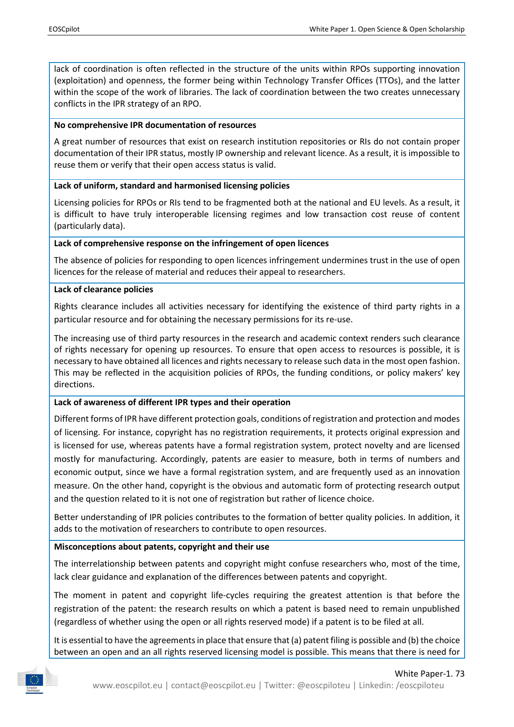lack of coordination is often reflected in the structure of the units within RPOs supporting innovation (exploitation) and openness, the former being within Technology Transfer Offices (TTOs), and the latter within the scope of the work of libraries. The lack of coordination between the two creates unnecessary conflicts in the IPR strategy of an RPO.

### **No comprehensive IPR documentation of resources**

A great number of resources that exist on research institution repositories or RIs do not contain proper documentation of their IPR status, mostly IP ownership and relevant licence. As a result, it is impossible to reuse them or verify that their open access status is valid.

## **Lack of uniform, standard and harmonised licensing policies**

Licensing policies for RPOs or RIs tend to be fragmented both at the national and EU levels. As a result, it is difficult to have truly interoperable licensing regimes and low transaction cost reuse of content (particularly data).

#### **Lack of comprehensive response on the infringement of open licences**

The absence of policies for responding to open licences infringement undermines trust in the use of open licences for the release of material and reduces their appeal to researchers.

#### **Lack of clearance policies**

Rights clearance includes all activities necessary for identifying the existence of third party rights in a particular resource and for obtaining the necessary permissions for its re-use.

The increasing use of third party resources in the research and academic context renders such clearance of rights necessary for opening up resources. To ensure that open access to resources is possible, it is necessary to have obtained all licences and rights necessary to release such data in the most open fashion. This may be reflected in the acquisition policies of RPOs, the funding conditions, or policy makers' key directions.

## **Lack of awareness of different IPR types and their operation**

Different forms of IPR have different protection goals, conditions of registration and protection and modes of licensing. For instance, copyright has no registration requirements, it protects original expression and is licensed for use, whereas patents have a formal registration system, protect novelty and are licensed mostly for manufacturing. Accordingly, patents are easier to measure, both in terms of numbers and economic output, since we have a formal registration system, and are frequently used as an innovation measure. On the other hand, copyright is the obvious and automatic form of protecting research output and the question related to it is not one of registration but rather of licence choice.

Better understanding of IPR policies contributes to the formation of better quality policies. In addition, it adds to the motivation of researchers to contribute to open resources.

## **Misconceptions about patents, copyright and their use**

The interrelationship between patents and copyright might confuse researchers who, most of the time, lack clear guidance and explanation of the differences between patents and copyright.

The moment in patent and copyright life-cycles requiring the greatest attention is that before the registration of the patent: the research results on which a patent is based need to remain unpublished (regardless of whether using the open or all rights reserved mode) if a patent is to be filed at all.

It is essential to have the agreements in place that ensure that (a) patent filing is possible and (b) the choice between an open and an all rights reserved licensing model is possible. This means that there is need for

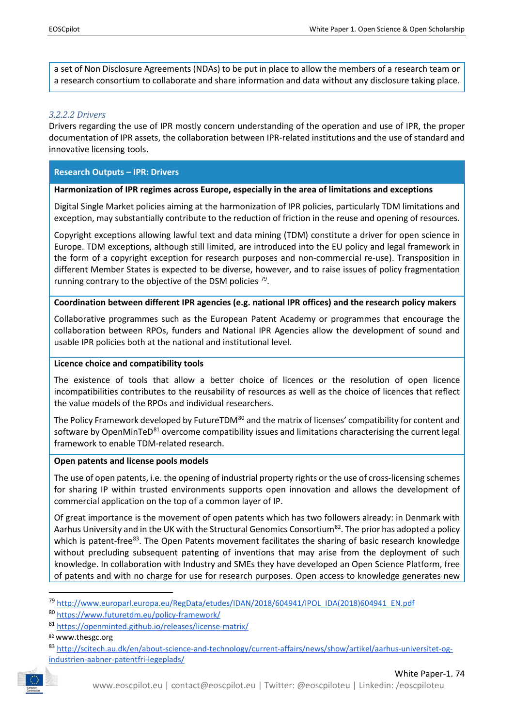a set of Non Disclosure Agreements (NDAs) to be put in place to allow the members of a research team or a research consortium to collaborate and share information and data without any disclosure taking place.

## *3.2.2.2 Drivers*

Drivers regarding the use of IPR mostly concern understanding of the operation and use of IPR, the proper documentation of IPR assets, the collaboration between IPR-related institutions and the use of standard and innovative licensing tools.

## **Research Outputs – IPR: Drivers**

## **Harmonization of IPR regimes across Europe, especially in the area of limitations and exceptions**

Digital Single Market policies aiming at the harmonization of IPR policies, particularly TDM limitations and exception, may substantially contribute to the reduction of friction in the reuse and opening of resources.

Copyright exceptions allowing lawful text and data mining (TDM) constitute a driver for open science in Europe. TDM exceptions, although still limited, are introduced into the EU policy and legal framework in the form of a copyright exception for research purposes and non-commercial re-use). Transposition in different Member States is expected to be diverse, however, and to raise issues of policy fragmentation running contrary to the objective of the DSM policies<sup>[79](#page-19-0)</sup>.

#### **Coordination between different IPR agencies (e.g. national IPR offices) and the research policy makers**

Collaborative programmes such as the European Patent Academy or programmes that encourage the collaboration between RPOs, funders and National IPR Agencies allow the development of sound and usable IPR policies both at the national and institutional level.

#### **Licence choice and compatibility tools**

The existence of tools that allow a better choice of licences or the resolution of open licence incompatibilities contributes to the reusability of resources as well as the choice of licences that reflect the value models of the RPOs and individual researchers.

The Policy Framework developed by FutureTDM<sup>[80](#page-19-1)</sup> and the matrix of licenses' compatibility for content and software by OpenMinTeD<sup>[81](#page-19-2)</sup> overcome compatibility issues and limitations characterising the current legal framework to enable TDM-related research.

#### **Open patents and license pools models**

The use of open patents, i.e. the opening of industrial property rights or the use of cross-licensing schemes for sharing IP within trusted environments supports open innovation and allows the development of commercial application on the top of a common layer of IP.

Of great importance is the movement of open patents which has two followers already: in Denmark with Aarhus University and in the UK with the Structural Genomics Consortium<sup>82</sup>. The prior has adopted a policy which is patent-free<sup>[83](#page-19-4)</sup>. The Open Patents movement facilitates the sharing of basic research knowledge without precluding subsequent patenting of inventions that may arise from the deployment of such knowledge. In collaboration with Industry and SMEs they have developed an Open Science Platform, free of patents and with no charge for use for research purposes. Open access to knowledge generates new

<span id="page-19-4"></span><span id="page-19-3"></span><span id="page-19-2"></span><span id="page-19-1"></span><span id="page-19-0"></span><sup>83</sup> [http://scitech.au.dk/en/about-science-and-technology/current-affairs/news/show/artikel/aarhus-universitet-og](http://scitech.au.dk/en/about-science-and-technology/current-affairs/news/show/artikel/aarhus-universitet-og-industrien-aabner-patentfri-legeplads/)[industrien-aabner-patentfri-legeplads/](http://scitech.au.dk/en/about-science-and-technology/current-affairs/news/show/artikel/aarhus-universitet-og-industrien-aabner-patentfri-legeplads/)



 <sup>79</sup> [http://www.europarl.europa.eu/RegData/etudes/IDAN/2018/604941/IPOL\\_IDA\(2018\)604941\\_EN.pdf](http://www.europarl.europa.eu/RegData/etudes/IDAN/2018/604941/IPOL_IDA(2018)604941_EN.pdf)

<sup>80</sup> <https://www.futuretdm.eu/policy-framework/>

<sup>81</sup> <https://openminted.github.io/releases/license-matrix/>

<sup>82</sup> www.thesgc.org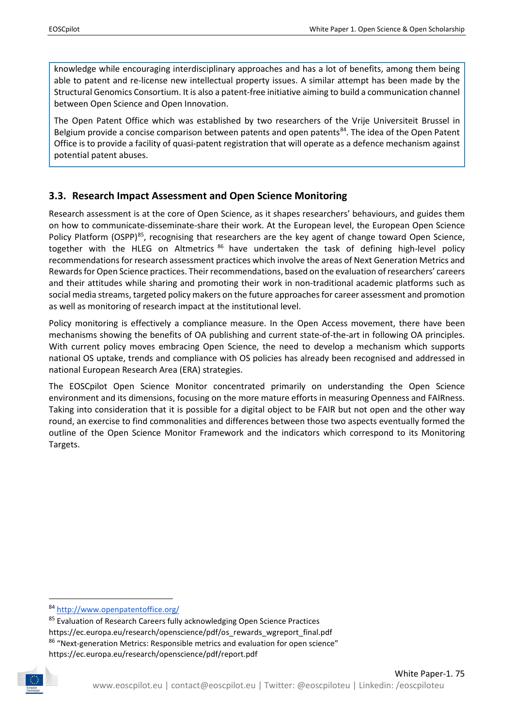knowledge while encouraging interdisciplinary approaches and has a lot of benefits, among them being able to patent and re-license new intellectual property issues. A similar attempt has been made by the Structural Genomics Consortium. It is also a patent-free initiative aiming to build a communication channel between Open Science and Open Innovation.

The Open Patent Office which was established by two researchers of the Vrije Universiteit Brussel in Belgium provide a concise comparison between patents and open patents<sup>[84](#page-20-1)</sup>. The idea of the Open Patent Office is to provide a facility of quasi-patent registration that will operate as a defence mechanism against potential patent abuses.

## <span id="page-20-0"></span>**3.3. Research Impact Assessment and Open Science Monitoring**

Research assessment is at the core of Open Science, as it shapes researchers' behaviours, and guides them on how to communicate-disseminate-share their work. At the European level, the European Open Science Policy Platform (OSPP)<sup>85</sup>, recognising that researchers are the key agent of change toward Open Science, together with the HLEG on Altmetrics <sup>[86](#page-20-3)</sup> have undertaken the task of defining high-level policy recommendations for research assessment practices which involve the areas of Next Generation Metrics and Rewards for Open Science practices. Their recommendations, based on the evaluation of researchers' careers and their attitudes while sharing and promoting their work in non-traditional academic platforms such as social media streams, targeted policy makers on the future approaches for career assessment and promotion as well as monitoring of research impact at the institutional level.

Policy monitoring is effectively a compliance measure. In the Open Access movement, there have been mechanisms showing the benefits of OA publishing and current state-of-the-art in following OA principles. With current policy moves embracing Open Science, the need to develop a mechanism which supports national OS uptake, trends and compliance with OS policies has already been recognised and addressed in national European Research Area (ERA) strategies.

The EOSCpilot Open Science Monitor concentrated primarily on understanding the Open Science environment and its dimensions, focusing on the more mature efforts in measuring Openness and FAIRness. Taking into consideration that it is possible for a digital object to be FAIR but not open and the other way round, an exercise to find commonalities and differences between those two aspects eventually formed the outline of the Open Science Monitor Framework and the indicators which correspond to its Monitoring Targets.

<span id="page-20-3"></span><span id="page-20-2"></span><span id="page-20-1"></span><sup>85</sup> Evaluation of Research Careers fully acknowledging Open Science Practices https://ec.europa.eu/research/openscience/pdf/os\_rewards\_wgreport\_final.pdf <sup>86</sup> "Next-generation Metrics: Responsible metrics and evaluation for open science" https://ec.europa.eu/research/openscience/pdf/report.pdf



 <sup>84</sup> <http://www.openpatentoffice.org/>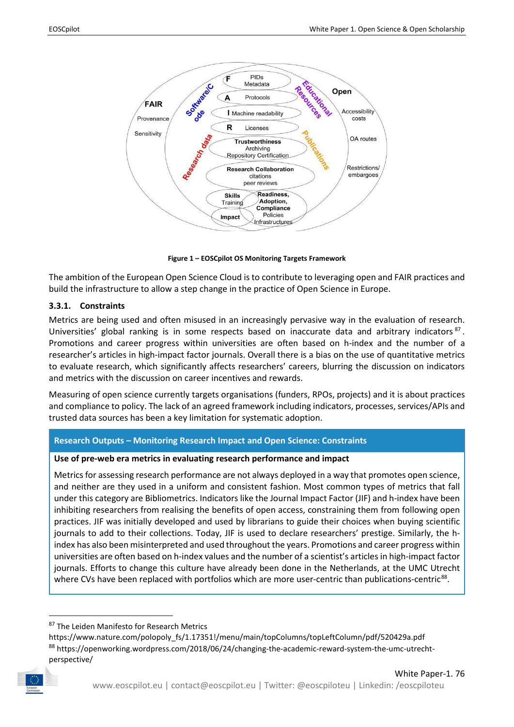

**Figure 1 – EOSCpilot OS Monitoring Targets Framework**

<span id="page-21-1"></span>The ambition of the European Open Science Cloud is to contribute to leveraging open and FAIR practices and build the infrastructure to allow a step change in the practice of Open Science in Europe.

#### <span id="page-21-0"></span>**3.3.1. Constraints**

Metrics are being used and often misused in an increasingly pervasive way in the evaluation of research. Universities' global ranking is in some respects based on inaccurate data and arbitrary indicators  $87$ . Promotions and career progress within universities are often based on h-index and the number of a researcher's articles in high-impact factor journals. Overall there is a bias on the use of quantitative metrics to evaluate research, which significantly affects researchers' careers, blurring the discussion on indicators and metrics with the discussion on career incentives and rewards.

Measuring of open science currently targets organisations (funders, RPOs, projects) and it is about practices and compliance to policy. The lack of an agreed framework including indicators, processes, services/APIs and trusted data sources has been a key limitation for systematic adoption.

#### **Research Outputs – Monitoring Research Impact and Open Science: Constraints**

#### **Use of pre-web era metrics in evaluating research performance and impact**

Metrics for assessing research performance are not always deployed in a way that promotes open science, and neither are they used in a uniform and consistent fashion. Most common types of metrics that fall under this category are Bibliometrics. Indicators like the Journal Impact Factor (JIF) and h-index have been inhibiting researchers from realising the benefits of open access, constraining them from following open practices. JIF was initially developed and used by librarians to guide their choices when buying scientific journals to add to their collections. Today, JIF is used to declare researchers' prestige. Similarly, the hindex has also been misinterpreted and used throughout the years. Promotions and career progress within universities are often based on h-index values and the number of a scientist's articles in high-impact factor journals. Efforts to change this culture have already been done in the Netherlands, at the UMC Utrecht where CVs have been replaced with portfolios which are more user-centric than publications-centric<sup>[88](#page-21-3)</sup>.

<span id="page-21-3"></span><span id="page-21-2"></span>https://www.nature.com/polopoly\_fs/1.17351!/menu/main/topColumns/topLeftColumn/pdf/520429a.pdf 88 [https://openworking.wordpress.com/2018/06/24/changing-the-academic-reward-system-the-umc-utrecht](https://openworking.wordpress.com/2018/06/24/changing-the-academic-reward-system-the-umc-utrecht-perspective/)[perspective/](https://openworking.wordpress.com/2018/06/24/changing-the-academic-reward-system-the-umc-utrecht-perspective/)



<sup>87</sup> The Leiden Manifesto for Research Metrics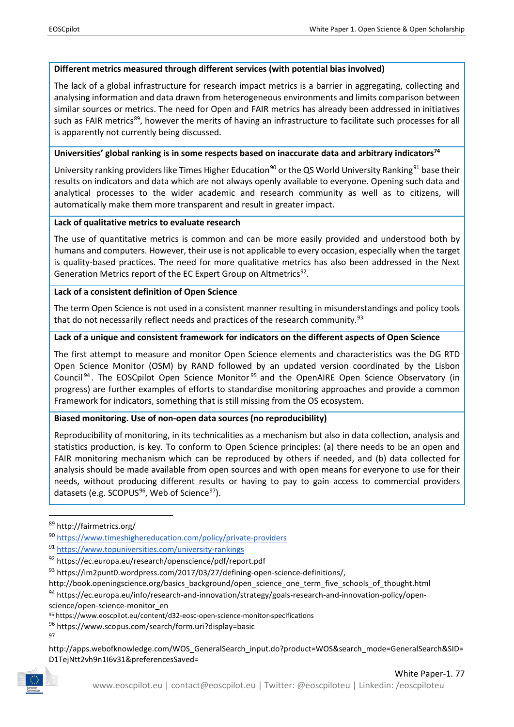## **Different metrics measured through different services (with potential bias involved)**

The lack of a global infrastructure for research impact metrics is a barrier in aggregating, collecting and analysing information and data drawn from heterogeneous environments and limits comparison between similar sources or metrics. The need for Open and FAIR metrics has already been addressed in initiatives such as FAIR metrics<sup>[89](#page-22-0)</sup>, however the merits of having an infrastructure to facilitate such processes for all is apparently not currently being discussed.

## **Universities' global ranking is in some respects based on inaccurate data and arbitrary indicators74**

University ranking providers like Times Higher Education<sup>[90](#page-22-1)</sup> or the QS World University Ranking<sup>[91](#page-22-2)</sup> base their results on indicators and data which are not always openly available to everyone. Opening such data and analytical processes to the wider academic and research community as well as to citizens, will automatically make them more transparent and result in greater impact.

## **Lack of qualitative metrics to evaluate research**

The use of quantitative metrics is common and can be more easily provided and understood both by humans and computers. However, their use is not applicable to every occasion, especially when the target is quality-based practices. The need for more qualitative metrics has also been addressed in the Next Generation Metrics report of the EC Expert Group on Altmetrics<sup>[92](#page-22-3)</sup>.

## **Lack of a consistent definition of Open Science**

The term Open Science is not used in a consistent manner resulting in misunderstandings and policy tools that do not necessarily reflect needs and practices of the research community.<sup>[93](#page-22-4)</sup>

## **Lack of a unique and consistent framework for indicators on the different aspects of Open Science**

The first attempt to measure and monitor Open Science elements and characteristics was the DG RTD Open Science Monitor (OSM) by RAND followed by an updated version coordinated by the Lisbon Council [94](#page-22-5) . The EOSCpilot Open Science Monitor [95](#page-22-6) and the OpenAIRE Open Science Observatory (in progress) are further examples of efforts to standardise monitoring approaches and provide a common Framework for indicators, something that is still missing from the OS ecosystem.

## **Biased monitoring. Use of non-open data sources (no reproducibility)**

Reproducibility of monitoring, in its technicalities as a mechanism but also in data collection, analysis and statistics production, is key. To conform to Open Science principles: (a) there needs to be an open and FAIR monitoring mechanism which can be reproduced by others if needed, and (b) data collected for analysis should be made available from open sources and with open means for everyone to use for their needs, without producing different results or having to pay to gain access to commercial providers datasets (e.g. SCOPUS<sup>96</sup>, Web of Science<sup>97</sup>).

[http://book.openingscience.org/basics\\_background/open\\_science\\_one\\_term\\_five\\_schools\\_of\\_thought.html](http://book.openingscience.org/basics_background/open_science_one_term_five_schools_of_thought.html)

<span id="page-22-5"></span>94 [https://ec.europa.eu/info/research-and-innovation/strategy/goals-research-and-innovation-policy/open-](https://ec.europa.eu/info/research-and-innovation/strategy/goals-research-and-innovation-policy/open-science/open-science-monitor_en)

[science/open-science-monitor\\_en](https://ec.europa.eu/info/research-and-innovation/strategy/goals-research-and-innovation-policy/open-science/open-science-monitor_en)

<span id="page-22-8"></span><span id="page-22-7"></span>

97

<span id="page-22-0"></span> <sup>89</sup> <http://fairmetrics.org/>

<span id="page-22-1"></span><sup>90</sup> <https://www.timeshighereducation.com/policy/private-providers>

<span id="page-22-2"></span><sup>91</sup> <https://www.topuniversities.com/university-rankings>

<span id="page-22-3"></span><sup>92</sup> <https://ec.europa.eu/research/openscience/pdf/report.pdf>

<span id="page-22-4"></span><sup>93</sup> [https://im2punt0.wordpress.com/2017/03/27/defining-open-science-definitions/,](https://im2punt0.wordpress.com/2017/03/27/defining-open-science-definitions/) 

<span id="page-22-6"></span><sup>95</sup> https://www.eoscpilot.eu/content/d32-eosc-open-science-monitor-specifications

<sup>96</sup> <https://www.scopus.com/search/form.uri?display=basic>

[http://apps.webofknowledge.com/WOS\\_GeneralSearch\\_input.do?product=WOS&search\\_mode=GeneralSearch&SID=](http://apps.webofknowledge.com/WOS_GeneralSearch_input.do?product=WOS&search_mode=GeneralSearch&SID=D1TejNtt2vh9n1I6v31&preferencesSaved=) [D1TejNtt2vh9n1I6v31&preferencesSaved=](http://apps.webofknowledge.com/WOS_GeneralSearch_input.do?product=WOS&search_mode=GeneralSearch&SID=D1TejNtt2vh9n1I6v31&preferencesSaved=)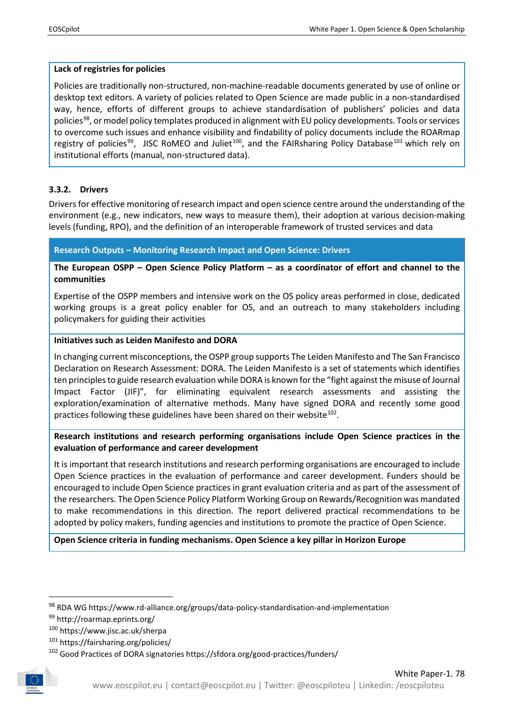## **Lack of registries for policies**

Policies are traditionally non-structured, non-machine-readable documents generated by use of online or desktop text editors. A variety of policies related to Open Science are made public in a non-standardised way, hence, efforts of different groups to achieve standardisation of publishers' policies and data policies<sup>98</sup>, or model policy templates produced in alignment with EU policy developments. Tools or services to overcome such issues and enhance visibility and findability of policy documents include the ROARmap registry of policies<sup>[99](#page-23-2)</sup>, JISC RoMEO and Juliet<sup>[100](#page-23-3)</sup>, and the FAIRsharing Policy Database<sup>[101](#page-23-4)</sup> which rely on institutional efforts (manual, non-structured data).

## <span id="page-23-0"></span>**3.3.2. Drivers**

Drivers for effective monitoring of research impact and open science centre around the understanding of the environment (e.g., new indicators, new ways to measure them), their adoption at various decision-making levels (funding, RPO), and the definition of an interoperable framework of trusted services and data

**Research Outputs – Monitoring Research Impact and Open Science: Drivers**

**The European OSPP – Open Science Policy Platform – as a coordinator of effort and channel to the communities**

Expertise of the OSPP members and intensive work on the OS policy areas performed in close, dedicated working groups is a great policy enabler for OS, and an outreach to many stakeholders including policymakers for guiding their activities

## **Initiatives such as Leiden Manifesto and DORA**

In changing current misconceptions, the OSPP group supports The Leiden Manifesto and The San Francisco Declaration on Research Assessment: DORA. The Leiden Manifesto is a set of statements which identifies ten principles to guide research evaluation while DORA is known for the "fight against the misuse of Journal Impact Factor (JIF)", for eliminating equivalent research assessments and assisting the exploration/examination of alternative methods. Many have signed DORA and recently some good practices following these guidelines have been shared on their website<sup>[102](#page-23-5)</sup>.

**Research institutions and research performing organisations include Open Science practices in the evaluation of performance and career development**

It is important that research institutions and research performing organisations are encouraged to include Open Science practices in the evaluation of performance and career development. Funders should be encouraged to include Open Science practices in grant evaluation criteria and as part of the assessment of the researchers. The Open Science Policy Platform Working Group on Rewards/Recognition was mandated to make recommendations in this direction. The report delivered practical recommendations to be adopted by policy makers, funding agencies and institutions to promote the practice of Open Science.

**Open Science criteria in funding mechanisms. Open Science a key pillar in Horizon Europe**

<sup>101</sup> <https://fairsharing.org/policies/>

<span id="page-23-5"></span><span id="page-23-4"></span><span id="page-23-3"></span><span id="page-23-2"></span><span id="page-23-1"></span><sup>102</sup> Good Practices of DORA signatories https://sfdora.org/good-practices/funders/



White Paper-1. 78

 <sup>98</sup> RDA WG https://www.rd-alliance.org/groups/data-policy-standardisation-and-implementation

<sup>99</sup> http://roarmap.eprints.org/

<sup>100</sup> <https://www.jisc.ac.uk/sherpa>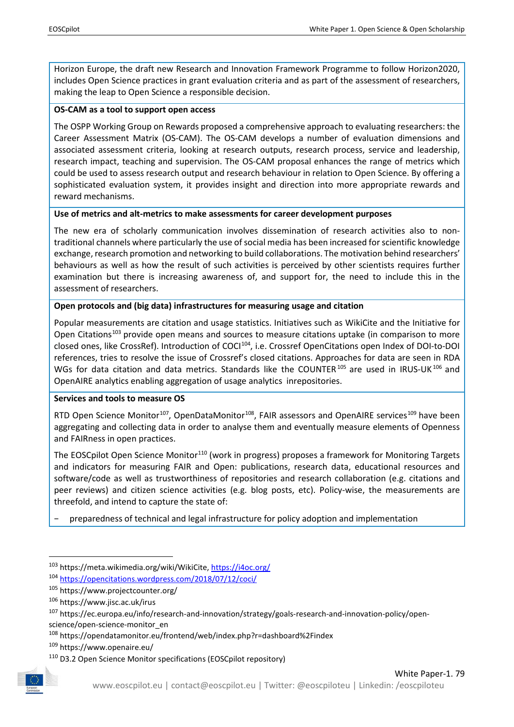Horizon Europe, the draft new Research and Innovation Framework Programme to follow Horizon2020, includes Open Science practices in grant evaluation criteria and as part of the assessment of researchers, making the leap to Open Science a responsible decision.

### **OS-CAM as a tool to support open access**

The OSPP Working Group on Rewards proposed a comprehensive approach to evaluating researchers: the Career Assessment Matrix (OS-CAM). The OS-CAM develops a number of evaluation dimensions and associated assessment criteria, looking at research outputs, research process, service and leadership, research impact, teaching and supervision. The OS-CAM proposal enhances the range of metrics which could be used to assess research output and research behaviour in relation to Open Science. By offering a sophisticated evaluation system, it provides insight and direction into more appropriate rewards and reward mechanisms.

#### **Use of metrics and alt-metrics to make assessments for career development purposes**

The new era of scholarly communication involves dissemination of research activities also to nontraditional channels where particularly the use of social media has been increased for scientific knowledge exchange, research promotion and networking to build collaborations. The motivation behind researchers' behaviours as well as how the result of such activities is perceived by other scientists requires further examination but there is increasing awareness of, and support for, the need to include this in the assessment of researchers.

## **Open protocols and (big data) infrastructures for measuring usage and citation**

Popular measurements are citation and usage statistics. Initiatives such as WikiCite and the Initiative for Open Citations<sup>[103](#page-24-0)</sup> provide open means and sources to measure citations uptake (in comparison to more closed ones, like CrossRef). Introduction of COCI<sup>[104](#page-24-1)</sup>, i.e. Crossref OpenCitations open Index of DOI-to-DOI references, tries to resolve the issue of Crossref's closed citations. Approaches for data are seen in RDA WGs for data citation and data metrics. Standards like the COUNTER<sup>[105](#page-24-2)</sup> are used in IRUS-UK<sup>[106](#page-24-3)</sup> and OpenAIRE analytics enabling aggregation of usage analytics inrepositories.

## **Services and tools to measure OS**

RTD Open Science Monitor<sup>107</sup>, OpenDataMonitor<sup>[108](#page-24-5)</sup>, FAIR assessors and OpenAIRE services<sup>[109](#page-24-6)</sup> have been aggregating and collecting data in order to analyse them and eventually measure elements of Openness and FAIRness in open practices.

The EOSCpilot Open Science Monitor<sup>[110](#page-24-7)</sup> (work in progress) proposes a framework for Monitoring Targets and indicators for measuring FAIR and Open: publications, research data, educational resources and software/code as well as trustworthiness of repositories and research collaboration (e.g. citations and peer reviews) and citizen science activities (e.g. blog posts, etc). Policy-wise, the measurements are threefold, and intend to capture the state of:

− preparedness of technical and legal infrastructure for policy adoption and implementation

<span id="page-24-7"></span><span id="page-24-6"></span><span id="page-24-5"></span>

<span id="page-24-0"></span><sup>103</sup> [https://meta.wikimedia.org/wiki/WikiCite,](https://meta.wikimedia.org/wiki/WikiCite)<https://i4oc.org/>

<span id="page-24-1"></span><sup>104</sup> <https://opencitations.wordpress.com/2018/07/12/coci/>

<span id="page-24-2"></span><sup>105</sup> <https://www.projectcounter.org/>

<span id="page-24-3"></span><sup>106</sup> <https://www.jisc.ac.uk/irus>

<span id="page-24-4"></span><sup>107</sup> [https://ec.europa.eu/info/research-and-innovation/strategy/goals-research-and-innovation-policy/open](https://ec.europa.eu/info/research-and-innovation/strategy/goals-research-and-innovation-policy/open-science/open-science-monitor_en)[science/open-science-monitor\\_en](https://ec.europa.eu/info/research-and-innovation/strategy/goals-research-and-innovation-policy/open-science/open-science-monitor_en)

<sup>108</sup> <https://opendatamonitor.eu/frontend/web/index.php?r=dashboard%2Findex>

<sup>109</sup> <https://www.openaire.eu/>

<sup>110</sup> D3.2 Open Science Monitor specifications (EOSCpilot repository)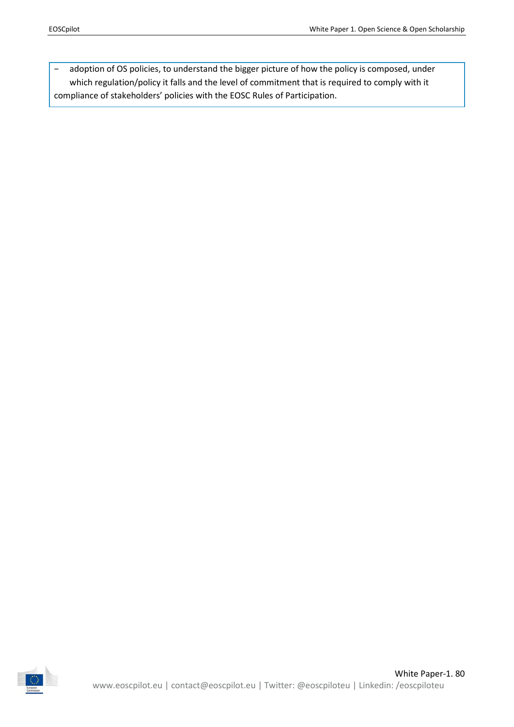− adoption of OS policies, to understand the bigger picture of how the policy is composed, under which regulation/policy it falls and the level of commitment that is required to comply with it compliance of stakeholders' policies with the EOSC Rules of Participation.

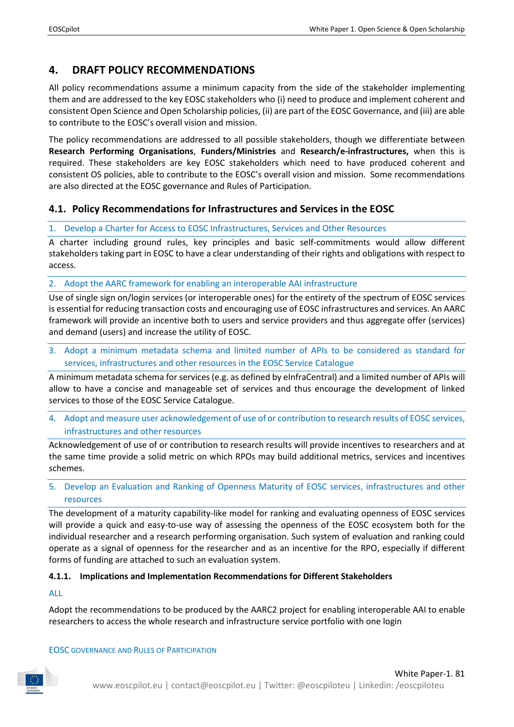## <span id="page-26-0"></span>**4. DRAFT POLICY RECOMMENDATIONS**

All policy recommendations assume a minimum capacity from the side of the stakeholder implementing them and are addressed to the key EOSC stakeholders who (i) need to produce and implement coherent and consistent Open Science and Open Scholarship policies, (ii) are part of the EOSC Governance, and (iii) are able to contribute to the EOSC's overall vision and mission.

The policy recommendations are addressed to all possible stakeholders, though we differentiate between **Research Performing Organisations**, **Funders/Ministries** and **Research/e-infrastructures,** when this is required. These stakeholders are key EOSC stakeholders which need to have produced coherent and consistent OS policies, able to contribute to the EOSC's overall vision and mission. Some recommendations are also directed at the EOSC governance and Rules of Participation.

## <span id="page-26-1"></span>**4.1. Policy Recommendations for Infrastructures and Services in the EOSC**

## 1. Develop a Charter for Access to EOSC Infrastructures, Services and Other Resources

A charter including ground rules, key principles and basic self-commitments would allow different stakeholders taking part in EOSC to have a clear understanding of their rights and obligations with respect to access.

2. Adopt the AARC framework for enabling an interoperable AAI infrastructure

Use of single sign on/login services (or interoperable ones) for the entirety of the spectrum of EOSC services is essential for reducing transaction costs and encouraging use of EOSC infrastructures and services. An AARC framework will provide an incentive both to users and service providers and thus aggregate offer (services) and demand (users) and increase the utility of EOSC.

3. Adopt a minimum metadata schema and limited number of APIs to be considered as standard for services, infrastructures and other resources in the EOSC Service Catalogue

A minimum metadata schema for services (e.g. as defined by eInfraCentral) and a limited number of APIs will allow to have a concise and manageable set of services and thus encourage the development of linked services to those of the EOSC Service Catalogue.

4. Adopt and measure user acknowledgement of use of or contribution to research results of EOSC services, infrastructures and other resources

Acknowledgement of use of or contribution to research results will provide incentives to researchers and at the same time provide a solid metric on which RPOs may build additional metrics, services and incentives schemes.

5. Develop an Evaluation and Ranking of Openness Maturity of EOSC services, infrastructures and other resources

The development of a maturity capability-like model for ranking and evaluating openness of EOSC services will provide a quick and easy-to-use way of assessing the openness of the EOSC ecosystem both for the individual researcher and a research performing organisation. Such system of evaluation and ranking could operate as a signal of openness for the researcher and as an incentive for the RPO, especially if different forms of funding are attached to such an evaluation system.

## <span id="page-26-2"></span>**4.1.1. Implications and Implementation Recommendations for Different Stakeholders**

## ALL

Adopt the recommendations to be produced by the AARC2 project for enabling interoperable AAI to enable researchers to access the whole research and infrastructure service portfolio with one login

## EOSC GOVERNANCE AND RULES OF PARTICIPATION

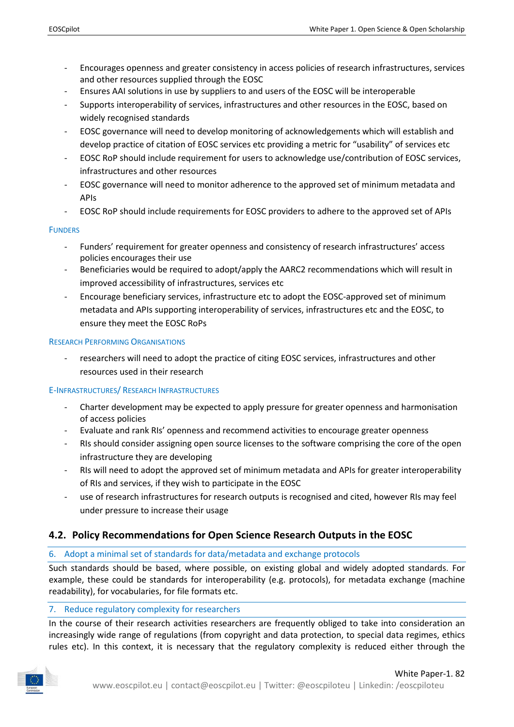- Encourages openness and greater consistency in access policies of research infrastructures, services and other resources supplied through the EOSC
- Ensures AAI solutions in use by suppliers to and users of the EOSC will be interoperable
- Supports interoperability of services, infrastructures and other resources in the EOSC, based on widely recognised standards
- EOSC governance will need to develop monitoring of acknowledgements which will establish and develop practice of citation of EOSC services etc providing a metric for "usability" of services etc
- EOSC RoP should include requirement for users to acknowledge use/contribution of EOSC services, infrastructures and other resources
- EOSC governance will need to monitor adherence to the approved set of minimum metadata and APIs
- EOSC RoP should include requirements for EOSC providers to adhere to the approved set of APIs

## **FUNDERS**

- Funders' requirement for greater openness and consistency of research infrastructures' access policies encourages their use
- Beneficiaries would be required to adopt/apply the AARC2 recommendations which will result in improved accessibility of infrastructures, services etc
- Encourage beneficiary services, infrastructure etc to adopt the EOSC-approved set of minimum metadata and APIs supporting interoperability of services, infrastructures etc and the EOSC, to ensure they meet the EOSC RoPs

#### RESEARCH PERFORMING ORGANISATIONS

- researchers will need to adopt the practice of citing EOSC services, infrastructures and other resources used in their research

## E-INFRASTRUCTURES/ RESEARCH INFRASTRUCTURES

- Charter development may be expected to apply pressure for greater openness and harmonisation of access policies
- Evaluate and rank RIs' openness and recommend activities to encourage greater openness
- RIs should consider assigning open source licenses to the software comprising the core of the open infrastructure they are developing
- RIs will need to adopt the approved set of minimum metadata and APIs for greater interoperability of RIs and services, if they wish to participate in the EOSC
- use of research infrastructures for research outputs is recognised and cited, however RIs may feel under pressure to increase their usage

## <span id="page-27-0"></span>**4.2. Policy Recommendations for Open Science Research Outputs in the EOSC**

## 6. Adopt a minimal set of standards for data/metadata and exchange protocols

Such standards should be based, where possible, on existing global and widely adopted standards. For example, these could be standards for interoperability (e.g. protocols), for metadata exchange (machine readability), for vocabularies, for file formats etc.

## 7. Reduce regulatory complexity for researchers

In the course of their research activities researchers are frequently obliged to take into consideration an increasingly wide range of regulations (from copyright and data protection, to special data regimes, ethics rules etc). In this context, it is necessary that the regulatory complexity is reduced either through the

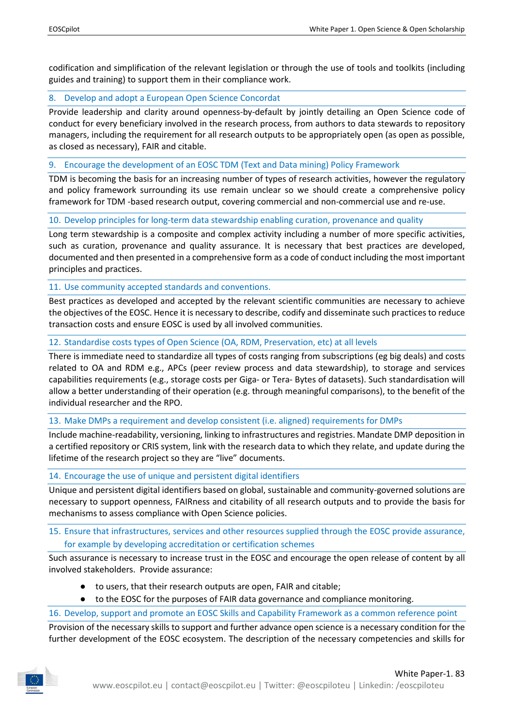codification and simplification of the relevant legislation or through the use of tools and toolkits (including guides and training) to support them in their compliance work.

## 8. Develop and adopt a European Open Science Concordat

Provide leadership and clarity around openness-by-default by jointly detailing an Open Science code of conduct for every beneficiary involved in the research process, from authors to data stewards to repository managers, including the requirement for all research outputs to be appropriately open (as open as possible, as closed as necessary), FAIR and citable.

9. Encourage the development of an EOSC TDM (Text and Data mining) Policy Framework

TDM is becoming the basis for an increasing number of types of research activities, however the regulatory and policy framework surrounding its use remain unclear so we should create a comprehensive policy framework for TDM -based research output, covering commercial and non-commercial use and re-use.

10. Develop principles for long-term data stewardship enabling curation, provenance and quality

Long term stewardship is a composite and complex activity including a number of more specific activities, such as curation, provenance and quality assurance. It is necessary that best practices are developed, documented and then presented in a comprehensive form as a code of conduct including the most important principles and practices.

11. Use community accepted standards and conventions.

Best practices as developed and accepted by the relevant scientific communities are necessary to achieve the objectives of the EOSC. Hence it is necessary to describe, codify and disseminate such practices to reduce transaction costs and ensure EOSC is used by all involved communities.

12. Standardise costs types of Open Science (OA, RDM, Preservation, etc) at all levels

There is immediate need to standardize all types of costs ranging from subscriptions (eg big deals) and costs related to OA and RDM e.g., APCs (peer review process and data stewardship), to storage and services capabilities requirements (e.g., storage costs per Giga- or Tera- Bytes of datasets). Such standardisation will allow a better understanding of their operation (e.g. through meaningful comparisons), to the benefit of the individual researcher and the RPO.

13. Make DMPs a requirement and develop consistent (i.e. aligned) requirements for DMPs

Include machine-readability, versioning, linking to infrastructures and registries. Mandate DMP deposition in a certified repository or CRIS system, link with the research data to which they relate, and update during the lifetime of the research project so they are "live" documents.

14. Encourage the use of unique and persistent digital identifiers

Unique and persistent digital identifiers based on global, sustainable and community-governed solutions are necessary to support openness, FAIRness and citability of all research outputs and to provide the basis for mechanisms to assess compliance with Open Science policies.

15. Ensure that infrastructures, services and other resources supplied through the EOSC provide assurance, for example by developing accreditation or certification schemes

Such assurance is necessary to increase trust in the EOSC and encourage the open release of content by all involved stakeholders. Provide assurance:

- to users, that their research outputs are open, FAIR and citable;
- to the EOSC for the purposes of FAIR data governance and compliance monitoring.

16. Develop, support and promote an EOSC Skills and Capability Framework as a common reference point

Provision of the necessary skills to support and further advance open science is a necessary condition for the further development of the EOSC ecosystem. The description of the necessary competencies and skills for

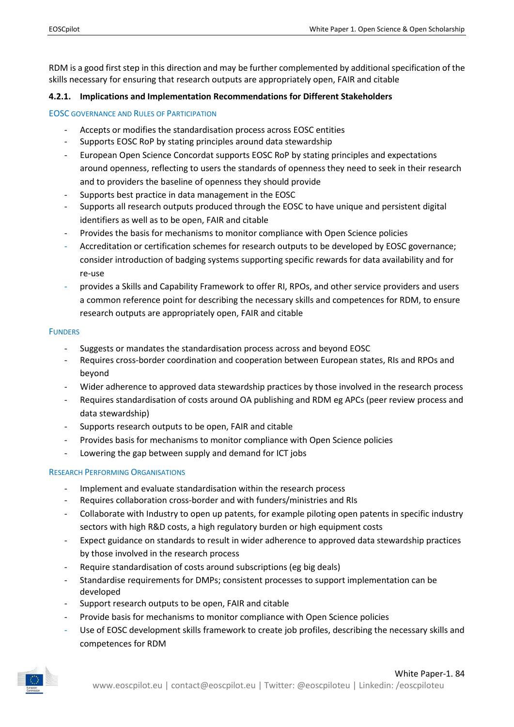RDM is a good first step in this direction and may be further complemented by additional specification of the skills necessary for ensuring that research outputs are appropriately open, FAIR and citable

## <span id="page-29-0"></span>**4.2.1. Implications and Implementation Recommendations for Different Stakeholders**

## EOSC GOVERNANCE AND RULES OF PARTICIPATION

- Accepts or modifies the standardisation process across EOSC entities
- Supports EOSC RoP by stating principles around data stewardship
- European Open Science Concordat supports EOSC RoP by stating principles and expectations around openness, reflecting to users the standards of openness they need to seek in their research and to providers the baseline of openness they should provide
- Supports best practice in data management in the EOSC
- Supports all research outputs produced through the EOSC to have unique and persistent digital identifiers as well as to be open, FAIR and citable
- Provides the basis for mechanisms to monitor compliance with Open Science policies
- Accreditation or certification schemes for research outputs to be developed by EOSC governance; consider introduction of badging systems supporting specific rewards for data availability and for re-use
- provides a Skills and Capability Framework to offer RI, RPOs, and other service providers and users a common reference point for describing the necessary skills and competences for RDM, to ensure research outputs are appropriately open, FAIR and citable

#### **FUNDERS**

- Suggests or mandates the standardisation process across and beyond EOSC
- Requires cross-border coordination and cooperation between European states, RIs and RPOs and beyond
- Wider adherence to approved data stewardship practices by those involved in the research process
- Requires standardisation of costs around OA publishing and RDM eg APCs (peer review process and data stewardship)
- Supports research outputs to be open, FAIR and citable
- Provides basis for mechanisms to monitor compliance with Open Science policies
- Lowering the gap between supply and demand for ICT jobs

## RESEARCH PERFORMING ORGANISATIONS

- Implement and evaluate standardisation within the research process
- Requires collaboration cross-border and with funders/ministries and RIs
- Collaborate with Industry to open up patents, for example piloting open patents in specific industry sectors with high R&D costs, a high regulatory burden or high equipment costs
- Expect guidance on standards to result in wider adherence to approved data stewardship practices by those involved in the research process
- Require standardisation of costs around subscriptions (eg big deals)
- Standardise requirements for DMPs; consistent processes to support implementation can be developed
- Support research outputs to be open, FAIR and citable
- Provide basis for mechanisms to monitor compliance with Open Science policies
- Use of EOSC development skills framework to create job profiles, describing the necessary skills and competences for RDM

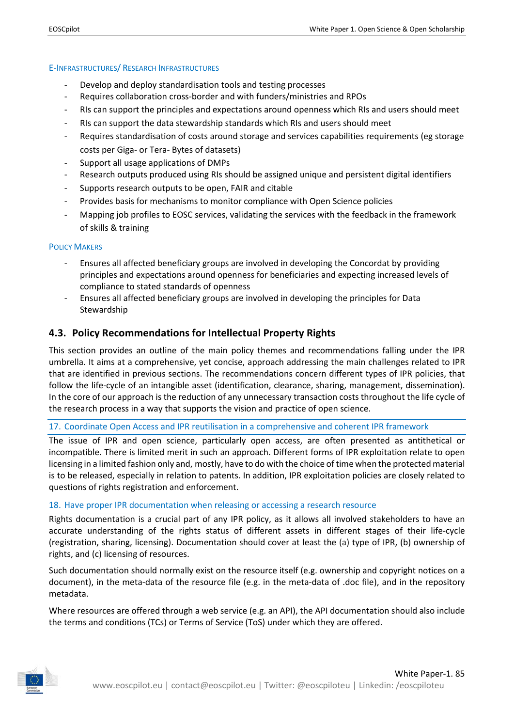#### E-INFRASTRUCTURES/ RESEARCH INFRASTRUCTURES

- Develop and deploy standardisation tools and testing processes
- Requires collaboration cross-border and with funders/ministries and RPOs
- RIs can support the principles and expectations around openness which RIs and users should meet
- RIs can support the data stewardship standards which RIs and users should meet
- Requires standardisation of costs around storage and services capabilities requirements (eg storage costs per Giga- or Tera- Bytes of datasets)
- Support all usage applications of DMPs
- Research outputs produced using RIs should be assigned unique and persistent digital identifiers
- Supports research outputs to be open, FAIR and citable
- Provides basis for mechanisms to monitor compliance with Open Science policies
- Mapping job profiles to EOSC services, validating the services with the feedback in the framework of skills & training

#### POLICY MAKERS

- Ensures all affected beneficiary groups are involved in developing the Concordat by providing principles and expectations around openness for beneficiaries and expecting increased levels of compliance to stated standards of openness
- Ensures all affected beneficiary groups are involved in developing the principles for Data Stewardship

## <span id="page-30-0"></span>**4.3. Policy Recommendations for Intellectual Property Rights**

This section provides an outline of the main policy themes and recommendations falling under the IPR umbrella. It aims at a comprehensive, yet concise, approach addressing the main challenges related to IPR that are identified in previous sections. The recommendations concern different types of IPR policies, that follow the life-cycle of an intangible asset (identification, clearance, sharing, management, dissemination). In the core of our approach is the reduction of any unnecessary transaction costs throughout the life cycle of the research process in a way that supports the vision and practice of open science.

17. Coordinate Open Access and IPR reutilisation in a comprehensive and coherent IPR framework

The issue of IPR and open science, particularly open access, are often presented as antithetical or incompatible. There is limited merit in such an approach. Different forms of IPR exploitation relate to open licensing in a limited fashion only and, mostly, have to do with the choice of time when the protected material is to be released, especially in relation to patents. In addition, IPR exploitation policies are closely related to questions of rights registration and enforcement.

18. Have proper IPR documentation when releasing or accessing a research resource

Rights documentation is a crucial part of any IPR policy, as it allows all involved stakeholders to have an accurate understanding of the rights status of different assets in different stages of their life-cycle (registration, sharing, licensing). Documentation should cover at least the (a) type of IPR, (b) ownership of rights, and (c) licensing of resources.

Such documentation should normally exist on the resource itself (e.g. ownership and copyright notices on a document), in the meta-data of the resource file (e.g. in the meta-data of .doc file), and in the repository metadata.

Where resources are offered through a web service (e.g. an API), the API documentation should also include the terms and conditions (TCs) or Terms of Service (ToS) under which they are offered.

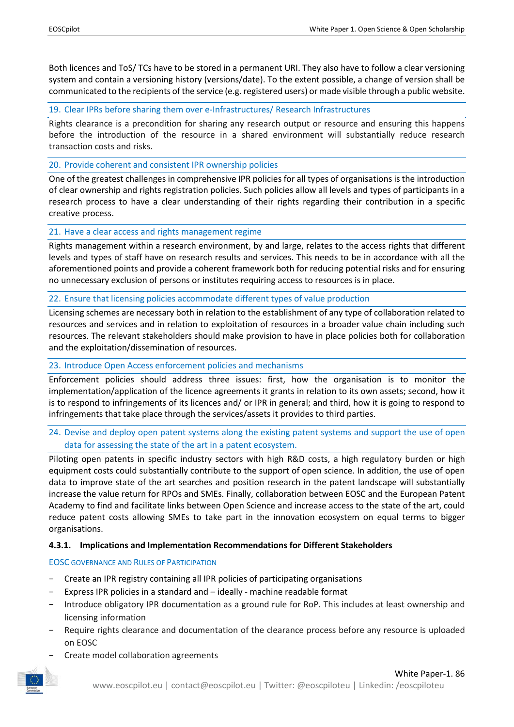Both licences and ToS/ TCs have to be stored in a permanent URI. They also have to follow a clear versioning system and contain a versioning history (versions/date). To the extent possible, a change of version shall be communicated to the recipients of the service (e.g. registered users) or made visible through a public website.

19. Clear IPRs before sharing them over e-Infrastructures/ Research Infrastructures

Rights clearance is a precondition for sharing any research output or resource and ensuring this happens before the introduction of the resource in a shared environment will substantially reduce research transaction costs and risks.

20. Provide coherent and consistent IPR ownership policies

One of the greatest challenges in comprehensive IPR policies for all types of organisations is the introduction of clear ownership and rights registration policies. Such policies allow all levels and types of participants in a research process to have a clear understanding of their rights regarding their contribution in a specific creative process.

#### 21. Have a clear access and rights management regime

Rights management within a research environment, by and large, relates to the access rights that different levels and types of staff have on research results and services. This needs to be in accordance with all the aforementioned points and provide a coherent framework both for reducing potential risks and for ensuring no unnecessary exclusion of persons or institutes requiring access to resources is in place.

22. Ensure that licensing policies accommodate different types of value production

Licensing schemes are necessary both in relation to the establishment of any type of collaboration related to resources and services and in relation to exploitation of resources in a broader value chain including such resources. The relevant stakeholders should make provision to have in place policies both for collaboration and the exploitation/dissemination of resources.

## 23. Introduce Open Access enforcement policies and mechanisms

Enforcement policies should address three issues: first, how the organisation is to monitor the implementation/application of the licence agreements it grants in relation to its own assets; second, how it is to respond to infringements of its licences and/ or IPR in general; and third, how it is going to respond to infringements that take place through the services/assets it provides to third parties.

## 24. Devise and deploy open patent systems along the existing patent systems and support the use of open data for assessing the state of the art in a patent ecosystem.

Piloting open patents in specific industry sectors with high R&D costs, a high regulatory burden or high equipment costs could substantially contribute to the support of open science. In addition, the use of open data to improve state of the art searches and position research in the patent landscape will substantially increase the value return for RPOs and SMEs. Finally, collaboration between EOSC and the European Patent Academy to find and facilitate links between Open Science and increase access to the state of the art, could reduce patent costs allowing SMEs to take part in the innovation ecosystem on equal terms to bigger organisations.

#### <span id="page-31-0"></span>**4.3.1. Implications and Implementation Recommendations for Different Stakeholders**

#### EOSC GOVERNANCE AND RULES OF PARTICIPATION

- − Create an IPR registry containing all IPR policies of participating organisations
- − Express IPR policies in a standard and ideally machine readable format
- − Introduce obligatory IPR documentation as a ground rule for RoP. This includes at least ownership and licensing information
- − Require rights clearance and documentation of the clearance process before any resource is uploaded on EOSC
- − Create model collaboration agreements

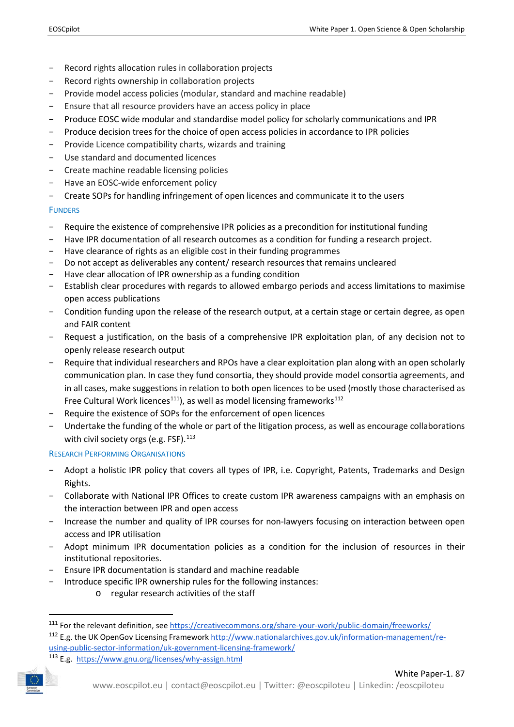- − Record rights allocation rules in collaboration projects
- − Record rights ownership in collaboration projects
- − Provide model access policies (modular, standard and machine readable)
- Ensure that all resource providers have an access policy in place
- − Produce EOSC wide modular and standardise model policy for scholarly communications and IPR
- − Produce decision trees for the choice of open access policies in accordance to IPR policies
- − Provide Licence compatibility charts, wizards and training
- − Use standard and documented licences
- − Create machine readable licensing policies
- − Have an EOSC-wide enforcement policy
- − Create SOPs for handling infringement of open licences and communicate it to the users

#### **FUNDERS**

- − Require the existence of comprehensive IPR policies as a precondition for institutional funding
- − Have IPR documentation of all research outcomes as a condition for funding a research project.
- − Have clearance of rights as an eligible cost in their funding programmes
- − Do not accept as deliverables any content/ research resources that remains uncleared
- − Have clear allocation of IPR ownership as a funding condition
- − Establish clear procedures with regards to allowed embargo periods and access limitations to maximise open access publications
- − Condition funding upon the release of the research output, at a certain stage or certain degree, as open and FAIR content
- − Request a justification, on the basis of a comprehensive IPR exploitation plan, of any decision not to openly release research output
- − Require that individual researchers and RPOs have a clear exploitation plan along with an open scholarly communication plan. In case they fund consortia, they should provide model consortia agreements, and in all cases, make suggestions in relation to both open licences to be used (mostly those characterised as Free Cultural Work licences<sup>111</sup>), as well as model licensing frameworks<sup>[112](#page-32-1)</sup>
- − Require the existence of SOPs for the enforcement of open licences
- Undertake the funding of the whole or part of the litigation process, as well as encourage collaborations with civil society orgs (e.g. FSF). $^{113}$  $^{113}$  $^{113}$

#### RESEARCH PERFORMING ORGANISATIONS

- − Adopt a holistic IPR policy that covers all types of IPR, i.e. Copyright, Patents, Trademarks and Design Rights.
- − Collaborate with National IPR Offices to create custom IPR awareness campaigns with an emphasis on the interaction between IPR and open access
- − Increase the number and quality of IPR courses for non-lawyers focusing on interaction between open access and IPR utilisation
- − Adopt minimum IPR documentation policies as a condition for the inclusion of resources in their institutional repositories.
- − Ensure IPR documentation is standard and machine readable
- − Introduce specific IPR ownership rules for the following instances:
	- o regular research activities of the staff

<span id="page-32-1"></span><span id="page-32-0"></span><sup>111</sup> For the relevant definition, see<https://creativecommons.org/share-your-work/public-domain/freeworks/> <sup>112</sup> E.g. the UK OpenGov Licensing Framewor[k http://www.nationalarchives.gov.uk/information-management/re](http://www.nationalarchives.gov.uk/information-management/re-using-public-sector-information/uk-government-licensing-framework/)[using-public-sector-information/uk-government-licensing-framework/](http://www.nationalarchives.gov.uk/information-management/re-using-public-sector-information/uk-government-licensing-framework/)

<span id="page-32-2"></span><sup>113</sup> E.g. <https://www.gnu.org/licenses/why-assign.html>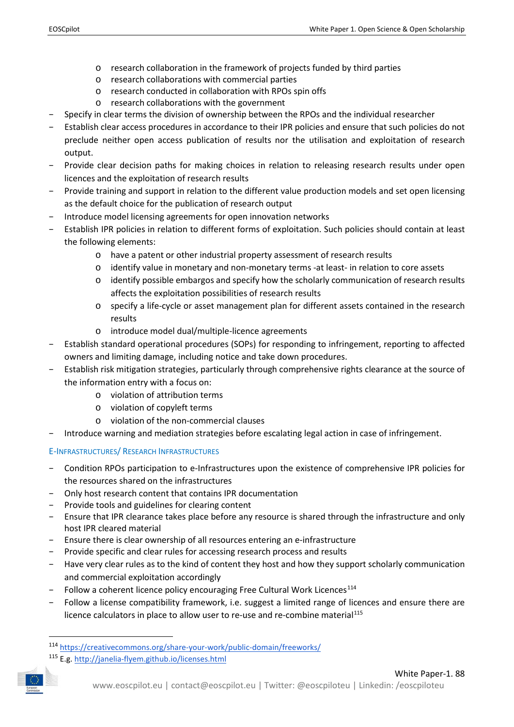- o research collaboration in the framework of projects funded by third parties
- o research collaborations with commercial parties
- o research conducted in collaboration with RPOs spin offs
- o research collaborations with the government
- − Specify in clear terms the division of ownership between the RPOs and the individual researcher
- − Establish clear access procedures in accordance to their IPR policies and ensure that such policies do not preclude neither open access publication of results nor the utilisation and exploitation of research output.
- − Provide clear decision paths for making choices in relation to releasing research results under open licences and the exploitation of research results
- − Provide training and support in relation to the different value production models and set open licensing as the default choice for the publication of research output
- − Introduce model licensing agreements for open innovation networks
- − Establish IPR policies in relation to different forms of exploitation. Such policies should contain at least the following elements:
	- o have a patent or other industrial property assessment of research results
	- o identify value in monetary and non-monetary terms -at least- in relation to core assets
	- $\circ$  identify possible embargos and specify how the scholarly communication of research results affects the exploitation possibilities of research results
	- o specify a life-cycle or asset management plan for different assets contained in the research results
	- o introduce model dual/multiple-licence agreements
- − Establish standard operational procedures (SOPs) for responding to infringement, reporting to affected owners and limiting damage, including notice and take down procedures.
- − Establish risk mitigation strategies, particularly through comprehensive rights clearance at the source of the information entry with a focus on:
	- o violation of attribution terms
	- o violation of copyleft terms
	- o violation of the non-commercial clauses
- − Introduce warning and mediation strategies before escalating legal action in case of infringement.

## E-INFRASTRUCTURES/ RESEARCH INFRASTRUCTURES

- − Condition RPOs participation to e-Infrastructures upon the existence of comprehensive IPR policies for the resources shared on the infrastructures
- − Only host research content that contains IPR documentation
- − Provide tools and guidelines for clearing content
- − Ensure that IPR clearance takes place before any resource is shared through the infrastructure and only host IPR cleared material
- − Ensure there is clear ownership of all resources entering an e-infrastructure
- Provide specific and clear rules for accessing research process and results
- − Have very clear rules as to the kind of content they host and how they support scholarly communication and commercial exploitation accordingly
- − Follow a coherent licence policy encouraging Free Cultural Work Licences<sup>[114](#page-33-0)</sup>
- Follow a license compatibility framework, i.e. suggest a limited range of licences and ensure there are licence calculators in place to allow user to re-use and re-combine material<sup>[115](#page-33-1)</sup>

<span id="page-33-0"></span> <sup>114</sup> <https://creativecommons.org/share-your-work/public-domain/freeworks/>

<span id="page-33-1"></span><sup>115</sup> E.g.<http://janelia-flyem.github.io/licenses.html>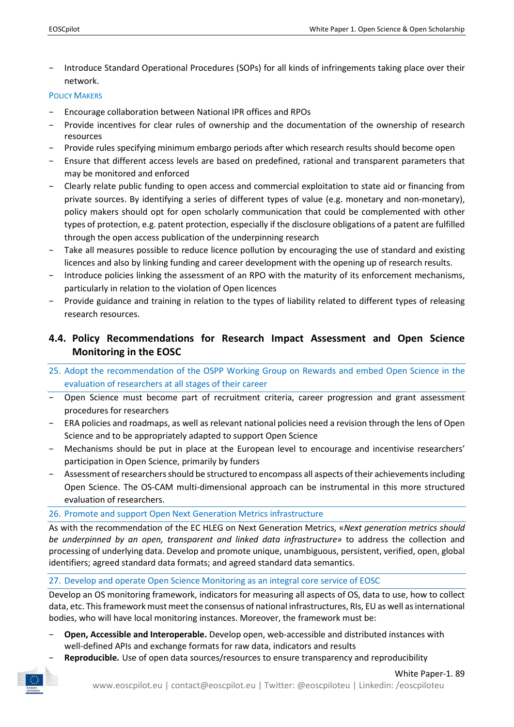− Introduce Standard Operational Procedures (SOPs) for all kinds of infringements taking place over their network.

#### POLICY MAKERS

- Encourage collaboration between National IPR offices and RPOs
- Provide incentives for clear rules of ownership and the documentation of the ownership of research resources
- − Provide rules specifying minimum embargo periods after which research results should become open
- − Ensure that different access levels are based on predefined, rational and transparent parameters that may be monitored and enforced
- − Clearly relate public funding to open access and commercial exploitation to state aid or financing from private sources. By identifying a series of different types of value (e.g. monetary and non-monetary), policy makers should opt for open scholarly communication that could be complemented with other types of protection, e.g. patent protection, especially if the disclosure obligations of a patent are fulfilled through the open access publication of the underpinning research
- Take all measures possible to reduce licence pollution by encouraging the use of standard and existing licences and also by linking funding and career development with the opening up of research results.
- Introduce policies linking the assessment of an RPO with the maturity of its enforcement mechanisms, particularly in relation to the violation of Open licences
- Provide guidance and training in relation to the types of liability related to different types of releasing research resources.

## <span id="page-34-0"></span>**4.4. Policy Recommendations for Research Impact Assessment and Open Science Monitoring in the EOSC**

- 25. Adopt the recommendation of the OSPP Working Group on Rewards and embed Open Science in the evaluation of researchers at all stages of their career
- − Open Science must become part of recruitment criteria, career progression and grant assessment procedures for researchers
- − ERA policies and roadmaps, as well as relevant national policies need a revision through the lens of Open Science and to be appropriately adapted to support Open Science
- − Mechanisms should be put in place at the European level to encourage and incentivise researchers' participation in Open Science, primarily by funders
- − Assessment of researchers should be structured to encompass all aspects of their achievements including Open Science. The OS-CAM multi-dimensional approach can be instrumental in this more structured evaluation of researchers.

## 26. Promote and support Open Next Generation Metrics infrastructure

As with the recommendation of the EC HLEG on Next Generation Metrics, «*Next generation metrics should be underpinned by an open, transparent and linked data infrastructure»* to address the collection and processing of underlying data. Develop and promote unique, unambiguous, persistent, verified, open, global identifiers; agreed standard data formats; and agreed standard data semantics.

## 27. Develop and operate Open Science Monitoring as an integral core service of EOSC

Develop an OS monitoring framework, indicators for measuring all aspects of OS, data to use, how to collect data, etc. This framework must meet the consensus of national infrastructures, RIs, EU as well as international bodies, who will have local monitoring instances. Moreover, the framework must be:

- − **Open, Accessible and Interoperable.** Develop open, web-accessible and distributed instances with well-defined APIs and exchange formats for raw data, indicators and results
- Reproducible. Use of open data sources/resources to ensure transparency and reproducibility

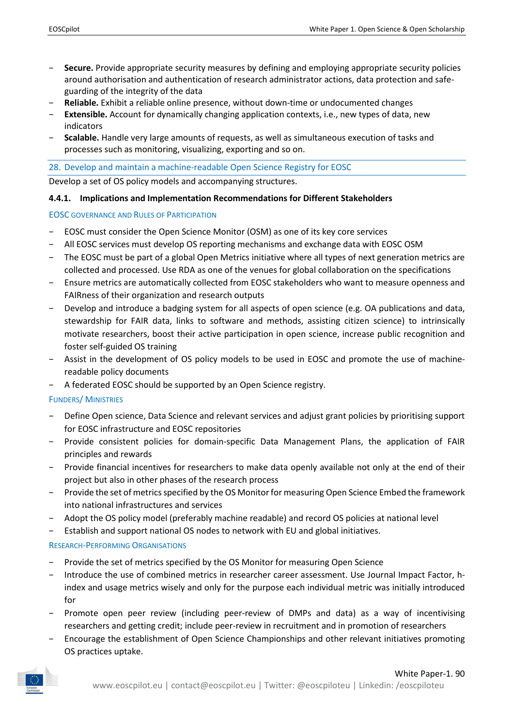- − **Secure.** Provide appropriate security measures by defining and employing appropriate security policies around authorisation and authentication of research administrator actions, data protection and safeguarding of the integrity of the data
- − **Reliable.** Exhibit a reliable online presence, without down-time or undocumented changes
- − **Extensible.** Account for dynamically changing application contexts, i.e., new types of data, new indicators
- − **Scalable.** Handle very large amounts of requests, as well as simultaneous execution of tasks and processes such as monitoring, visualizing, exporting and so on.

#### 28. Develop and maintain a machine-readable Open Science Registry for EOSC

Develop a set of OS policy models and accompanying structures.

#### <span id="page-35-0"></span>**4.4.1. Implications and Implementation Recommendations for Different Stakeholders**

#### EOSC GOVERNANCE AND RULES OF PARTICIPATION

- − EOSC must consider the Open Science Monitor (OSM) as one of its key core services
- − All EOSC services must develop OS reporting mechanisms and exchange data with EOSC OSM
- − The EOSC must be part of a global Open Metrics initiative where all types of next generation metrics are collected and processed. Use RDA as one of the venues for global collaboration on the specifications
- − Ensure metrics are automatically collected from EOSC stakeholders who want to measure openness and FAIRness of their organization and research outputs
- Develop and introduce a badging system for all aspects of open science (e.g. OA publications and data, stewardship for FAIR data, links to software and methods, assisting citizen science) to intrinsically motivate researchers, boost their active participation in open science, increase public recognition and foster self-guided OS training
- − Assist in the development of OS policy models to be used in EOSC and promote the use of machinereadable policy documents
- − A federated EOSC should be supported by an Open Science registry.

#### FUNDERS/ MINISTRIES

- − Define Open science, Data Science and relevant services and adjust grant policies by prioritising support for EOSC infrastructure and EOSC repositories
- − Provide consistent policies for domain-specific Data Management Plans, the application of FAIR principles and rewards
- − Provide financial incentives for researchers to make data openly available not only at the end of their project but also in other phases of the research process
- − Provide the set of metrics specified by the OS Monitor for measuring Open Science Embed the framework into national infrastructures and services
- − Adopt the OS policy model (preferably machine readable) and record OS policies at national level
- − Establish and support national OS nodes to network with EU and global initiatives.

#### RESEARCH-PERFORMING ORGANISATIONS

- − Provide the set of metrics specified by the OS Monitor for measuring Open Science
- − Introduce the use of combined metrics in researcher career assessment. Use Journal Impact Factor, hindex and usage metrics wisely and only for the purpose each individual metric was initially introduced for
- Promote open peer review (including peer-review of DMPs and data) as a way of incentivising researchers and getting credit; include peer-review in recruitment and in promotion of researchers
- Encourage the establishment of Open Science Championships and other relevant initiatives promoting OS practices uptake.

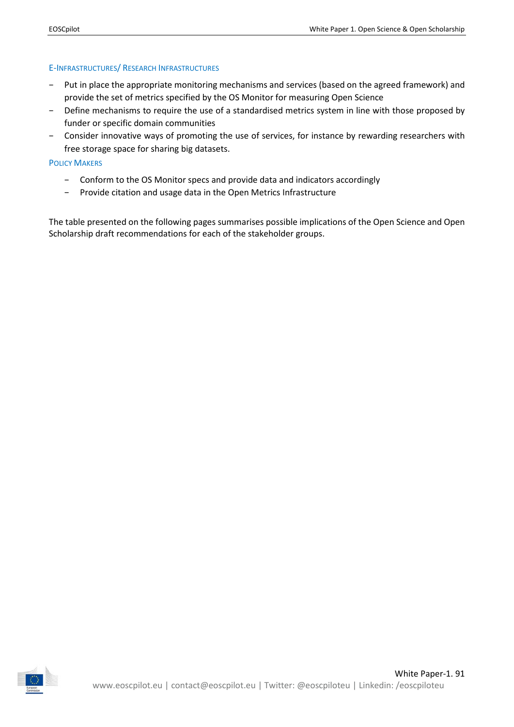#### E-INFRASTRUCTURES/ RESEARCH INFRASTRUCTURES

- − Put in place the appropriate monitoring mechanisms and services (based on the agreed framework) and provide the set of metrics specified by the OS Monitor for measuring Open Science
- − Define mechanisms to require the use of a standardised metrics system in line with those proposed by funder or specific domain communities
- − Consider innovative ways of promoting the use of services, for instance by rewarding researchers with free storage space for sharing big datasets.

#### POLICY MAKERS

- − Conform to the OS Monitor specs and provide data and indicators accordingly
- − Provide citation and usage data in the Open Metrics Infrastructure

The table presented on the following pages summarises possible implications of the Open Science and Open Scholarship draft recommendations for each of the stakeholder groups.

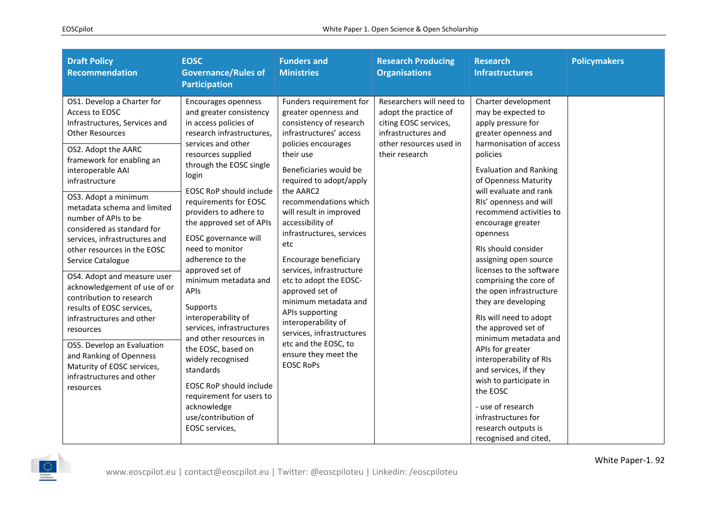| <b>Draft Policy</b><br><b>Recommendation</b>                                                                                                                                                                                                                                                                                                                                                                                         | <b>EOSC</b><br><b>Governance/Rules of</b><br><b>Participation</b>                                                                                                                                                                                                                                                              | <b>Funders and</b><br><b>Ministries</b>                                                                                                                                                                                                                                                                                                        | <b>Research Producing</b><br><b>Organisations</b>                                                                                              | <b>Research</b><br><b>Infrastructures</b>                                                                                      | <b>Policymakers</b> |
|--------------------------------------------------------------------------------------------------------------------------------------------------------------------------------------------------------------------------------------------------------------------------------------------------------------------------------------------------------------------------------------------------------------------------------------|--------------------------------------------------------------------------------------------------------------------------------------------------------------------------------------------------------------------------------------------------------------------------------------------------------------------------------|------------------------------------------------------------------------------------------------------------------------------------------------------------------------------------------------------------------------------------------------------------------------------------------------------------------------------------------------|------------------------------------------------------------------------------------------------------------------------------------------------|--------------------------------------------------------------------------------------------------------------------------------|---------------------|
| OS1. Develop a Charter for<br>Access to EOSC<br>Infrastructures, Services and<br><b>Other Resources</b><br>OS2. Adopt the AARC                                                                                                                                                                                                                                                                                                       | Encourages openness<br>and greater consistency<br>in access policies of<br>research infrastructures,<br>services and other<br>resources supplied                                                                                                                                                                               | Funders requirement for<br>greater openness and<br>consistency of research<br>infrastructures' access<br>policies encourages<br>their use                                                                                                                                                                                                      | Researchers will need to<br>adopt the practice of<br>citing EOSC services,<br>infrastructures and<br>other resources used in<br>their research | Charter development<br>may be expected to<br>apply pressure for<br>greater openness and<br>harmonisation of access<br>policies |                     |
| interoperable AAI<br>infrastructure                                                                                                                                                                                                                                                                                                                                                                                                  | framework for enabling an<br>through the EOSC single<br>login<br><b>EOSC RoP should include</b><br>requirements for EOSC<br>providers to adhere to<br>the approved set of APIs<br>considered as standard for<br>EOSC governance will<br>need to monitor<br>adherence to the<br>approved set of<br>minimum metadata and<br>APIS | Beneficiaries would be<br>required to adopt/apply                                                                                                                                                                                                                                                                                              |                                                                                                                                                | <b>Evaluation and Ranking</b><br>of Openness Maturity<br>will evaluate and rank                                                |                     |
| OS3. Adopt a minimum<br>metadata schema and limited<br>number of APIs to be                                                                                                                                                                                                                                                                                                                                                          |                                                                                                                                                                                                                                                                                                                                | the AARC2<br>recommendations which<br>will result in improved<br>accessibility of<br>infrastructures, services<br>etc<br>Encourage beneficiary<br>services, infrastructure<br>etc to adopt the EOSC-<br>approved set of<br>minimum metadata and<br>APIs supporting<br>interoperability of<br>services, infrastructures<br>etc and the EOSC, to |                                                                                                                                                | RIs' openness and will<br>recommend activities to<br>encourage greater                                                         |                     |
| services, infrastructures and<br>other resources in the EOSC<br>Service Catalogue                                                                                                                                                                                                                                                                                                                                                    |                                                                                                                                                                                                                                                                                                                                |                                                                                                                                                                                                                                                                                                                                                |                                                                                                                                                | openness<br>RIs should consider<br>assigning open source                                                                       |                     |
| OS4. Adopt and measure user<br>acknowledgement of use of or<br>contribution to research<br>Supports<br>results of EOSC services,<br>interoperability of<br>infrastructures and other<br>services, infrastructures<br>resources<br>and other resources in<br>OS5. Develop an Evaluation<br>the EOSC, based on<br>and Ranking of Openness<br>widely recognised<br>Maturity of EOSC services,<br>standards<br>infrastructures and other |                                                                                                                                                                                                                                                                                                                                |                                                                                                                                                                                                                                                                                                                                                |                                                                                                                                                | licenses to the software<br>comprising the core of<br>the open infrastructure<br>they are developing                           |                     |
|                                                                                                                                                                                                                                                                                                                                                                                                                                      |                                                                                                                                                                                                                                                                                                                                |                                                                                                                                                                                                                                                                                                                                                |                                                                                                                                                | RIs will need to adopt<br>the approved set of<br>minimum metadata and                                                          |                     |
|                                                                                                                                                                                                                                                                                                                                                                                                                                      | ensure they meet the<br><b>EOSC RoPs</b>                                                                                                                                                                                                                                                                                       |                                                                                                                                                                                                                                                                                                                                                | APIs for greater<br>interoperability of RIs<br>and services, if they<br>wish to participate in                                                 |                                                                                                                                |                     |
| resources                                                                                                                                                                                                                                                                                                                                                                                                                            | <b>EOSC RoP should include</b><br>requirement for users to<br>acknowledge<br>use/contribution of                                                                                                                                                                                                                               |                                                                                                                                                                                                                                                                                                                                                |                                                                                                                                                | the EOSC<br>- use of research<br>infrastructures for                                                                           |                     |
|                                                                                                                                                                                                                                                                                                                                                                                                                                      | EOSC services,                                                                                                                                                                                                                                                                                                                 |                                                                                                                                                                                                                                                                                                                                                |                                                                                                                                                | research outputs is<br>recognised and cited,                                                                                   |                     |

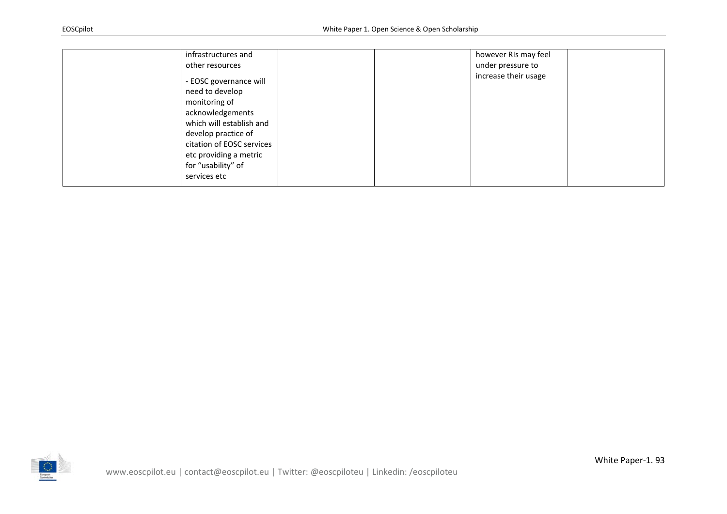| infrastructures and<br>other resources<br>- EOSC governance will<br>need to develop<br>monitoring of<br>acknowledgements<br>which will establish and<br>develop practice of<br>citation of EOSC services<br>etc providing a metric<br>for "usability" of<br>services etc | however RIs may feel<br>under pressure to<br>increase their usage |
|--------------------------------------------------------------------------------------------------------------------------------------------------------------------------------------------------------------------------------------------------------------------------|-------------------------------------------------------------------|
|--------------------------------------------------------------------------------------------------------------------------------------------------------------------------------------------------------------------------------------------------------------------------|-------------------------------------------------------------------|

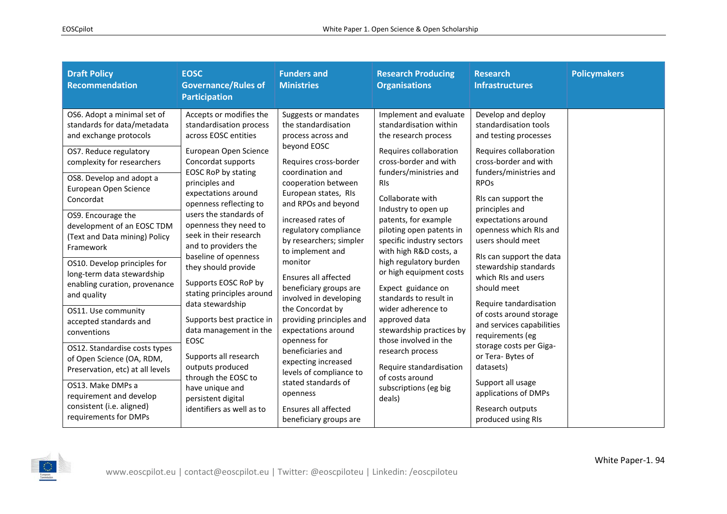| <b>Draft Policy</b><br><b>Recommendation</b>                                                                                                                                                                                                                                                                                                                                                                                                                                                                                                                                                                          | <b>EOSC</b><br><b>Governance/Rules of</b><br><b>Participation</b>                                                                                                                                                                                                                                                                                                                                                                                                                                                                                                                                             | <b>Funders and</b><br><b>Ministries</b>                                                                                                                                                                                                                                                                                                                                                                                                                                                                                                                                       | <b>Research Producing</b><br><b>Organisations</b>                                                                                                                                                                                                                                                                                                                                                                                                                                                                                                                                                                     | <b>Research</b><br><b>Infrastructures</b>                                                                                                                                                                                                                                                                                                                                                                                                                                                                                                                         | <b>Policymakers</b> |
|-----------------------------------------------------------------------------------------------------------------------------------------------------------------------------------------------------------------------------------------------------------------------------------------------------------------------------------------------------------------------------------------------------------------------------------------------------------------------------------------------------------------------------------------------------------------------------------------------------------------------|---------------------------------------------------------------------------------------------------------------------------------------------------------------------------------------------------------------------------------------------------------------------------------------------------------------------------------------------------------------------------------------------------------------------------------------------------------------------------------------------------------------------------------------------------------------------------------------------------------------|-------------------------------------------------------------------------------------------------------------------------------------------------------------------------------------------------------------------------------------------------------------------------------------------------------------------------------------------------------------------------------------------------------------------------------------------------------------------------------------------------------------------------------------------------------------------------------|-----------------------------------------------------------------------------------------------------------------------------------------------------------------------------------------------------------------------------------------------------------------------------------------------------------------------------------------------------------------------------------------------------------------------------------------------------------------------------------------------------------------------------------------------------------------------------------------------------------------------|-------------------------------------------------------------------------------------------------------------------------------------------------------------------------------------------------------------------------------------------------------------------------------------------------------------------------------------------------------------------------------------------------------------------------------------------------------------------------------------------------------------------------------------------------------------------|---------------------|
| OS6. Adopt a minimal set of<br>standards for data/metadata<br>and exchange protocols<br>OS7. Reduce regulatory<br>complexity for researchers<br>OS8. Develop and adopt a<br>European Open Science<br>Concordat<br>OS9. Encourage the<br>development of an EOSC TDM<br>(Text and Data mining) Policy<br>Framework<br>OS10. Develop principles for<br>long-term data stewardship<br>enabling curation, provenance<br>and quality<br>OS11. Use community<br>accepted standards and<br>conventions<br>OS12. Standardise costs types<br>of Open Science (OA, RDM,<br>Preservation, etc) at all levels<br>OS13. Make DMPs a | Accepts or modifies the<br>standardisation process<br>across EOSC entities<br>European Open Science<br>Concordat supports<br><b>EOSC RoP by stating</b><br>principles and<br>expectations around<br>openness reflecting to<br>users the standards of<br>openness they need to<br>seek in their research<br>and to providers the<br>baseline of openness<br>they should provide<br>Supports EOSC RoP by<br>stating principles around<br>data stewardship<br>Supports best practice in<br>data management in the<br>EOSC<br>Supports all research<br>outputs produced<br>through the EOSC to<br>have unique and | Suggests or mandates<br>the standardisation<br>process across and<br>beyond EOSC<br>Requires cross-border<br>coordination and<br>cooperation between<br>European states, RIs<br>and RPOs and beyond<br>increased rates of<br>regulatory compliance<br>by researchers; simpler<br>to implement and<br>monitor<br>Ensures all affected<br>beneficiary groups are<br>involved in developing<br>the Concordat by<br>providing principles and<br>expectations around<br>openness for<br>beneficiaries and<br>expecting increased<br>levels of compliance to<br>stated standards of | Implement and evaluate<br>standardisation within<br>the research process<br>Requires collaboration<br>cross-border and with<br>funders/ministries and<br><b>RIS</b><br>Collaborate with<br>Industry to open up<br>patents, for example<br>piloting open patents in<br>specific industry sectors<br>with high R&D costs, a<br>high regulatory burden<br>or high equipment costs<br>Expect guidance on<br>standards to result in<br>wider adherence to<br>approved data<br>stewardship practices by<br>those involved in the<br>research process<br>Require standardisation<br>of costs around<br>subscriptions (eg big | Develop and deploy<br>standardisation tools<br>and testing processes<br>Requires collaboration<br>cross-border and with<br>funders/ministries and<br><b>RPOs</b><br>RIs can support the<br>principles and<br>expectations around<br>openness which RIs and<br>users should meet<br>RIs can support the data<br>stewardship standards<br>which RIs and users<br>should meet<br>Require tandardisation<br>of costs around storage<br>and services capabilities<br>requirements (eg<br>storage costs per Giga-<br>or Tera-Bytes of<br>datasets)<br>Support all usage |                     |
| requirement and develop<br>consistent (i.e. aligned)<br>requirements for DMPs                                                                                                                                                                                                                                                                                                                                                                                                                                                                                                                                         | persistent digital<br>identifiers as well as to                                                                                                                                                                                                                                                                                                                                                                                                                                                                                                                                                               | openness<br>Ensures all affected<br>beneficiary groups are                                                                                                                                                                                                                                                                                                                                                                                                                                                                                                                    | deals)                                                                                                                                                                                                                                                                                                                                                                                                                                                                                                                                                                                                                | applications of DMPs<br>Research outputs<br>produced using RIs                                                                                                                                                                                                                                                                                                                                                                                                                                                                                                    |                     |

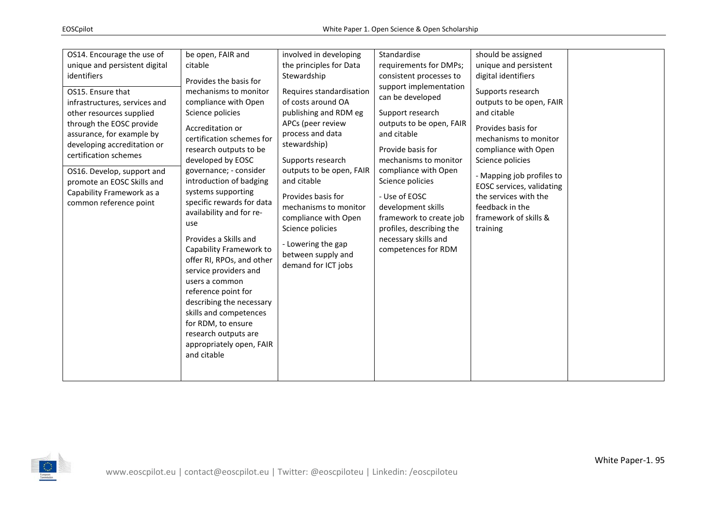| OS14. Encourage the use of<br>unique and persistent digital<br>identifiers<br>OS15. Ensure that<br>infrastructures, services and<br>other resources supplied<br>through the EOSC provide<br>assurance, for example by<br>developing accreditation or<br>certification schemes<br>OS16. Develop, support and<br>promote an EOSC Skills and<br>Capability Framework as a<br>common reference point | be open, FAIR and<br>citable<br>Provides the basis for<br>mechanisms to monitor<br>compliance with Open<br>Science policies<br>Accreditation or<br>certification schemes for<br>research outputs to be<br>developed by EOSC<br>governance; - consider<br>introduction of badging<br>systems supporting<br>specific rewards for data<br>availability and for re-<br>use<br>Provides a Skills and<br>Capability Framework to<br>offer RI, RPOs, and other<br>service providers and<br>users a common<br>reference point for<br>describing the necessary<br>skills and competences<br>for RDM, to ensure<br>research outputs are<br>appropriately open, FAIR<br>and citable | involved in developing<br>the principles for Data<br>Stewardship<br>Requires standardisation<br>of costs around OA<br>publishing and RDM eg<br>APCs (peer review<br>process and data<br>stewardship)<br>Supports research<br>outputs to be open, FAIR<br>and citable<br>Provides basis for<br>mechanisms to monitor<br>compliance with Open<br>Science policies<br>- Lowering the gap<br>between supply and<br>demand for ICT jobs | Standardise<br>requirements for DMPs;<br>consistent processes to<br>support implementation<br>can be developed<br>Support research<br>outputs to be open, FAIR<br>and citable<br>Provide basis for<br>mechanisms to monitor<br>compliance with Open<br>Science policies<br>- Use of EOSC<br>development skills<br>framework to create job<br>profiles, describing the<br>necessary skills and<br>competences for RDM | should be assigned<br>unique and persistent<br>digital identifiers<br>Supports research<br>outputs to be open, FAIR<br>and citable<br>Provides basis for<br>mechanisms to monitor<br>compliance with Open<br>Science policies<br>- Mapping job profiles to<br>EOSC services, validating<br>the services with the<br>feedback in the<br>framework of skills &<br>training |  |
|--------------------------------------------------------------------------------------------------------------------------------------------------------------------------------------------------------------------------------------------------------------------------------------------------------------------------------------------------------------------------------------------------|--------------------------------------------------------------------------------------------------------------------------------------------------------------------------------------------------------------------------------------------------------------------------------------------------------------------------------------------------------------------------------------------------------------------------------------------------------------------------------------------------------------------------------------------------------------------------------------------------------------------------------------------------------------------------|------------------------------------------------------------------------------------------------------------------------------------------------------------------------------------------------------------------------------------------------------------------------------------------------------------------------------------------------------------------------------------------------------------------------------------|----------------------------------------------------------------------------------------------------------------------------------------------------------------------------------------------------------------------------------------------------------------------------------------------------------------------------------------------------------------------------------------------------------------------|--------------------------------------------------------------------------------------------------------------------------------------------------------------------------------------------------------------------------------------------------------------------------------------------------------------------------------------------------------------------------|--|
|--------------------------------------------------------------------------------------------------------------------------------------------------------------------------------------------------------------------------------------------------------------------------------------------------------------------------------------------------------------------------------------------------|--------------------------------------------------------------------------------------------------------------------------------------------------------------------------------------------------------------------------------------------------------------------------------------------------------------------------------------------------------------------------------------------------------------------------------------------------------------------------------------------------------------------------------------------------------------------------------------------------------------------------------------------------------------------------|------------------------------------------------------------------------------------------------------------------------------------------------------------------------------------------------------------------------------------------------------------------------------------------------------------------------------------------------------------------------------------------------------------------------------------|----------------------------------------------------------------------------------------------------------------------------------------------------------------------------------------------------------------------------------------------------------------------------------------------------------------------------------------------------------------------------------------------------------------------|--------------------------------------------------------------------------------------------------------------------------------------------------------------------------------------------------------------------------------------------------------------------------------------------------------------------------------------------------------------------------|--|

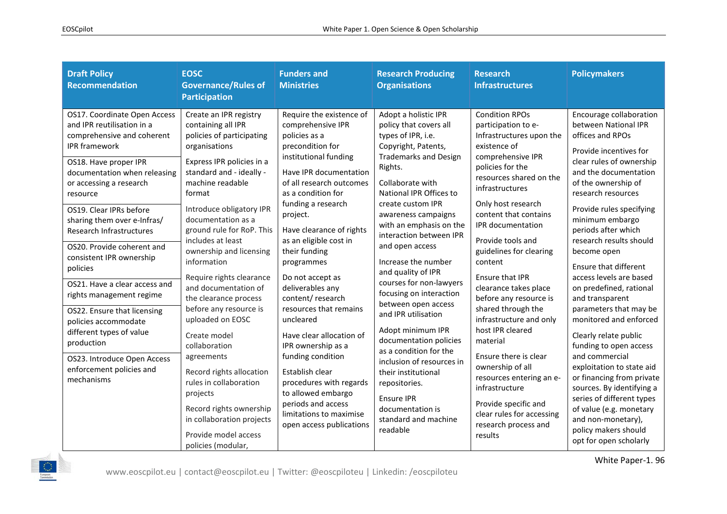| <b>Draft Policy</b><br>Recommendation                                                                                                                                                                                                                                                                                                                                                                                                                                                                                                                                                                                      | <b>EOSC</b><br><b>Governance/Rules of</b><br><b>Participation</b>                                                                                                                                                                                                                                                                                                                                                                                                                                                                                                                                                                                                                 | <b>Funders and</b><br><b>Ministries</b>                                                                                                                                                                                                                                                                                                                                                                                                                                                                                                                                                                                                   | <b>Research Producing</b><br><b>Organisations</b>                                                                                                                                                                                                                                                                                                                                                                                                                                                                                                                                                                                                                               | <b>Research</b><br><b>Infrastructures</b>                                                                                                                                                                                                                                                                                                                                                                                                                                                                                                                                                                                                                | <b>Policymakers</b>                                                                                                                                                                                                                                                                                                                                                                                                                                                                                                                                                                                                                                                                                                                                               |
|----------------------------------------------------------------------------------------------------------------------------------------------------------------------------------------------------------------------------------------------------------------------------------------------------------------------------------------------------------------------------------------------------------------------------------------------------------------------------------------------------------------------------------------------------------------------------------------------------------------------------|-----------------------------------------------------------------------------------------------------------------------------------------------------------------------------------------------------------------------------------------------------------------------------------------------------------------------------------------------------------------------------------------------------------------------------------------------------------------------------------------------------------------------------------------------------------------------------------------------------------------------------------------------------------------------------------|-------------------------------------------------------------------------------------------------------------------------------------------------------------------------------------------------------------------------------------------------------------------------------------------------------------------------------------------------------------------------------------------------------------------------------------------------------------------------------------------------------------------------------------------------------------------------------------------------------------------------------------------|---------------------------------------------------------------------------------------------------------------------------------------------------------------------------------------------------------------------------------------------------------------------------------------------------------------------------------------------------------------------------------------------------------------------------------------------------------------------------------------------------------------------------------------------------------------------------------------------------------------------------------------------------------------------------------|----------------------------------------------------------------------------------------------------------------------------------------------------------------------------------------------------------------------------------------------------------------------------------------------------------------------------------------------------------------------------------------------------------------------------------------------------------------------------------------------------------------------------------------------------------------------------------------------------------------------------------------------------------|-------------------------------------------------------------------------------------------------------------------------------------------------------------------------------------------------------------------------------------------------------------------------------------------------------------------------------------------------------------------------------------------------------------------------------------------------------------------------------------------------------------------------------------------------------------------------------------------------------------------------------------------------------------------------------------------------------------------------------------------------------------------|
| OS17. Coordinate Open Access<br>and IPR reutilisation in a<br>comprehensive and coherent<br><b>IPR</b> framework<br>OS18. Have proper IPR<br>documentation when releasing<br>or accessing a research<br>resource<br>OS19. Clear IPRs before<br>sharing them over e-Infras/<br><b>Research Infrastructures</b><br>OS20. Provide coherent and<br>consistent IPR ownership<br>policies<br>OS21. Have a clear access and<br>rights management regime<br>OS22. Ensure that licensing<br>policies accommodate<br>different types of value<br>production<br>OS23. Introduce Open Access<br>enforcement policies and<br>mechanisms | Create an IPR registry<br>containing all IPR<br>policies of participating<br>organisations<br>Express IPR policies in a<br>standard and - ideally -<br>machine readable<br>format<br>Introduce obligatory IPR<br>documentation as a<br>ground rule for RoP. This<br>includes at least<br>ownership and licensing<br>information<br>Require rights clearance<br>and documentation of<br>the clearance process<br>before any resource is<br>uploaded on EOSC<br>Create model<br>collaboration<br>agreements<br>Record rights allocation<br>rules in collaboration<br>projects<br>Record rights ownership<br>in collaboration projects<br>Provide model access<br>policies (modular, | Require the existence of<br>comprehensive IPR<br>policies as a<br>precondition for<br>institutional funding<br>Have IPR documentation<br>of all research outcomes<br>as a condition for<br>funding a research<br>project.<br>Have clearance of rights<br>as an eligible cost in<br>their funding<br>programmes<br>Do not accept as<br>deliverables any<br>content/research<br>resources that remains<br>uncleared<br>Have clear allocation of<br>IPR ownership as a<br>funding condition<br>Establish clear<br>procedures with regards<br>to allowed embargo<br>periods and access<br>limitations to maximise<br>open access publications | Adopt a holistic IPR<br>policy that covers all<br>types of IPR, i.e.<br>Copyright, Patents,<br><b>Trademarks and Design</b><br>Rights.<br>Collaborate with<br>National IPR Offices to<br>create custom IPR<br>awareness campaigns<br>with an emphasis on the<br>interaction between IPR<br>and open access<br>Increase the number<br>and quality of IPR<br>courses for non-lawyers<br>focusing on interaction<br>between open access<br>and IPR utilisation<br>Adopt minimum IPR<br>documentation policies<br>as a condition for the<br>inclusion of resources in<br>their institutional<br>repositories.<br>Ensure IPR<br>documentation is<br>standard and machine<br>readable | <b>Condition RPOs</b><br>participation to e-<br>Infrastructures upon the<br>existence of<br>comprehensive IPR<br>policies for the<br>resources shared on the<br>infrastructures<br>Only host research<br>content that contains<br>IPR documentation<br>Provide tools and<br>guidelines for clearing<br>content<br>Ensure that IPR<br>clearance takes place<br>before any resource is<br>shared through the<br>infrastructure and only<br>host IPR cleared<br>material<br>Ensure there is clear<br>ownership of all<br>resources entering an e-<br>infrastructure<br>Provide specific and<br>clear rules for accessing<br>research process and<br>results | Encourage collaboration<br>between National IPR<br>offices and RPOs<br>Provide incentives for<br>clear rules of ownership<br>and the documentation<br>of the ownership of<br>research resources<br>Provide rules specifying<br>minimum embargo<br>periods after which<br>research results should<br>become open<br>Ensure that different<br>access levels are based<br>on predefined, rational<br>and transparent<br>parameters that may be<br>monitored and enforced<br>Clearly relate public<br>funding to open access<br>and commercial<br>exploitation to state aid<br>or financing from private<br>sources. By identifying a<br>series of different types<br>of value (e.g. monetary<br>and non-monetary),<br>policy makers should<br>opt for open scholarly |

White Paper-1. 96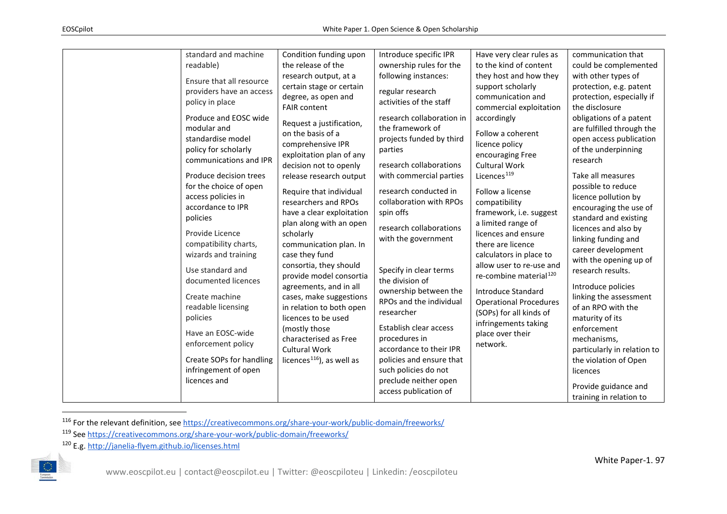<span id="page-42-2"></span><span id="page-42-1"></span><span id="page-42-0"></span>

| standard and machine<br>readable)<br>Ensure that all resource<br>providers have an access<br>policy in place<br>Produce and EOSC wide<br>modular and<br>standardise model<br>policy for scholarly<br>communications and IPR<br>Produce decision trees<br>for the choice of open<br>access policies in<br>accordance to IPR<br>policies<br>Provide Licence<br>compatibility charts,<br>wizards and training<br>Use standard and<br>documented licences | Condition funding upon<br>the release of the<br>research output, at a<br>certain stage or certain<br>degree, as open and<br><b>FAIR content</b><br>Request a justification,<br>on the basis of a<br>comprehensive IPR<br>exploitation plan of any<br>decision not to openly<br>release research output<br>Require that individual<br>researchers and RPOs<br>have a clear exploitation<br>plan along with an open<br>scholarly<br>communication plan. In<br>case they fund<br>consortia, they should<br>provide model consortia<br>agreements, and in all | Introduce specific IPR<br>ownership rules for the<br>following instances:<br>regular research<br>activities of the staff<br>research collaboration in<br>the framework of<br>projects funded by third<br>parties<br>research collaborations<br>with commercial parties<br>research conducted in<br>collaboration with RPOs<br>spin offs<br>research collaborations<br>with the government<br>Specify in clear terms<br>the division of | Have very clear rules as<br>to the kind of content<br>they host and how they<br>support scholarly<br>communication and<br>commercial exploitation<br>accordingly<br>Follow a coherent<br>licence policy<br>encouraging Free<br><b>Cultural Work</b><br>Licences <sup>119</sup><br>Follow a license<br>compatibility<br>framework, i.e. suggest<br>a limited range of<br>licences and ensure<br>there are licence<br>calculators in place to<br>allow user to re-use and<br>re-combine material <sup>120</sup> | communication that<br>could be complemented<br>with other types of<br>protection, e.g. patent<br>protection, especially if<br>the disclosure<br>obligations of a patent<br>are fulfilled through the<br>open access publication<br>of the underpinning<br>research<br>Take all measures<br>possible to reduce<br>licence pollution by<br>encouraging the use of<br>standard and existing<br>licences and also by<br>linking funding and<br>career development<br>with the opening up of<br>research results.<br>Introduce policies |
|-------------------------------------------------------------------------------------------------------------------------------------------------------------------------------------------------------------------------------------------------------------------------------------------------------------------------------------------------------------------------------------------------------------------------------------------------------|-----------------------------------------------------------------------------------------------------------------------------------------------------------------------------------------------------------------------------------------------------------------------------------------------------------------------------------------------------------------------------------------------------------------------------------------------------------------------------------------------------------------------------------------------------------|----------------------------------------------------------------------------------------------------------------------------------------------------------------------------------------------------------------------------------------------------------------------------------------------------------------------------------------------------------------------------------------------------------------------------------------|---------------------------------------------------------------------------------------------------------------------------------------------------------------------------------------------------------------------------------------------------------------------------------------------------------------------------------------------------------------------------------------------------------------------------------------------------------------------------------------------------------------|------------------------------------------------------------------------------------------------------------------------------------------------------------------------------------------------------------------------------------------------------------------------------------------------------------------------------------------------------------------------------------------------------------------------------------------------------------------------------------------------------------------------------------|
|                                                                                                                                                                                                                                                                                                                                                                                                                                                       |                                                                                                                                                                                                                                                                                                                                                                                                                                                                                                                                                           |                                                                                                                                                                                                                                                                                                                                                                                                                                        |                                                                                                                                                                                                                                                                                                                                                                                                                                                                                                               |                                                                                                                                                                                                                                                                                                                                                                                                                                                                                                                                    |
| Create machine<br>readable licensing                                                                                                                                                                                                                                                                                                                                                                                                                  | cases, make suggestions<br>in relation to both open                                                                                                                                                                                                                                                                                                                                                                                                                                                                                                       | ownership between the<br>RPOs and the individual<br>researcher                                                                                                                                                                                                                                                                                                                                                                         | <b>Introduce Standard</b><br><b>Operational Procedures</b><br>(SOPs) for all kinds of                                                                                                                                                                                                                                                                                                                                                                                                                         | linking the assessment<br>of an RPO with the                                                                                                                                                                                                                                                                                                                                                                                                                                                                                       |
| policies<br>Have an EOSC-wide<br>enforcement policy<br>Create SOPs for handling                                                                                                                                                                                                                                                                                                                                                                       | licences to be used<br>(mostly those<br>characterised as Free<br><b>Cultural Work</b><br>licences <sup>116</sup> ), as well as                                                                                                                                                                                                                                                                                                                                                                                                                            | Establish clear access<br>procedures in<br>accordance to their IPR<br>policies and ensure that                                                                                                                                                                                                                                                                                                                                         | infringements taking<br>place over their<br>network.                                                                                                                                                                                                                                                                                                                                                                                                                                                          | maturity of its<br>enforcement<br>mechanisms,<br>particularly in relation to<br>the violation of Open                                                                                                                                                                                                                                                                                                                                                                                                                              |
| infringement of open<br>licences and                                                                                                                                                                                                                                                                                                                                                                                                                  |                                                                                                                                                                                                                                                                                                                                                                                                                                                                                                                                                           | such policies do not<br>preclude neither open<br>access publication of                                                                                                                                                                                                                                                                                                                                                                 |                                                                                                                                                                                                                                                                                                                                                                                                                                                                                                               | licences<br>Provide guidance and<br>training in relation to                                                                                                                                                                                                                                                                                                                                                                                                                                                                        |

116 For the relevant definition, see<https://creativecommons.org/share-your-work/public-domain/freeworks/>

<sup>119</sup> Se[e https://creativecommons.org/share-your-work/public-domain/freeworks/](https://creativecommons.org/share-your-work/public-domain/freeworks/)

<sup>120</sup> E.g.<http://janelia-flyem.github.io/licenses.html>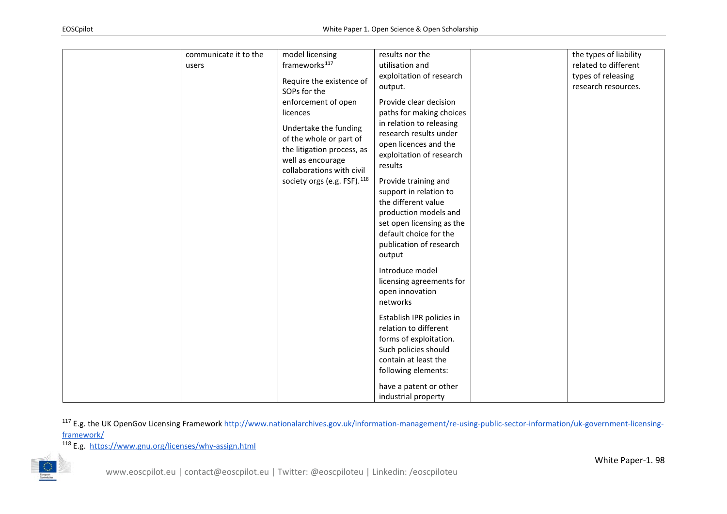<span id="page-43-1"></span><span id="page-43-0"></span>

| communicate it to the | model licensing                                                                                                                                                                                                                                            | results nor the                                                                                                                                                                                                                                                                                                                                                                                                                                                                                                                                                                                             | the types of liability |
|-----------------------|------------------------------------------------------------------------------------------------------------------------------------------------------------------------------------------------------------------------------------------------------------|-------------------------------------------------------------------------------------------------------------------------------------------------------------------------------------------------------------------------------------------------------------------------------------------------------------------------------------------------------------------------------------------------------------------------------------------------------------------------------------------------------------------------------------------------------------------------------------------------------------|------------------------|
| users                 | frameworks <sup>117</sup>                                                                                                                                                                                                                                  | utilisation and                                                                                                                                                                                                                                                                                                                                                                                                                                                                                                                                                                                             | related to different   |
|                       |                                                                                                                                                                                                                                                            | exploitation of research                                                                                                                                                                                                                                                                                                                                                                                                                                                                                                                                                                                    |                        |
|                       |                                                                                                                                                                                                                                                            | output.                                                                                                                                                                                                                                                                                                                                                                                                                                                                                                                                                                                                     | research resources.    |
|                       | Require the existence of<br>SOPs for the<br>enforcement of open<br>licences<br>Undertake the funding<br>of the whole or part of<br>the litigation process, as<br>well as encourage<br>collaborations with civil<br>society orgs (e.g. FSF). <sup>118</sup> | Provide clear decision<br>paths for making choices<br>in relation to releasing<br>research results under<br>open licences and the<br>exploitation of research<br>results<br>Provide training and<br>support in relation to<br>the different value<br>production models and<br>set open licensing as the<br>default choice for the<br>publication of research<br>output<br>Introduce model<br>licensing agreements for<br>open innovation<br>networks<br>Establish IPR policies in<br>relation to different<br>forms of exploitation.<br>Such policies should<br>contain at least the<br>following elements: | types of releasing     |
|                       |                                                                                                                                                                                                                                                            | have a patent or other                                                                                                                                                                                                                                                                                                                                                                                                                                                                                                                                                                                      |                        |
|                       |                                                                                                                                                                                                                                                            | industrial property                                                                                                                                                                                                                                                                                                                                                                                                                                                                                                                                                                                         |                        |

<sup>&</sup>lt;sup>117</sup> E.g. the UK OpenGov Licensing Framework [http://www.nationalarchives.gov.uk/information-management/re-using-public-sector-information/uk-government-licensing](http://www.nationalarchives.gov.uk/information-management/re-using-public-sector-information/uk-government-licensing-framework/)[framework/](http://www.nationalarchives.gov.uk/information-management/re-using-public-sector-information/uk-government-licensing-framework/)

<sup>118</sup> E.g. <https://www.gnu.org/licenses/why-assign.html>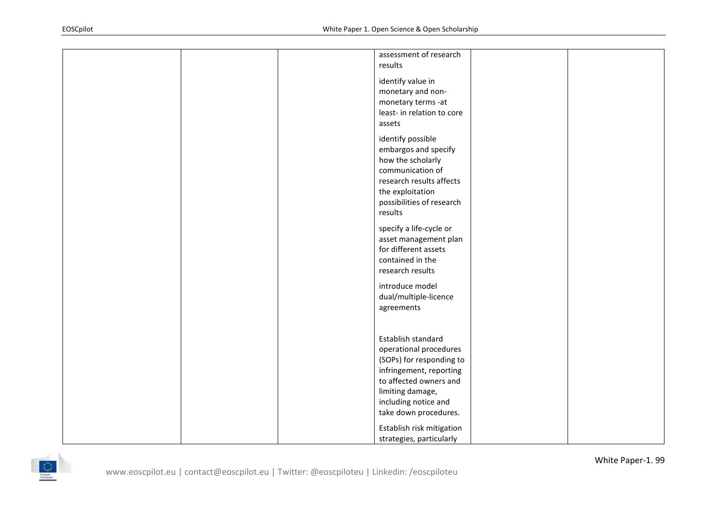|  |  | assessment of research<br>results                                                                                                                                                                  |  |
|--|--|----------------------------------------------------------------------------------------------------------------------------------------------------------------------------------------------------|--|
|  |  | identify value in<br>monetary and non-<br>monetary terms -at<br>least- in relation to core<br>assets                                                                                               |  |
|  |  | identify possible<br>embargos and specify<br>how the scholarly<br>communication of<br>research results affects<br>the exploitation<br>possibilities of research<br>results                         |  |
|  |  | specify a life-cycle or<br>asset management plan<br>for different assets<br>contained in the<br>research results                                                                                   |  |
|  |  | introduce model<br>dual/multiple-licence<br>agreements                                                                                                                                             |  |
|  |  | Establish standard<br>operational procedures<br>(SOPs) for responding to<br>infringement, reporting<br>to affected owners and<br>limiting damage,<br>including notice and<br>take down procedures. |  |
|  |  | Establish risk mitigation<br>strategies, particularly                                                                                                                                              |  |

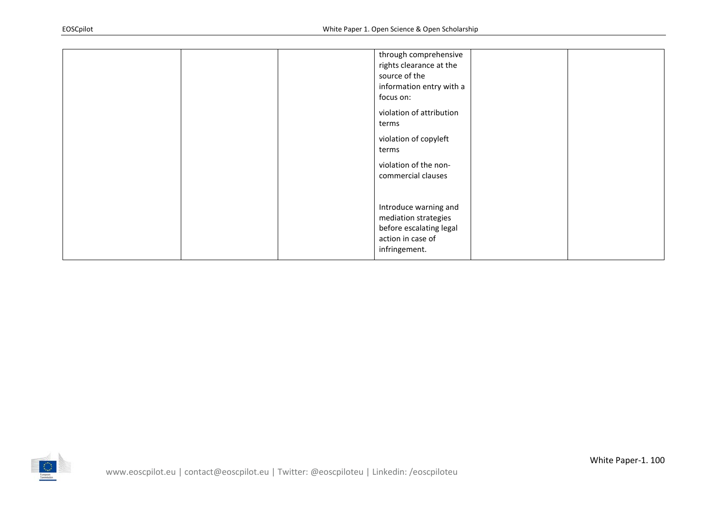| through comprehensive<br>rights clearance at the<br>source of the<br>information entry with a<br>focus on:<br>violation of attribution<br>terms<br>violation of copyleft<br>terms<br>violation of the non-<br>commercial clauses |  |
|----------------------------------------------------------------------------------------------------------------------------------------------------------------------------------------------------------------------------------|--|
| Introduce warning and<br>mediation strategies<br>before escalating legal<br>action in case of<br>infringement.                                                                                                                   |  |

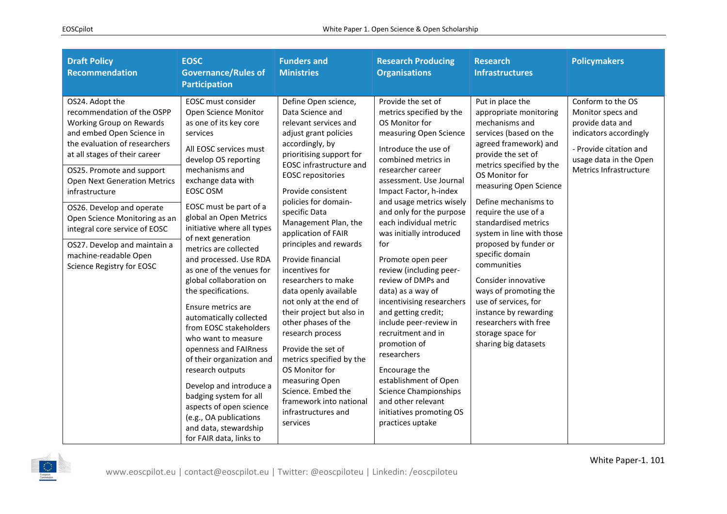| <b>Draft Policy</b><br><b>Recommendation</b>                                                                                                                                                                                                                                                                                                                                                                                                        | <b>EOSC</b><br><b>Governance/Rules of</b><br><b>Participation</b>                                                                                                                                                                                                                                                                                                                                                                                                                                                                                                                                                                                                                                                                                                         | <b>Funders and</b><br><b>Ministries</b>                                                                                                                                                                                                                                                                                                                                                                                                                                                                                                                                                                                                                                                                            | <b>Research Producing</b><br><b>Organisations</b>                                                                                                                                                                                                                                                                                                                                                                                                                                                                                                                                                                                                                                                                      | <b>Research</b><br><b>Infrastructures</b>                                                                                                                                                                                                                                                                                                                                                                                                                                                                                                            | <b>Policymakers</b>                                                                                                                                                |
|-----------------------------------------------------------------------------------------------------------------------------------------------------------------------------------------------------------------------------------------------------------------------------------------------------------------------------------------------------------------------------------------------------------------------------------------------------|---------------------------------------------------------------------------------------------------------------------------------------------------------------------------------------------------------------------------------------------------------------------------------------------------------------------------------------------------------------------------------------------------------------------------------------------------------------------------------------------------------------------------------------------------------------------------------------------------------------------------------------------------------------------------------------------------------------------------------------------------------------------------|--------------------------------------------------------------------------------------------------------------------------------------------------------------------------------------------------------------------------------------------------------------------------------------------------------------------------------------------------------------------------------------------------------------------------------------------------------------------------------------------------------------------------------------------------------------------------------------------------------------------------------------------------------------------------------------------------------------------|------------------------------------------------------------------------------------------------------------------------------------------------------------------------------------------------------------------------------------------------------------------------------------------------------------------------------------------------------------------------------------------------------------------------------------------------------------------------------------------------------------------------------------------------------------------------------------------------------------------------------------------------------------------------------------------------------------------------|------------------------------------------------------------------------------------------------------------------------------------------------------------------------------------------------------------------------------------------------------------------------------------------------------------------------------------------------------------------------------------------------------------------------------------------------------------------------------------------------------------------------------------------------------|--------------------------------------------------------------------------------------------------------------------------------------------------------------------|
| OS24. Adopt the<br>recommendation of the OSPP<br>Working Group on Rewards<br>and embed Open Science in<br>the evaluation of researchers<br>at all stages of their career<br>OS25. Promote and support<br><b>Open Next Generation Metrics</b><br>infrastructure<br>OS26. Develop and operate<br>Open Science Monitoring as an<br>integral core service of EOSC<br>OS27. Develop and maintain a<br>machine-readable Open<br>Science Registry for EOSC | EOSC must consider<br>Open Science Monitor<br>as one of its key core<br>services<br>All EOSC services must<br>develop OS reporting<br>mechanisms and<br>exchange data with<br>EOSC OSM<br>EOSC must be part of a<br>global an Open Metrics<br>initiative where all types<br>of next generation<br>metrics are collected<br>and processed. Use RDA<br>as one of the venues for<br>global collaboration on<br>the specifications.<br>Ensure metrics are<br>automatically collected<br>from EOSC stakeholders<br>who want to measure<br>openness and FAIRness<br>of their organization and<br>research outputs<br>Develop and introduce a<br>badging system for all<br>aspects of open science<br>(e.g., OA publications<br>and data, stewardship<br>for FAIR data, links to | Define Open science,<br>Data Science and<br>relevant services and<br>adjust grant policies<br>accordingly, by<br>prioritising support for<br><b>EOSC</b> infrastructure and<br><b>EOSC</b> repositories<br>Provide consistent<br>policies for domain-<br>specific Data<br>Management Plan, the<br>application of FAIR<br>principles and rewards<br>Provide financial<br>incentives for<br>researchers to make<br>data openly available<br>not only at the end of<br>their project but also in<br>other phases of the<br>research process<br>Provide the set of<br>metrics specified by the<br>OS Monitor for<br>measuring Open<br>Science. Embed the<br>framework into national<br>infrastructures and<br>services | Provide the set of<br>metrics specified by the<br>OS Monitor for<br>measuring Open Science<br>Introduce the use of<br>combined metrics in<br>researcher career<br>assessment. Use Journal<br>Impact Factor, h-index<br>and usage metrics wisely<br>and only for the purpose<br>each individual metric<br>was initially introduced<br>for<br>Promote open peer<br>review (including peer-<br>review of DMPs and<br>data) as a way of<br>incentivising researchers<br>and getting credit;<br>include peer-review in<br>recruitment and in<br>promotion of<br>researchers<br>Encourage the<br>establishment of Open<br><b>Science Championships</b><br>and other relevant<br>initiatives promoting OS<br>practices uptake | Put in place the<br>appropriate monitoring<br>mechanisms and<br>services (based on the<br>agreed framework) and<br>provide the set of<br>metrics specified by the<br>OS Monitor for<br>measuring Open Science<br>Define mechanisms to<br>require the use of a<br>standardised metrics<br>system in line with those<br>proposed by funder or<br>specific domain<br>communities<br>Consider innovative<br>ways of promoting the<br>use of services, for<br>instance by rewarding<br>researchers with free<br>storage space for<br>sharing big datasets | Conform to the OS<br>Monitor specs and<br>provide data and<br>indicators accordingly<br>- Provide citation and<br>usage data in the Open<br>Metrics Infrastructure |

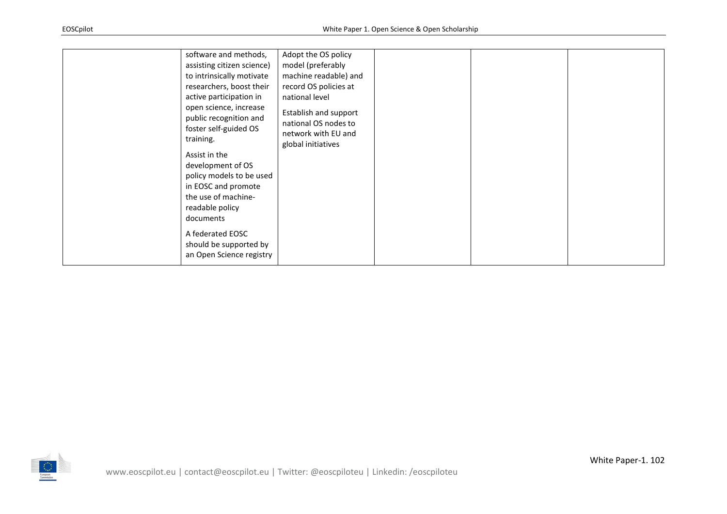| software and methods,<br>assisting citizen science)<br>to intrinsically motivate<br>researchers, boost their<br>active participation in<br>open science, increase<br>public recognition and<br>foster self-guided OS<br>training.<br>Assist in the<br>development of OS<br>policy models to be used<br>in EOSC and promote<br>the use of machine-<br>readable policy<br>documents<br>A federated EOSC<br>should be supported by<br>an Open Science registry | Adopt the OS policy<br>model (preferably<br>machine readable) and<br>record OS policies at<br>national level<br>Establish and support<br>national OS nodes to<br>network with EU and<br>global initiatives |  |  |  |
|-------------------------------------------------------------------------------------------------------------------------------------------------------------------------------------------------------------------------------------------------------------------------------------------------------------------------------------------------------------------------------------------------------------------------------------------------------------|------------------------------------------------------------------------------------------------------------------------------------------------------------------------------------------------------------|--|--|--|
|-------------------------------------------------------------------------------------------------------------------------------------------------------------------------------------------------------------------------------------------------------------------------------------------------------------------------------------------------------------------------------------------------------------------------------------------------------------|------------------------------------------------------------------------------------------------------------------------------------------------------------------------------------------------------------|--|--|--|

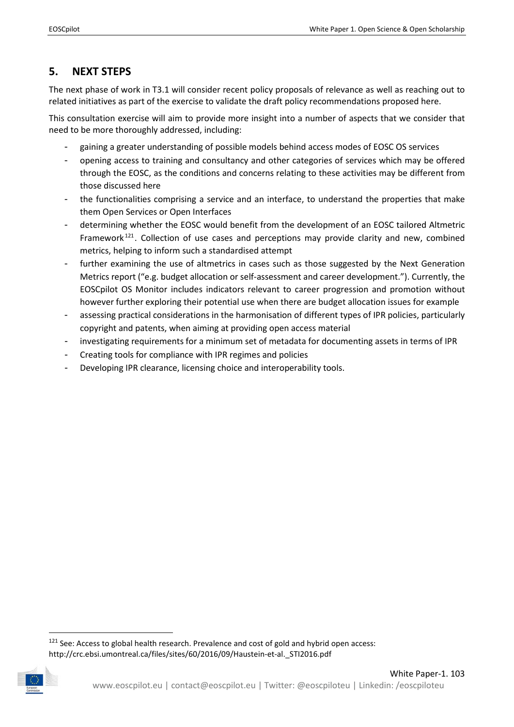## <span id="page-48-0"></span>**5. NEXT STEPS**

The next phase of work in T3.1 will consider recent policy proposals of relevance as well as reaching out to related initiatives as part of the exercise to validate the draft policy recommendations proposed here.

This consultation exercise will aim to provide more insight into a number of aspects that we consider that need to be more thoroughly addressed, including:

- gaining a greater understanding of possible models behind access modes of EOSC OS services
- opening access to training and consultancy and other categories of services which may be offered through the EOSC, as the conditions and concerns relating to these activities may be different from those discussed here
- the functionalities comprising a service and an interface, to understand the properties that make them Open Services or Open Interfaces
- determining whether the EOSC would benefit from the development of an EOSC tailored Altmetric Framework<sup>[121](#page-48-1)</sup>. Collection of use cases and perceptions may provide clarity and new, combined metrics, helping to inform such a standardised attempt
- further examining the use of altmetrics in cases such as those suggested by the Next Generation Metrics report ("e.g. budget allocation or self-assessment and career development."). Currently, the EOSCpilot OS Monitor includes indicators relevant to career progression and promotion without however further exploring their potential use when there are budget allocation issues for example
- assessing practical considerations in the harmonisation of different types of IPR policies, particularly copyright and patents, when aiming at providing open access material
- investigating requirements for a minimum set of metadata for documenting assets in terms of IPR
- Creating tools for compliance with IPR regimes and policies
- Developing IPR clearance, licensing choice and interoperability tools.

<span id="page-48-1"></span> $121$  See: Access to global health research. Prevalence and cost of gold and hybrid open access: http://crc.ebsi.umontreal.ca/files/sites/60/2016/09/Haustein-et-al.\_STI2016.pdf

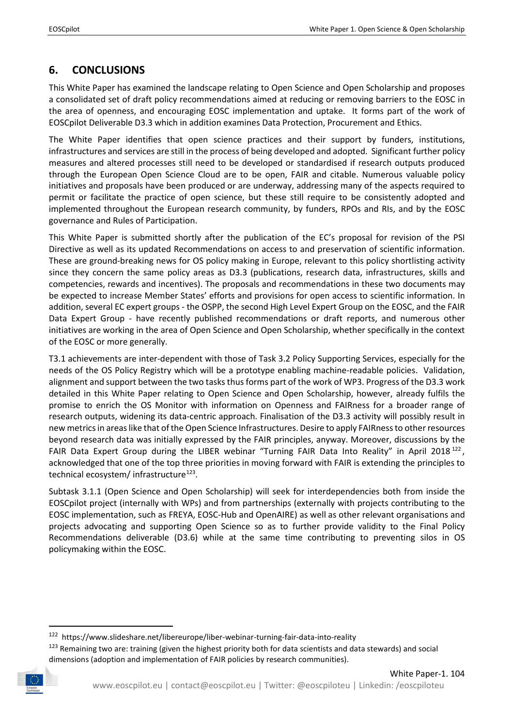## <span id="page-49-0"></span>**6. CONCLUSIONS**

This White Paper has examined the landscape relating to Open Science and Open Scholarship and proposes a consolidated set of draft policy recommendations aimed at reducing or removing barriers to the EOSC in the area of openness, and encouraging EOSC implementation and uptake. It forms part of the work of EOSCpilot Deliverable D3.3 which in addition examines Data Protection, Procurement and Ethics.

The White Paper identifies that open science practices and their support by funders, institutions, infrastructures and services are still in the process of being developed and adopted. Significant further policy measures and altered processes still need to be developed or standardised if research outputs produced through the European Open Science Cloud are to be open, FAIR and citable. Numerous valuable policy initiatives and proposals have been produced or are underway, addressing many of the aspects required to permit or facilitate the practice of open science, but these still require to be consistently adopted and implemented throughout the European research community, by funders, RPOs and RIs, and by the EOSC governance and Rules of Participation.

This White Paper is submitted shortly after the publication of the EC's proposal for revision of the PSI Directive as well as its updated Recommendations on access to and preservation of scientific information. These are ground-breaking news for OS policy making in Europe, relevant to this policy shortlisting activity since they concern the same policy areas as D3.3 (publications, research data, infrastructures, skills and competencies, rewards and incentives). The proposals and recommendations in these two documents may be expected to increase Member States' efforts and provisions for open access to scientific information. In addition, several EC expert groups - the OSPP, the second High Level Expert Group on the EOSC, and the FAIR Data Expert Group - have recently published recommendations or draft reports, and numerous other initiatives are working in the area of Open Science and Open Scholarship, whether specifically in the context of the EOSC or more generally.

T3.1 achievements are inter-dependent with those of Task 3.2 Policy Supporting Services, especially for the needs of the OS Policy Registry which will be a prototype enabling machine-readable policies. Validation, alignment and support between the two tasks thus forms part of the work of WP3. Progress of the D3.3 work detailed in this White Paper relating to Open Science and Open Scholarship, however, already fulfils the promise to enrich the OS Monitor with information on Openness and FAIRness for a broader range of research outputs, widening its data-centric approach. Finalisation of the D3.3 activity will possibly result in new metrics in areas like that of the Open Science Infrastructures. Desire to apply FAIRness to other resources beyond research data was initially expressed by the FAIR principles, anyway. Moreover, discussions by the FAIR Data Expert Group during the LIBER webinar "Turning FAIR Data Into Reality" in April 2018<sup>[122](#page-49-1)</sup>, acknowledged that one of the top three priorities in moving forward with FAIR is extending the principles to technical ecosystem/ infrastructure<sup>[123](#page-49-2)</sup>.

Subtask 3.1.1 (Open Science and Open Scholarship) will seek for interdependencies both from inside the EOSCpilot project (internally with WPs) and from partnerships (externally with projects contributing to the EOSC implementation, such as FREYA, EOSC-Hub and OpenAIRE) as well as other relevant organisations and projects advocating and supporting Open Science so as to further provide validity to the Final Policy Recommendations deliverable (D3.6) while at the same time contributing to preventing silos in OS policymaking within the EOSC.

<sup>&</sup>lt;sup>123</sup> Remaining two are: training (given the highest priority both for data scientists and data stewards) and social dimensions (adoption and implementation of FAIR policies by research communities).

<span id="page-49-2"></span><span id="page-49-1"></span>

 <sup>122</sup> https://www.slideshare.net/libereurope/liber-webinar-turning-fair-data-into-reality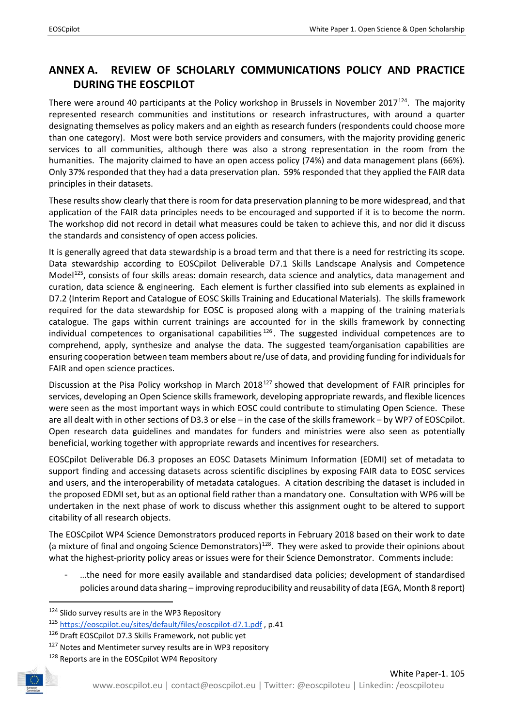## <span id="page-50-0"></span>**ANNEX A. REVIEW OF SCHOLARLY COMMUNICATIONS POLICY AND PRACTICE DURING THE EOSCPILOT**

There were around 40 participants at the Policy workshop in Brussels in November 2017<sup>124</sup>. The majority represented research communities and institutions or research infrastructures, with around a quarter designating themselves as policy makers and an eighth as research funders (respondents could choose more than one category). Most were both service providers and consumers, with the majority providing generic services to all communities, although there was also a strong representation in the room from the humanities. The majority claimed to have an open access policy (74%) and data management plans (66%). Only 37% responded that they had a data preservation plan. 59% responded that they applied the FAIR data principles in their datasets.

These results show clearly that there is room for data preservation planning to be more widespread, and that application of the FAIR data principles needs to be encouraged and supported if it is to become the norm. The workshop did not record in detail what measures could be taken to achieve this, and nor did it discuss the standards and consistency of open access policies.

It is generally agreed that data stewardship is a broad term and that there is a need for restricting its scope. Data stewardship according to EOSCpilot Deliverable D7.1 Skills Landscape Analysis and Competence Model<sup>125</sup>, consists of four skills areas: domain research, data science and analytics, data management and curation, data science & engineering. Each element is further classified into sub elements as explained in D7.2 (Interim Report and Catalogue of EOSC Skills Training and Educational Materials). The skills framework required for the data stewardship for EOSC is proposed along with a mapping of the training materials catalogue. The gaps within current trainings are accounted for in the skills framework by connecting individual competences to organisational capabilities<sup>[126](#page-50-3)</sup>. The suggested individual competences are to comprehend, apply, synthesize and analyse the data. The suggested team/organisation capabilities are ensuring cooperation between team members about re/use of data, and providing funding for individuals for FAIR and open science practices.

Discussion at the Pisa Policy workshop in March 2018<sup>[127](#page-50-4)</sup> showed that development of FAIR principles for services, developing an Open Science skills framework, developing appropriate rewards, and flexible licences were seen as the most important ways in which EOSC could contribute to stimulating Open Science. These are all dealt with in other sections of D3.3 or else – in the case of the skills framework – by WP7 of EOSCpilot. Open research data guidelines and mandates for funders and ministries were also seen as potentially beneficial, working together with appropriate rewards and incentives for researchers.

EOSCpilot Deliverable D6.3 proposes an EOSC Datasets Minimum Information (EDMI) set of metadata to support finding and accessing datasets across scientific disciplines by exposing FAIR data to EOSC services and users, and the interoperability of metadata catalogues. A citation describing the dataset is included in the proposed EDMI set, but as an optional field rather than a mandatory one. Consultation with WP6 will be undertaken in the next phase of work to discuss whether this assignment ought to be altered to support citability of all research objects.

The EOSCpilot WP4 Science Demonstrators produced reports in February 2018 based on their work to date (a mixture of final and ongoing Science Demonstrators)<sup>[128](#page-50-5)</sup>. They were asked to provide their opinions about what the highest-priority policy areas or issues were for their Science Demonstrator. Comments include:

- …the need for more easily available and standardised data policies; development of standardised policies around data sharing – improving reproducibility and reusability of data (EGA, Month 8 report)

<span id="page-50-5"></span><span id="page-50-4"></span><span id="page-50-3"></span><span id="page-50-2"></span><span id="page-50-1"></span><sup>&</sup>lt;sup>128</sup> Reports are in the EOSCpilot WP4 Repository



<sup>&</sup>lt;sup>124</sup> Slido survey results are in the WP3 Repository

<sup>125</sup> <https://eoscpilot.eu/sites/default/files/eoscpilot-d7.1.pdf> , p.41

 $126$  Draft EOSCpilot D7.3 Skills Framework, not public yet  $127$  Notes and Mentimeter survey results are in WP3 repository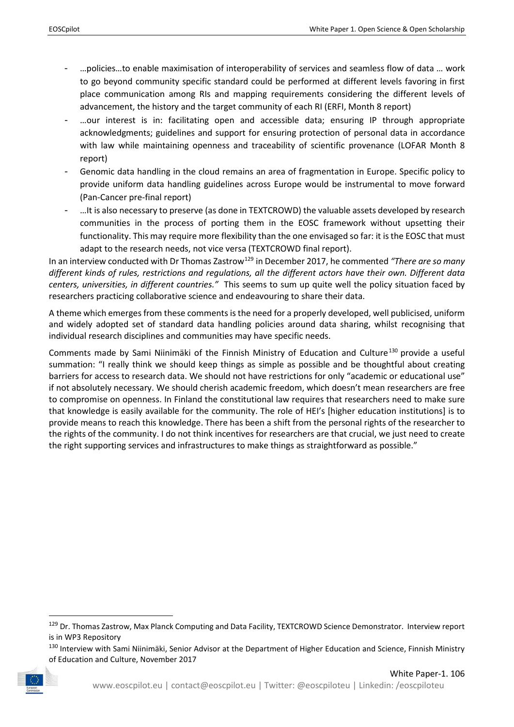- …policies…to enable maximisation of interoperability of services and seamless flow of data … work to go beyond community specific standard could be performed at different levels favoring in first place communication among RIs and mapping requirements considering the different levels of advancement, the history and the target community of each RI (ERFI, Month 8 report)
- ...our interest is in: facilitating open and accessible data; ensuring IP through appropriate acknowledgments; guidelines and support for ensuring protection of personal data in accordance with law while maintaining openness and traceability of scientific provenance (LOFAR Month 8 report)
- Genomic data handling in the cloud remains an area of fragmentation in Europe. Specific policy to provide uniform data handling guidelines across Europe would be instrumental to move forward (Pan-Cancer pre-final report)
- …It is also necessary to preserve (as done in TEXTCROWD) the valuable assets developed by research communities in the process of porting them in the EOSC framework without upsetting their functionality. This may require more flexibility than the one envisaged so far: it is the EOSC that must adapt to the research needs, not vice versa (TEXTCROWD final report).

In an interview conducted with Dr Thomas Zastrow[129](#page-51-0) in December 2017, he commented *"There are so many different kinds of rules, restrictions and regulations, all the different actors have their own. Different data centers, universities, in different countries."* This seems to sum up quite well the policy situation faced by researchers practicing collaborative science and endeavouring to share their data.

A theme which emerges from these comments is the need for a properly developed, well publicised, uniform and widely adopted set of standard data handling policies around data sharing, whilst recognising that individual research disciplines and communities may have specific needs.

Comments made by Sami Niinimäki of the Finnish Ministry of Education and Culture<sup>[130](#page-51-1)</sup> provide a useful summation: "I really think we should keep things as simple as possible and be thoughtful about creating barriers for access to research data. We should not have restrictions for only "academic or educational use" if not absolutely necessary. We should cherish academic freedom, which doesn't mean researchers are free to compromise on openness. In Finland the constitutional law requires that researchers need to make sure that knowledge is easily available for the community. The role of HEI's [higher education institutions] is to provide means to reach this knowledge. There has been a shift from the personal rights of the researcher to the rights of the community. I do not think incentives for researchers are that crucial, we just need to create the right supporting services and infrastructures to make things as straightforward as possible."

<span id="page-51-1"></span><sup>130</sup> Interview with Sami Niinimäki, Senior Advisor at the Department of Higher Education and Science, Finnish Ministry of Education and Culture, November 2017



<span id="page-51-0"></span><sup>&</sup>lt;sup>129</sup> Dr. Thomas Zastrow, Max Planck Computing and Data Facility, TEXTCROWD Science Demonstrator. Interview report is in WP3 Repository